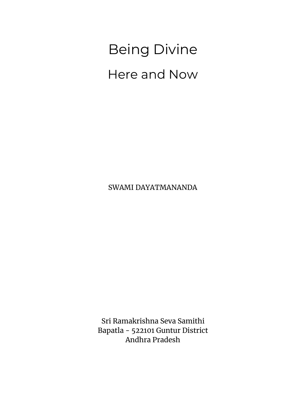SWAMI DAYATMANANDA

Sri Ramakrishna Seva Samithi Bapatla - 522101 Guntur District Andhra Pradesh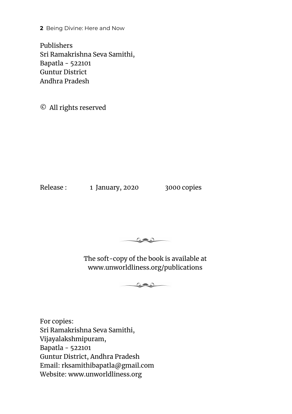Publishers Sri Ramakrishna Seva Samithi, Bapatla - 522101 Guntur District Andhra Pradesh

© All rights reserved

Release : 1 January, 2020 3000 copies



The soft-copy of the book is available at www.unworldliness.org/publications

 $\mathbb{C}$  and  $\mathbb{C}$ 

For copies: Sri Ramakrishna Seva Samithi, Vijayalakshmipuram, Bapatla - 522101 Guntur District, Andhra Pradesh Email: rksamithibapatla@gmail.com Website: www.unworldliness.org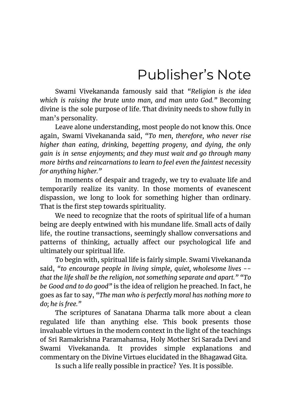## Publisher's Note

<span id="page-2-0"></span>Swami Vivekananda famously said that *"Religion is the idea which is raising the brute unto man, and man unto God."* Becoming divine is the sole purpose of life. That divinity needs to show fully in man's personality.

Leave alone understanding, most people do not know this. Once again, Swami Vivekananda said, *"To men, therefore, who never rise higher than eating, drinking, begetting progeny, and dying, the only gain is in sense enjoyments; and they must wait and go through many more births and reincarnations to learn to feel even the faintest necessity for anything higher."*

In moments of despair and tragedy, we try to evaluate life and temporarily realize its vanity. In those moments of evanescent dispassion, we long to look for something higher than ordinary. That is the first step towards spirituality.

We need to recognize that the roots of spiritual life of a human being are deeply entwined with his mundane life. Small acts of daily life, the routine transactions, seemingly shallow conversations and patterns of thinking, actually affect our psychological life and ultimately our spiritual life.

To begin with, spiritual life is fairly simple. Swami Vivekananda said, *"to encourage people in living simple, quiet, wholesome lives - that the life shall be the religion, not something separate and apart." "To be Good and to do good"* is the idea of religion he preached. In fact, he goes as far to say, *"The man who is perfectly moral has nothing more to do; he is free."*

The scriptures of Sanatana Dharma talk more about a clean regulated life than anything else. This book presents those invaluable virtues in the modern context in the light of the teachings of Sri Ramakrishna Paramahamsa, Holy Mother Sri Sarada Devi and Swami Vivekananda. It provides simple explanations and commentary on the Divine Virtues elucidated in the Bhagawad Gita.

Is such a life really possible in practice? Yes. It is possible.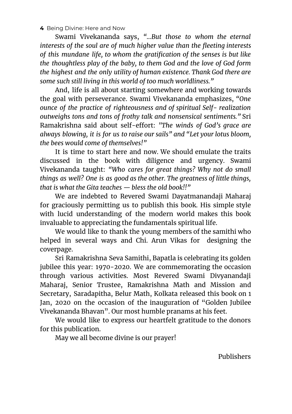Swami Vivekananda says, *"...But those to whom the eternal interests of the soul are of much higher value than the fleeting interests of this mundane life, to whom the gratification of the senses is but like the thoughtless play of the baby, to them God and the love of God form the highest and the only utility of human existence. Thank God there are some such still living in this world of too much worldliness."*

And, life is all about starting somewhere and working towards the goal with perseverance. Swami Vivekananda emphasizes, *"One ounce of the practice of righteousness and of spiritual Self- realization outweighs tons and tons of frothy talk and nonsensical sentiments."* Sri Ramakrishna said about self-effort: *"The winds of God's grace are always blowing, it is for us to raise our sails" and "Let your lotus bloom, the bees would come of themselves!"*

It is time to start here and now. We should emulate the traits discussed in the book with diligence and urgency. Swami Vivekananda taught: *"Who cares for great things? Why not do small things as well? One is as good as the other. The greatness of little things, that is what the Gita teaches — bless the old book!!"*

We are indebted to Revered Swami Dayatmanandaji Maharaj for graciously permitting us to publish this book. His simple style with lucid understanding of the modern world makes this book invaluable to appreciating the fundamentals spiritual life.

We would like to thank the young members of the samithi who helped in several ways and Chi. Arun Vikas for designing the coverpage.

Sri Ramakrishna Seva Samithi, Bapatla is celebrating its golden jubilee this year: 1970-2020. We are commemorating the occasion through various activities. Most Revered Swami Divyanandaji Maharaj, Senior Trustee, Ramakrishna Math and Mission and Secretary, Saradapitha, Belur Math, Kolkata released this book on 1 Jan, 2020 on the occasion of the inauguration of "Golden Jubilee Vivekananda Bhavan". Our most humble pranams at his feet.

We would like to express our heartfelt gratitude to the donors for this publication.

May we all become divine is our prayer!

Publishers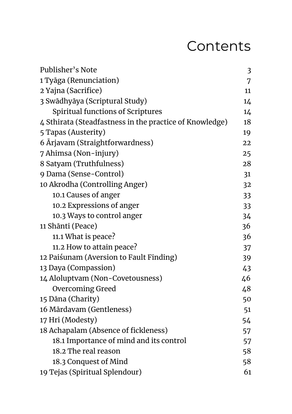### Contents

| Publisher's Note                                        | 3  |
|---------------------------------------------------------|----|
| 1 Tyāga (Renunciation)                                  | 7  |
| 2 Yajna (Sacrifice)                                     | 11 |
| 3 Swādhyāya (Scriptural Study)                          | 14 |
| Spiritual functions of Scriptures                       | 14 |
| 4 Sthirata (Steadfastness in the practice of Knowledge) | 18 |
| 5 Tapas (Austerity)                                     | 19 |
| 6 Arjavam (Straightforwardness)                         | 22 |
| 7 Ahimsa (Non-injury)                                   | 25 |
| 8 Satyam (Truthfulness)                                 | 28 |
| 9 Dama (Sense-Control)                                  | 31 |
| 10 Akrodha (Controlling Anger)                          | 32 |
| 10.1 Causes of anger                                    | 33 |
| 10.2 Expressions of anger                               | 33 |
| 10.3 Ways to control anger                              | 34 |
| 11 Shānti (Peace)                                       | 36 |
| 11.1 What is peace?                                     | 36 |
| 11.2 How to attain peace?                               | 37 |
| 12 Paiśunam (Aversion to Fault Finding)                 | 39 |
| 13 Daya (Compassion)                                    | 43 |
| 14 Aloluptvam (Non-Covetousness)                        | 46 |
| <b>Overcoming Greed</b>                                 | 48 |
| 15 Dāna (Charity)                                       | 50 |
| 16 Mārdavam (Gentleness)                                | 51 |
| 17 Hri (Modesty)                                        | 54 |
| 18 Achapalam (Absence of fickleness)                    | 57 |
| 18.1 Importance of mind and its control                 | 57 |
| 18.2 The real reason                                    | 58 |
| 18.3 Conquest of Mind                                   | 58 |
| 19 Tejas (Spiritual Splendour)                          | 61 |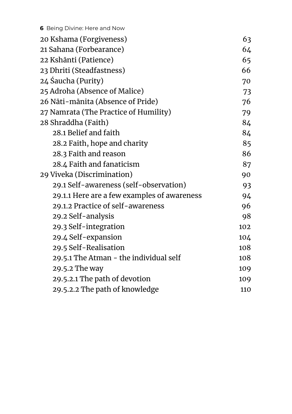| 6 Being Divine: Here and Now                |     |
|---------------------------------------------|-----|
| 20 Kshama (Forgiveness)                     | 63  |
| 21 Sahana (Forbearance)                     | 64  |
| 22 Kshānti (Patience)                       | 65  |
| 23 Dhriti (Steadfastness)                   | 66  |
| 24 Śaucha (Purity)                          | 70  |
| 25 Adroha (Absence of Malice)               | 73  |
| 26 Nāti-mānita (Absence of Pride)           | 76  |
| 27 Namrata (The Practice of Humility)       | 79  |
| 28 Shraddha (Faith)                         | 84  |
| 28.1 Belief and faith                       | 84  |
| 28.2 Faith, hope and charity                | 85  |
| 28.3 Faith and reason                       | 86  |
| 28.4 Faith and fanaticism                   | 87  |
| 29 Viveka (Discrimination)                  | 90  |
| 29.1 Self-awareness (self-observation)      | 93  |
| 29.1.1 Here are a few examples of awareness | 94  |
| 29.1.2 Practice of self-awareness           | 96  |
| 29.2 Self-analysis                          | 98  |
| 29.3 Self-integration                       | 102 |
| 29.4 Self-expansion                         | 104 |
| 29.5 Self-Realisation                       | 108 |
| 29.5.1 The Atman - the individual self      | 108 |
| 29.5.2 The way                              | 109 |
| 29.5.2.1 The path of devotion               | 109 |
| 29.5.2.2 The path of knowledge              | 110 |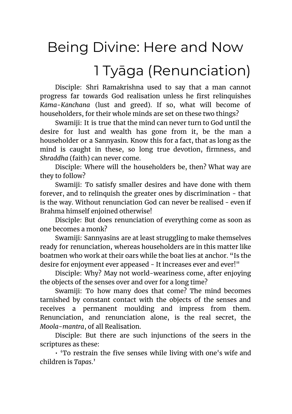## 1 Tyāga (Renunciation)

<span id="page-6-0"></span>Disciple: Shri Ramakrishna used to say that a man cannot progress far towards God realisation unless he first relinquishes *Kāma-Kānchana* (lust and greed). If so, what will become of householders, for their whole minds are set on these two things?

Swamiji: It is true that the mind can never turn to God until the desire for lust and wealth has gone from it, be the man a householder or a Sannyasin. Know this for a fact, that as long as the mind is caught in these, so long true devotion, firmness, and *Shraddha* (faith) can never come.

Disciple: Where will the householders be, then? What way are they to follow?

Swamiji: To satisfy smaller desires and have done with them forever, and to relinquish the greater ones by discrimination - that is the way. Without renunciation God can never be realised - even if Brahma himself enjoined otherwise!

Disciple: But does renunciation of everything come as soon as one becomes a monk?

Swamiji: Sannyasins are at least struggling to make themselves ready for renunciation, whereas householders are in this matter like boatmen who work at their oars while the boat lies at anchor. "Is the desire for enjoyment ever appeased - It increases ever and ever!"

Disciple: Why? May not world-weariness come, after enjoying the objects of the senses over and over for a long time?

Swamiji: To how many does that come? The mind becomes tarnished by constant contact with the objects of the senses and receives a permanent moulding and impress from them. Renunciation, and renunciation alone, is the real secret, the *Moola-mantra*, of all Realisation.

Disciple: But there are such injunctions of the seers in the scriptures as these:

• 'To restrain the five senses while living with one's wife and children is *Tapas*.'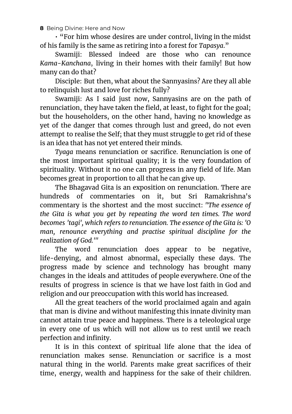• "For him whose desires are under control, living in the midst of his family is the same as retiring into a forest for *Tapasya*."

Swamiji: Blessed indeed are those who can renounce *Kama-Kanchana*, living in their homes with their family! But how many can do that?

Disciple: But then, what about the Sannyasins? Are they all able to relinquish lust and love for riches fully?

Swamiji: As I said just now, Sannyasins are on the path of renunciation, they have taken the field, at least, to fight for the goal; but the householders, on the other hand, having no knowledge as yet of the danger that comes through lust and greed, do not even attempt to realise the Self; that they must struggle to get rid of these is an idea that has not yet entered their minds.

*Tyaga* means renunciation or sacrifice. Renunciation is one of the most important spiritual quality; it is the very foundation of spirituality. Without it no one can progress in any field of life. Man becomes great in proportion to all that he can give up.

The Bhagavad Gita is an exposition on renunciation. There are hundreds of commentaries on it, but Sri Ramakrishna's commentary is the shortest and the most succinct: *"The essence of the Gita is what you get by repeating the word ten times. The word becomes 'tagi', which refers to renunciation. The essence of the Gita is: 'O man, renounce everything and practise spiritual discipline for the realization of God.'"*

The word renunciation does appear to be negative, life-denying, and almost abnormal, especially these days. The progress made by science and technology has brought many changes in the ideals and attitudes of people everywhere. One of the results of progress in science is that we have lost faith in God and religion and our preoccupation with this world has increased.

All the great teachers of the world proclaimed again and again that man is divine and without manifesting this innate divinity man cannot attain true peace and happiness. There is a teleological urge in every one of us which will not allow us to rest until we reach perfection and infinity.

It is in this context of spiritual life alone that the idea of renunciation makes sense. Renunciation or sacrifice is a most natural thing in the world. Parents make great sacrifices of their time, energy, wealth and happiness for the sake of their children.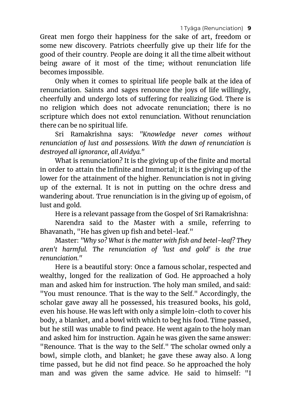Great men forgo their happiness for the sake of art, freedom or some new discovery. Patriots cheerfully give up their life for the good of their country. People are doing it all the time albeit without being aware of it most of the time; without renunciation life becomes impossible.

Only when it comes to spiritual life people balk at the idea of renunciation. Saints and sages renounce the joys of life willingly, cheerfully and undergo lots of suffering for realizing God. There is no religion which does not advocate renunciation; there is no scripture which does not extol renunciation. Without renunciation there can be no spiritual life.

Sri Ramakrishna says: *"Knowledge never comes without renunciation of lust and possessions. With the dawn of renunciation is destroyed all ignorance, all Avidya."*

What is renunciation? It is the giving up of the finite and mortal in order to attain the Infinite and Immortal; it is the giving up of the lower for the attainment of the higher. Renunciation is not in giving up of the external. It is not in putting on the ochre dress and wandering about. True renunciation is in the giving up of egoism, of lust and gold.

Here is a relevant passage from the Gospel of Sri Ramakrishna:

Narendra said to the Master with a smile, referring to Bhavanath, "He has given up fish and betel-leaf."

Master: *"Why so? What is the matter with fish and betel-leaf? They aren't harmful. The renunciation of 'lust and gold' is the true renunciation."*

Here is a beautiful story: Once a famous scholar, respected and wealthy, longed for the realization of God. He approached a holy man and asked him for instruction. The holy man smiled, and said: "You must renounce. That is the way to the Self." Accordingly, the scholar gave away all he possessed, his treasured books, his gold, even his house. He was left with only a simple loin-cloth to cover his body, a blanket, and a bowl with which to beg his food. Time passed, but he still was unable to find peace. He went again to the holy man and asked him for instruction. Again he was given the same answer: "Renounce. That is the way to the Self." The scholar owned only a bowl, simple cloth, and blanket; he gave these away also. A long time passed, but he did not find peace. So he approached the holy man and was given the same advice. He said to himself: "I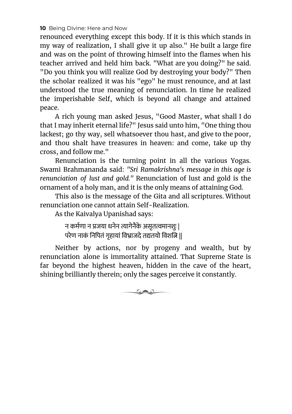renounced everything except this body. If it is this which stands in my way of realization, I shall give it up also." He built a large fire and was on the point of throwing himself into the flames when his teacher arrived and held him back. "What are you doing?" he said. "Do you think you will realize God by destroying your body?" Then the scholar realized it was his "ego" he must renounce, and at last understood the true meaning of renunciation. In time he realized the imperishable Self, which is beyond all change and attained peace.

A rich young man asked Jesus, "Good Master, what shall I do that I may inherit eternal life?" Jesus said unto him, "One thing thou lackest; go thy way, sell whatsoever thou hast, and give to the poor, and thou shalt have treasures in heaven: and come, take up thy cross, and follow me."

Renunciation is the turning point in all the various Yogas. Swami Brahmananda said: *"Sri Ramakrishna's message in this age is renunciation of lust and gold."* Renunciation of lust and gold is the ornament of a holy man, and it is the only means of attaining God.

This also is the message of the Gita and all scriptures. Without renunciation one cannot attain Self-Realization.

As the Kaivalya Upanishad says:

न कर्मणा न प्रजया धनेन त्यागेनैके असृतत्वमानशुः | परेण नाकं निपितं गृहायां विभ्राजदे तद्यतयो विशति ||

Neither by actions, nor by progeny and wealth, but by renunciation alone is immortality attained. That Supreme State is far beyond the highest heaven, hidden in the cave of the heart, shining brilliantly therein; only the sages perceive it constantly.

 $\circ$  and  $\circ$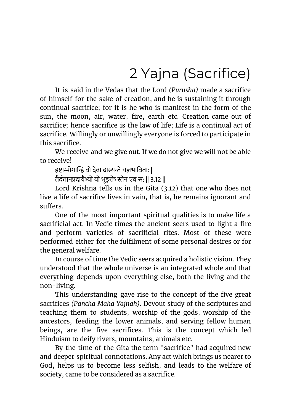# 2 Yajna (Sacrifice)

<span id="page-10-0"></span>It is said in the Vedas that the Lord *(Purusha)* made a sacrifice of himself for the sake of creation, and he is sustaining it through continual sacrifice; for it is he who is manifest in the form of the sun, the moon, air, water, fire, earth etc. Creation came out of sacrifice; hence sacrifice is the law of life; Life is a continual act of sacrifice. Willingly or unwillingly everyone is forced to participate in this sacrifice.

We receive and we give out. If we do not give we will not be able to receive!

इष्टाभोगान्हि वो देवा दास्यन्ते यज्ञभाविता: |

तैर्दत्तानप्रदायैभ्यो यो भुङक्ते स्तेन एव स: || 3.12 ||

Lord Krishna tells us in the Gita (3.12) that one who does not live a life of sacrifice lives in vain, that is, he remains ignorant and suffers.

One of the most important spiritual qualities is to make life a sacrificial act. In Vedic times the ancient seers used to light a fire and perform varieties of sacrificial rites. Most of these were performed either for the fulfilment of some personal desires or for the general welfare.

In course of time the Vedic seers acquired a holistic vision. They understood that the whole universe is an integrated whole and that everything depends upon everything else, both the living and the non-living.

This understanding gave rise to the concept of the five great sacrifices *(Pancha Maha Yajnah)*. Devout study of the scriptures and teaching them to students, worship of the gods, worship of the ancestors, feeding the lower animals, and serving fellow human beings, are the five sacrifices. This is the concept which led Hinduism to deify rivers, mountains, animals etc.

By the time of the Gita the term "sacrifice" had acquired new and deeper spiritual connotations. Any act which brings us nearer to God, helps us to become less selfish, and leads to the welfare of society, came to be considered as a sacrifice.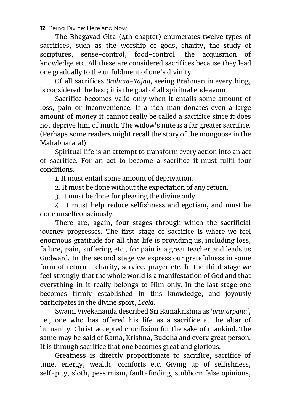The Bhagavad Gita (4th chapter) enumerates twelve types of sacrifices, such as the worship of gods, charity, the study of scriptures, sense-control, food-control, the acquisition of knowledge etc. All these are considered sacrifices because they lead one gradually to the unfoldment of one's divinity.

Of all sacrifices *Brahma-Yajna*, seeing Brahman in everything, is considered the best; it is the goal of all spiritual endeavour.

Sacrifice becomes valid only when it entails some amount of loss, pain or inconvenience. If a rich man donates even a large amount of money it cannot really be called a sacrifice since it does not deprive him of much. The widow's mite is a far greater sacrifice. (Perhaps some readers might recall the story of the mongoose in the Mahabharata!)

Spiritual life is an attempt to transform every action into an act of sacrifice. For an act to become a sacrifice it must fulfil four conditions.

1. It must entail some amount of deprivation.

2. It must be done without the expectation of any return.

3. It must be done for pleasing the divine only.

4. It must help reduce selfishness and egotism, and must be done unselfconsciously.

There are, again, four stages through which the sacrificial journey progresses. The first stage of sacrifice is where we feel enormous gratitude for all that life is providing us, including loss, failure, pain, suffering etc., for pain is a great teacher and leads us Godward. In the second stage we express our gratefulness in some form of return - charity, service, prayer etc. In the third stage we feel strongly that the whole world is a manifestation of God and that everything in it really belongs to Him only. In the last stage one becomes firmly established in this knowledge, and joyously participates in the divine sport, *Leela*.

Swami Vivekananda described Sri Ramakrishna as *'prānārpana'*, i.e., one who has offered his life as a sacrifice at the altar of humanity. Christ accepted crucifixion for the sake of mankind. The same may be said of Rama, Krishna, Buddha and every great person. It is through sacrifice that one becomes great and glorious.

Greatness is directly proportionate to sacrifice, sacrifice of time, energy, wealth, comforts etc. Giving up of selfishness, self-pity, sloth, pessimism, fault-finding, stubborn false opinions,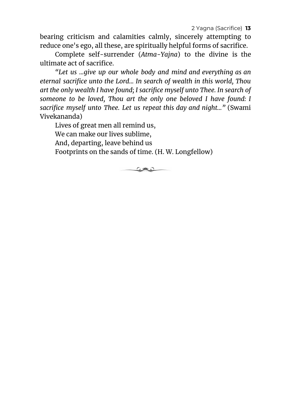2 Yagna (Sacrifice) **13**

bearing criticism and calamities calmly, sincerely attempting to reduce one's ego, all these, are spiritually helpful forms of sacrifice.

Complete self-surrender (*Atma-Yajna*) to the divine is the ultimate act of sacrifice.

*"Let us ...give up our whole body and mind and everything as an eternal sacrifice unto the Lord... In search of wealth in this world, Thou art the only wealth I have found; I sacrifice myself unto Thee. In search of someone to be loved, Thou art the only one beloved I have found: I sacrifice myself unto Thee. Let us repeat this day and night..."* (Swami Vivekananda)

Lives of great men all remind us, We can make our lives sublime, And, departing, leave behind us Footprints on the sands of time. (H. W. Longfellow)

<u>ل علامی</u>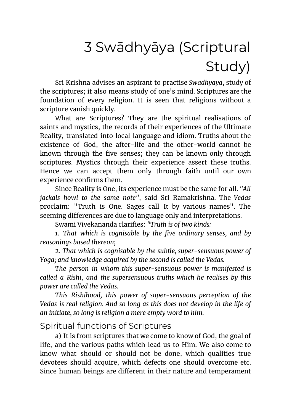# <span id="page-13-0"></span>3 Swādhyāya (Scriptural Study)

Sri Krishna advises an aspirant to practise *Swadhyaya*, study of the scriptures; it also means study of one's mind. Scriptures are the foundation of every religion. It is seen that religions without a scripture vanish quickly.

What are Scriptures? They are the spiritual realisations of saints and mystics, the records of their experiences of the Ultimate Reality, translated into local language and idiom. Truths about the existence of God, the after-life and the other-world cannot be known through the five senses; they can be known only through scriptures. Mystics through their experience assert these truths. Hence we can accept them only through faith until our own experience confirms them.

Since Reality is One, its experience must be the same for all. *"All jackals howl to the same note"*, said Sri Ramakrishna. The *Vedas* proclaim: "Truth is One. Sages call It by various names". The seeming differences are due to language only and interpretations.

Swami Vivekananda clarifies: *"Truth is of two kinds:*

*1. That which is cognisable by the five ordinary senses, and by reasonings based thereon;*

*2. That which is cognisable by the subtle, super-sensuous power of Yoga; and knowledge acquired by the second is called the Vedas.*

*The person in whom this super-sensuous power is manifested is called a Rishi, and the supersensuous truths which he realises by this power are called the Vedas.*

*This Rishihood, this power of super-sensuous perception of the Vedas is real religion. And so long as this does not develop in the life of an initiate, so long is religion a mere empty word to him.*

#### <span id="page-13-1"></span>Spiritual functions of Scriptures

a) It is from scriptures that we come to know of God, the goal of life, and the various paths which lead us to Him. We also come to know what should or should not be done, which qualities true devotees should acquire, which defects one should overcome etc. Since human beings are different in their nature and temperament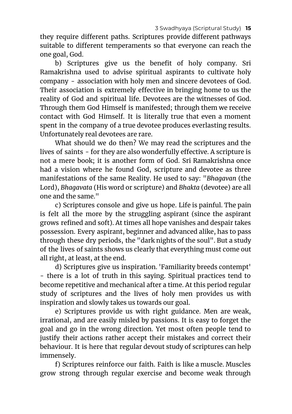they require different paths. Scriptures provide different pathways suitable to different temperaments so that everyone can reach the one goal, God.

b) Scriptures give us the benefit of holy company. Sri Ramakrishna used to advise spiritual aspirants to cultivate holy company - association with holy men and sincere devotees of God. Their association is extremely effective in bringing home to us the reality of God and spiritual life. Devotees are the witnesses of God. Through them God Himself is manifested; through them we receive contact with God Himself. It is literally true that even a moment spent in the company of a true devotee produces everlasting results. Unfortunately real devotees are rare.

What should we do then? We may read the scriptures and the lives of saints - for they are also wonderfully effective. A scripture is not a mere book; it is another form of God. Sri Ramakrishna once had a vision where he found God, scripture and devotee as three manifestations of the same Reality. He used to say: "*Bhagavan* (the Lord), *Bhagavata* (His word or scripture) and *Bhakta* (devotee) are all one and the same."

c) Scriptures console and give us hope. Life is painful. The pain is felt all the more by the struggling aspirant (since the aspirant grows refined and soft). At times all hope vanishes and despair takes possession. Every aspirant, beginner and advanced alike, has to pass through these dry periods, the "dark nights of the soul". But a study of the lives of saints shows us clearly that everything must come out all right, at least, at the end.

d) Scriptures give us inspiration. 'Familiarity breeds contempt' - there is a lot of truth in this saying. Spiritual practices tend to become repetitive and mechanical after a time. At this period regular study of scriptures and the lives of holy men provides us with inspiration and slowly takes us towards our goal.

e) Scriptures provide us with right guidance. Men are weak, irrational, and are easily misled by passions. It is easy to forget the goal and go in the wrong direction. Yet most often people tend to justify their actions rather accept their mistakes and correct their behaviour. It is here that regular devout study of scriptures can help immensely.

f) Scriptures reinforce our faith. Faith is like a muscle. Muscles grow strong through regular exercise and become weak through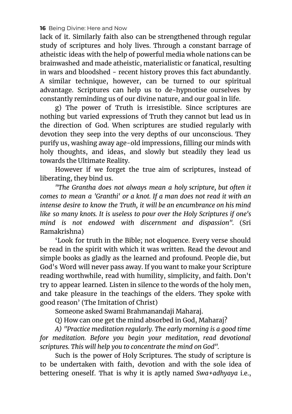lack of it. Similarly faith also can be strengthened through regular study of scriptures and holy lives. Through a constant barrage of atheistic ideas with the help of powerful media whole nations can be brainwashed and made atheistic, materialistic or fanatical, resulting in wars and bloodshed - recent history proves this fact abundantly. A similar technique, however, can be turned to our spiritual advantage. Scriptures can help us to de-hypnotise ourselves by constantly reminding us of our divine nature, and our goal in life.

g) The power of Truth is irresistible. Since scriptures are nothing but varied expressions of Truth they cannot but lead us in the direction of God. When scriptures are studied regularly with devotion they seep into the very depths of our unconscious. They purify us, washing away age-old impressions, filling our minds with holy thoughts, and ideas, and slowly but steadily they lead us towards the Ultimate Reality.

However if we forget the true aim of scriptures, instead of liberating, they bind us.

*"The Grantha does not always mean a holy scripture, but often it comes to mean a 'Granthi' or a knot. If a man does not read it with an intense desire to know the Truth, it will be an encumbrance on his mind like so many knots. It is useless to pour over the Holy Scriptures if one's mind is not endowed with discernment and dispassion".* (Sri Ramakrishna)

'Look for truth in the Bible; not eloquence. Every verse should be read in the spirit with which it was written. Read the devout and simple books as gladly as the learned and profound. People die, but God's Word will never pass away. If you want to make your Scripture reading worthwhile, read with humility, simplicity, and faith. Don't try to appear learned. Listen in silence to the words of the holy men, and take pleasure in the teachings of the elders. They spoke with good reason' (The Imitation of Christ)

Someone asked Swami Brahmanandaji Maharaj.

Q) How can one get the mind absorbed in God, Maharaj?

*A) "Practice meditation regularly. The early morning is a good time for meditation. Before you begin your meditation, read devotional scriptures. This will help you to concentrate the mind on God".*

Such is the power of Holy Scriptures. The study of scripture is to be undertaken with faith, devotion and with the sole idea of bettering oneself. That is why it is aptly named *Swa+adhyaya* i.e.,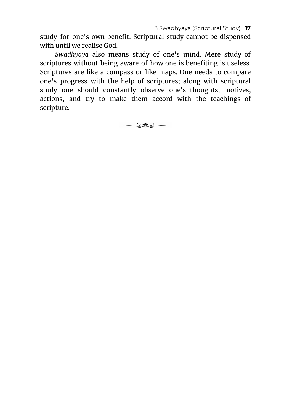study for one's own benefit. Scriptural study cannot be dispensed with until we realise God.

*Swadhyaya* also means study of one's mind. Mere study of scriptures without being aware of how one is benefiting is useless. Scriptures are like a compass or like maps. One needs to compare one's progress with the help of scriptures; along with scriptural study one should constantly observe one's thoughts, motives, actions, and try to make them accord with the teachings of scripture.

كالات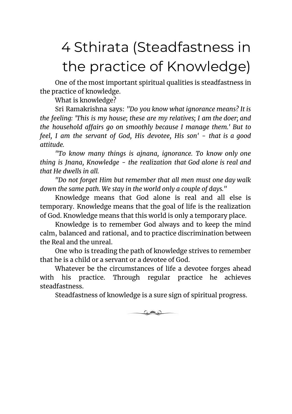# <span id="page-17-0"></span>4 Sthirata (Steadfastness in the practice of Knowledge)

One of the most important spiritual qualities is steadfastness in the practice of knowledge.

What is knowledge?

Sri Ramakrishna says: *"Do you know what ignorance means? It is the feeling: 'This is my house; these are my relatives; I am the doer; and the household affairs go on smoothly because I manage them.' But to feel, I am the servant of God, His devotee, His son' - that is a good attitude.*

*"To know many things is ajnana, ignorance. To know only one thing is Jnana, Knowledge - the realization that God alone is real and that He dwells in all.*

*"Do not forget Him but remember that all men must one day walk down the same path. We stay in the world only a couple of days."*

Knowledge means that God alone is real and all else is temporary. Knowledge means that the goal of life is the realization of God. Knowledge means that this world is only a temporary place.

Knowledge is to remember God always and to keep the mind calm, balanced and rational, and to practice discrimination between the Real and the unreal.

One who is treading the path of knowledge strives to remember that he is a child or a servant or a devotee of God.

Whatever be the circumstances of life a devotee forges ahead with his practice. Through regular practice he achieves steadfastness.

Steadfastness of knowledge is a sure sign of spiritual progress.

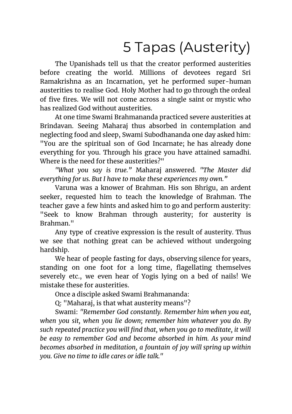# 5 Tapas (Austerity)

<span id="page-18-0"></span>The Upanishads tell us that the creator performed austerities before creating the world. Millions of devotees regard Sri Ramakrishna as an Incarnation, yet he performed super-human austerities to realise God. Holy Mother had to go through the ordeal of five fires. We will not come across a single saint or mystic who has realized God without austerities.

At one time Swami Brahmananda practiced severe austerities at Brindavan. Seeing Maharaj thus absorbed in contemplation and neglecting food and sleep, Swami Subodhananda one day asked him: "You are the spiritual son of God Incarnate; he has already done everything for you. Through his grace you have attained samadhi. Where is the need for these austerities?"

*"What you say is true."* Maharaj answered. *"The Master did everything for us. But I have to make these experiences my own."*

Varuna was a knower of Brahman. His son Bhrigu, an ardent seeker, requested him to teach the knowledge of Brahman. The teacher gave a few hints and asked him to go and perform austerity: "Seek to know Brahman through austerity; for austerity is Brahman."

Any type of creative expression is the result of austerity. Thus we see that nothing great can be achieved without undergoing hardship.

We hear of people fasting for days, observing silence for years, standing on one foot for a long time, flagellating themselves severely etc., we even hear of Yogis lying on a bed of nails! We mistake these for austerities.

Once a disciple asked Swami Brahmananda:

Q: "Maharaj, is that what austerity means"?

Swami: *"Remember God constantly. Remember him when you eat, when you sit, when you lie down; remember him whatever you do. By such repeated practice you will find that, when you go to meditate, it will be easy to remember God and become absorbed in him. As your mind becomes absorbed in meditation, a fountain of joy will spring up within you. Give no time to idle cares or idle talk."*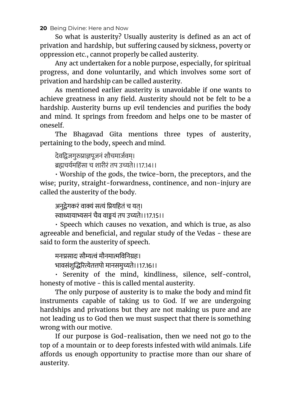So what is austerity? Usually austerity is defined as an act of privation and hardship, but suffering caused by sickness, poverty or oppression etc., cannot properly be called austerity.

Any act undertaken for a noble purpose, especially, for spiritual progress, and done voluntarily, and which involves some sort of privation and hardship can be called austerity.

As mentioned earlier austerity is unavoidable if one wants to achieve greatness in any field. Austerity should not be felt to be a hardship. Austerity burns up evil tendencies and purifies the body and mind. It springs from freedom and helps one to be master of oneself.

The Bhagavad Gita mentions three types of austerity, pertaining to the body, speech and mind.

देवद्विजगुरुप्राज्ञपूजनं शौचमार्जवम्।

ब्रह्मचर्यमहिंसा च शारीरं तप उच्यते।।17.14।।

• Worship of the gods, the twice-born, the preceptors, and the wise; purity, straight-forwardness, continence, and non-injury are called the austerity of the body.

अनुद्रेगकरं वाक्यं सत्यं प्रियहितं च यत। स्वाध्यायाभ्यसनं चैव वाङ्मयं तप उच्यते।।17.15।।

• Speech which causes no vexation, and which is true, as also agreeable and beneficial, and regular study of the Vedas - these are said to form the austerity of speech.

मनःप्रसादः सौम्यत्वं मौनमात्मविनिग्रहः। भावसंशुरेतपो मानसमुते।।17.16।।

• Serenity of the mind, kindliness, silence, self-control, honesty of motive - this is called mental austerity.

The only purpose of austerity is to make the body and mind fit instruments capable of taking us to God. If we are undergoing hardships and privations but they are not making us pure and are not leading us to God then we must suspect that there is something wrong with our motive.

If our purpose is God-realisation, then we need not go to the top of a mountain or to deep forests infested with wild animals. Life affords us enough opportunity to practise more than our share of austerity.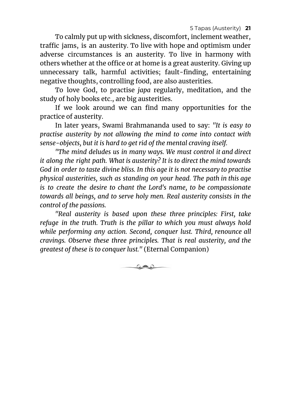To calmly put up with sickness, discomfort, inclement weather, traffic jams, is an austerity. To live with hope and optimism under adverse circumstances is an austerity. To live in harmony with others whether at the office or at home is a great austerity. Giving up unnecessary talk, harmful activities; fault-finding, entertaining negative thoughts, controlling food, are also austerities.

To love God, to practise *japa* regularly, meditation, and the study of holy books etc., are big austerities.

If we look around we can find many opportunities for the practice of austerity.

In later years, Swami Brahmananda used to say: *"It is easy to practise austerity by not allowing the mind to come into contact with sense-objects, but it is hard to get rid of the mental craving itself.*

*"The mind deludes us in many ways. We must control it and direct it along the right path. What is austerity? It is to direct the mind towards God in order to taste divine bliss. In this age it is not necessary to practise physical austerities, such as standing on your head. The path in this age is to create the desire to chant the Lord's name, to be compassionate towards all beings, and to serve holy men. Real austerity consists in the control of the passions.*

*"Real austerity is based upon these three principles: First, take refuge in the truth. Truth is the pillar to which you must always hold while performing any action. Second, conquer lust. Third, renounce all cravings. Observe these three principles. That is real austerity, and the greatest of these is to conquer lust."* (Eternal Companion)

 $\circ$  and  $\circ$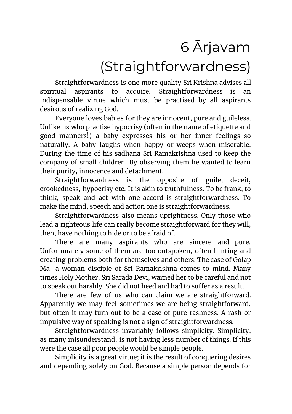# 6 Ārjavam

### (Straightforwardness)

<span id="page-21-0"></span>Straightforwardness is one more quality Sri Krishna advises all spiritual aspirants to acquire. Straightforwardness is an indispensable virtue which must be practised by all aspirants desirous of realizing God.

Everyone loves babies for they are innocent, pure and guileless. Unlike us who practise hypocrisy (often in the name of etiquette and good manners!) a baby expresses his or her inner feelings so naturally. A baby laughs when happy or weeps when miserable. During the time of his sadhana Sri Ramakrishna used to keep the company of small children. By observing them he wanted to learn their purity, innocence and detachment.

Straightforwardness is the opposite of guile, deceit, crookedness, hypocrisy etc. It is akin to truthfulness. To be frank, to think, speak and act with one accord is straightforwardness. To make the mind, speech and action one is straightforwardness.

Straightforwardness also means uprightness. Only those who lead a righteous life can really become straightforward for they will, then, have nothing to hide or to be afraid of.

There are many aspirants who are sincere and pure. Unfortunately some of them are too outspoken, often hurting and creating problems both for themselves and others. The case of Golap Ma, a woman disciple of Sri Ramakrishna comes to mind. Many times Holy Mother, Sri Sarada Devi, warned her to be careful and not to speak out harshly. She did not heed and had to suffer as a result.

There are few of us who can claim we are straightforward. Apparently we may feel sometimes we are being straightforward, but often it may turn out to be a case of pure rashness. A rash or impulsive way of speaking is not a sign of straightforwardness.

Straightforwardness invariably follows simplicity. Simplicity, as many misunderstand, is not having less number of things. If this were the case all poor people would be simple people.

Simplicity is a great virtue; it is the result of conquering desires and depending solely on God. Because a simple person depends for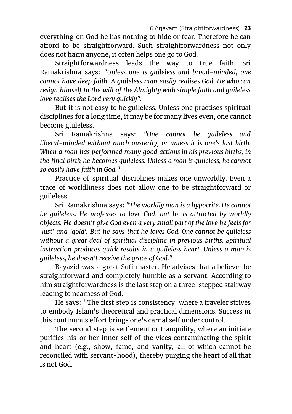everything on God he has nothing to hide or fear. Therefore he can afford to be straightforward. Such straightforwardness not only does not harm anyone, it often helps one go to God.

Straightforwardness leads the way to true faith. Sri Ramakrishna says: *"Unless one is guileless and broad-minded, one cannot have deep faith. A guileless man easily realises God. He who can resign himself to the will of the Almighty with simple faith and guileless love realises the Lord very quickly".*

But it is not easy to be guileless. Unless one practises spiritual disciplines for a long time, it may be for many lives even, one cannot become guileless.

Sri Ramakrishna says: *"One cannot be guileless and liberal-minded without much austerity, or unless it is one's last birth. When a man has performed many good actions in his previous births, in the final birth he becomes guileless. Unless a man is guileless, he cannot so easily have faith in God."*

Practice of spiritual disciplines makes one unworldly. Even a trace of worldliness does not allow one to be straightforward or guileless.

Sri Ramakrishna says: *"The worldly man is a hypocrite. He cannot be guileless. He professes to love God, but he is attracted by worldly objects. He doesn't give God even a very small part of the love he feels for 'lust' and 'gold'. But he says that he loves God. One cannot be guileless without a great deal of spiritual discipline in previous births. Spiritual instruction produces quick results in a guileless heart. Unless a man is guileless, he doesn't receive the grace of God."*

Bayazid was a great Sufi master. He advises that a believer be straightforward and completely humble as a servant. According to him straightforwardness is the last step on a three-stepped stairway leading to nearness of God.

He says: "The first step is consistency, where a traveler strives to embody Islam's theoretical and practical dimensions. Success in this continuous effort brings one's carnal self under control.

The second step is settlement or tranquility, where an initiate purifies his or her inner self of the vices contaminating the spirit and heart (e.g., show, fame, and vanity, all of which cannot be reconciled with servant-hood), thereby purging the heart of all that is not God.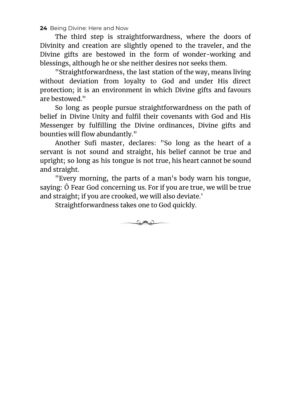The third step is straightforwardness, where the doors of Divinity and creation are slightly opened to the traveler, and the Divine gifts are bestowed in the form of wonder-working and blessings, although he or she neither desires nor seeks them.

"Straightforwardness, the last station of the way, means living without deviation from loyalty to God and under His direct protection; it is an environment in which Divine gifts and favours are bestowed."

So long as people pursue straightforwardness on the path of belief in Divine Unity and fulfil their covenants with God and His Messenger by fulfilling the Divine ordinances, Divine gifts and bounties will flow abundantly."

Another Sufi master, declares: "So long as the heart of a servant is not sound and straight, his belief cannot be true and upright; so long as his tongue is not true, his heart cannot be sound and straight.

"Every morning, the parts of a man's body warn his tongue, saying: Ô Fear God concerning us. For if you are true, we will be true and straight; if you are crooked, we will also deviate.'

 $\circ$  and  $\circ$ 

Straightforwardness takes one to God quickly.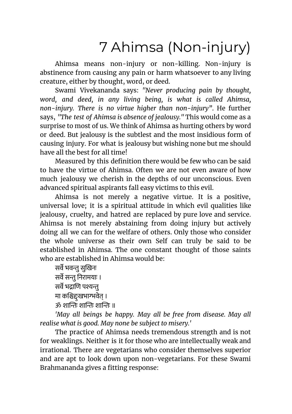# 7 Ahimsa (Non-injury)

<span id="page-24-0"></span>Ahimsa means non-injury or non-killing. Non-injury is abstinence from causing any pain or harm whatsoever to any living creature, either by thought, word, or deed.

Swami Vivekananda says: *"Never producing pain by thought, word, and deed, in any living being, is what is called Ahimsa, non-injury. There is no virtue higher than non-injury"*. He further says, *"The test of Ahimsa is absence of jealousy."* This would come as a surprise to most of us. We think of Ahimsa as hurting others by word or deed. But jealousy is the subtlest and the most insidious form of causing injury. For what is jealousy but wishing none but me should have all the best for all time!

Measured by this definition there would be few who can be said to have the virtue of Ahimsa. Often we are not even aware of how much jealousy we cherish in the depths of our unconscious. Even advanced spiritual aspirants fall easy victims to this evil.

Ahimsa is not merely a negative virtue. It is a positive, universal love; it is a spiritual attitude in which evil qualities like jealousy, cruelty, and hatred are replaced by pure love and service. Ahimsa is not merely abstaining from doing injury but actively doing all we can for the welfare of others. Only those who consider the whole universe as their own Self can truly be said to be established in Ahimsa. The one constant thought of those saints who are established in Ahimsa would be:

सर्वे भवन्त सुखिनः सर्वे सन्तु निरामयाः । सर्वे भद्राणि पश्यन्तू मा कश्चिद्दःखभाग्भवेत् ।  $\%$  शान्तिः शान्तिः शान्तिः ॥

*'May all beings be happy. May all be free from disease. May all realise what is good. May none be subject to misery.'*

The practice of Ahimsa needs tremendous strength and is not for weaklings. Neither is it for those who are intellectually weak and irrational. There are vegetarians who consider themselves superior and are apt to look down upon non-vegetarians. For these Swami Brahmananda gives a fitting response: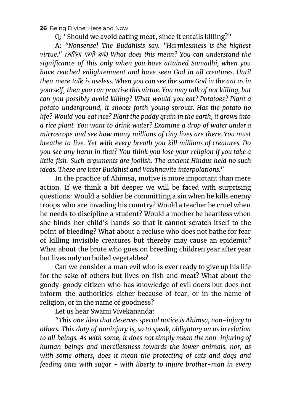Q: "Should we avoid eating meat, since it entails killing?"

A: *"Nonsense! The Buddhists say: "Harmlessness is the highest virtue."* (अहसं ा परमो धमः) *What does this mean? You can understand the significance of this only when you have attained Samadhi, when you have reached enlightenment and have seen God in all creatures. Until then mere talk is useless. When you can see the same God in the ant as in yourself, then you can practise this virtue. You may talk of not killing, but can you possibly avoid killing? What would you eat? Potatoes? Plant a potato underground, it shoots forth young sprouts. Has the potato no life? Would you eat rice? Plant the paddy grain in the earth, it grows into a rice plant. You want to drink water? Examine a drop of water under a microscope and see how many millions of tiny lives are there. You must breathe to live. Yet with every breath you kill millions of creatures. Do you see any harm in that? You think you lose your religion if you take a little fish. Such arguments are foolish. The ancient Hindus held no such ideas. These are later Buddhist and Vaishnavite interpolations."*

In the practice of Ahimsa, motive is more important than mere action. If we think a bit deeper we will be faced with surprising questions: Would a soldier be committing a sin when he kills enemy troops who are invading his country? Would a teacher be cruel when he needs to discipline a student? Would a mother be heartless when she binds her child's hands so that it cannot scratch itself to the point of bleeding? What about a recluse who does not bathe for fear of killing invisible creatures but thereby may cause an epidemic? What about the brute who goes on breeding children year after year but lives only on boiled vegetables?

Can we consider a man evil who is ever ready to give up his life for the sake of others but lives on fish and meat? What about the goody-goody citizen who has knowledge of evil doers but does not inform the authorities either because of fear, or in the name of religion, or in the name of goodness?

Let us hear Swami Vivekananda:

*"This one idea that deserves special notice is Ahimsa, non-injury to others. This duty of noninjury is, so to speak, obligatory on us in relation to all beings. As with some, it does not simply mean the non-injuring of human beings and mercilessness towards the lower animals; nor, as with some others, does it mean the protecting of cats and dogs and feeding ants with sugar - with liberty to injure brother-man in every*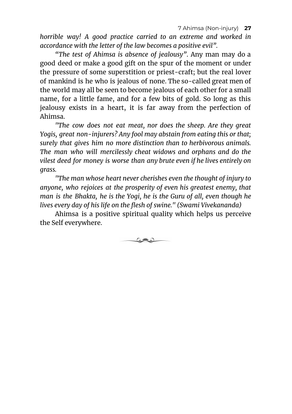*horrible way! A good practice carried to an extreme and worked in accordance with the letter of the law becomes a positive evil".*

*"The test of Ahimsa is absence of jealousy"*. Any man may do a good deed or make a good gift on the spur of the moment or under the pressure of some superstition or priest-craft; but the real lover of mankind is he who is jealous of none. The so-called great men of the world may all be seen to become jealous of each other for a small name, for a little fame, and for a few bits of gold. So long as this jealousy exists in a heart, it is far away from the perfection of Ahimsa.

*"The cow does not eat meat, nor does the sheep. Are they great Yogis, great non-injurers? Any fool may abstain from eating this or that; surely that gives him no more distinction than to herbivorous animals. The man who will mercilessly cheat widows and orphans and do the vilest deed for money is worse than any brute even if he lives entirely on grass.*

*"The man whose heart never cherishes even the thought of injury to anyone, who rejoices at the prosperity of even his greatest enemy, that man is the Bhakta, he is the Yogi, he is the Guru of all, even though he lives every day of his life on the flesh of swine." (Swami Vivekananda)*

Ahimsa is a positive spiritual quality which helps us perceive the Self everywhere.

<u>ت علاد ت</u>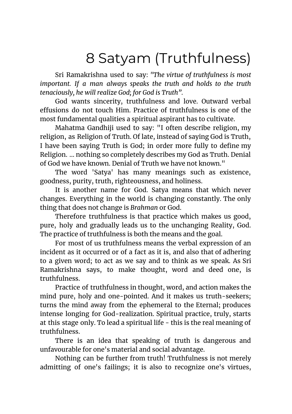### 8 Satyam (Truthfulness)

<span id="page-27-0"></span>Sri Ramakrishna used to say: *"The virtue of truthfulness is most important. If a man always speaks the truth and holds to the truth tenaciously, he will realize God; for God is Truth".*

God wants sincerity, truthfulness and love. Outward verbal effusions do not touch Him. Practice of truthfulness is one of the most fundamental qualities a spiritual aspirant has to cultivate.

Mahatma Gandhiji used to say: "I often describe religion, my religion, as Religion of Truth. Of late, instead of saying God is Truth, I have been saying Truth is God; in order more fully to define my Religion. ... nothing so completely describes my God as Truth. Denial of God we have known. Denial of Truth we have not known."

The word 'Satya' has many meanings such as existence, goodness, purity, truth, righteousness, and holiness.

It is another name for God. Satya means that which never changes. Everything in the world is changing constantly. The only thing that does not change is *Brahman* or God.

Therefore truthfulness is that practice which makes us good, pure, holy and gradually leads us to the unchanging Reality, God. The practice of truthfulness is both the means and the goal.

For most of us truthfulness means the verbal expression of an incident as it occurred or of a fact as it is, and also that of adhering to a given word; to act as we say and to think as we speak. As Sri Ramakrishna says, to make thought, word and deed one, is truthfulness.

Practice of truthfulness in thought, word, and action makes the mind pure, holy and one-pointed. And it makes us truth-seekers; turns the mind away from the ephemeral to the Eternal; produces intense longing for God-realization. Spiritual practice, truly, starts at this stage only. To lead a spiritual life - this is the real meaning of truthfulness.

There is an idea that speaking of truth is dangerous and unfavourable for one's material and social advantage.

Nothing can be further from truth! Truthfulness is not merely admitting of one's failings; it is also to recognize one's virtues,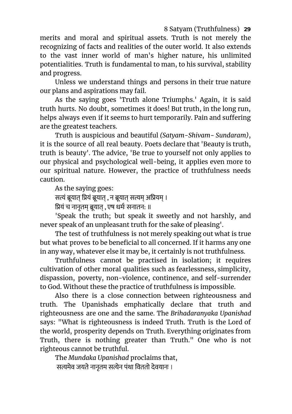#### 8 Satyam (Truthfulness) **29**

merits and moral and spiritual assets. Truth is not merely the recognizing of facts and realities of the outer world. It also extends to the vast inner world of man's higher nature, his unlimited potentialities. Truth is fundamental to man, to his survival, stability and progress.

Unless we understand things and persons in their true nature our plans and aspirations may fail.

As the saying goes 'Truth alone Triumphs.' Again, it is said truth hurts. No doubt, sometimes it does! But truth, in the long run, helps always even if it seems to hurt temporarily. Pain and suffering are the greatest teachers.

Truth is auspicious and beautiful *(Satyam-Shivam- Sundaram)*, it is the source of all real beauty. Poets declare that 'Beauty is truth, truth is beauty'. The advice, 'Be true to yourself not only applies to our physical and psychological well-being, it applies even more to our spiritual nature. However, the practice of truthfulness needs caution.

As the saying goes:

सत्यं ब्रूयात् प्रियं ब्रूयात् , न ब्रूयात् सत्यम् अप्रियम् ।

ियं च नानृतम् ूयात् , एष धमः सनातन: ॥

'Speak the truth; but speak it sweetly and not harshly, and never speak of an unpleasant truth for the sake of pleasing'.

The test of truthfulness is not merely speaking out what is true but what proves to be beneficial to all concerned. If it harms any one in any way, whatever else it may be, it certainly is not truthfulness.

Truthfulness cannot be practised in isolation; it requires cultivation of other moral qualities such as fearlessness, simplicity, dispassion, poverty, non-violence, continence, and self-surrender to God. Without these the practice of truthfulness is impossible.

Also there is a close connection between righteousness and truth. The Upanishads emphatically declare that truth and righteousness are one and the same. The *Brihadaranyaka Upanishad* says: "What is righteousness is indeed Truth. Truth is the Lord of the world, prosperity depends on Truth. Everything originates from Truth, there is nothing greater than Truth." One who is not righteous cannot be truthful.

The *Mundaka Upanishad* proclaims that, सत्यमेव जयते नानतम सत्येन पंथा विततो देवयानः ।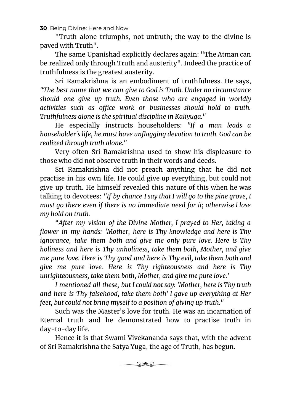"Truth alone triumphs, not untruth; the way to the divine is paved with Truth".

The same Upanishad explicitly declares again: "The Atman can be realized only through Truth and austerity". Indeed the practice of truthfulness is the greatest austerity.

Sri Ramakrishna is an embodiment of truthfulness. He says, *"The best name that we can give to God is Truth. Under no circumstance should one give up truth. Even those who are engaged in worldly activities such as office work or businesses should hold to truth. Truthfulness alone is the spiritual discipline in Kaliyuga."*

He especially instructs householders: *"If a man leads a householder's life, he must have unflagging devotion to truth. God can be realized through truth alone."*

Very often Sri Ramakrishna used to show his displeasure to those who did not observe truth in their words and deeds.

Sri Ramakrishna did not preach anything that he did not practise in his own life. He could give up everything, but could not give up truth. He himself revealed this nature of this when he was talking to devotees: *"If by chance I say that I will go to the pine grove, I must go there even if there is no immediate need for it; otherwise I lose my hold on truth.*

*"After my vision of the Divine Mother, I prayed to Her, taking a flower in my hands: 'Mother, here is Thy knowledge and here is Thy ignorance, take them both and give me only pure love. Here is Thy holiness and here is Thy unholiness, take them both, Mother, and give me pure love. Here is Thy good and here is Thy evil, take them both and give me pure love. Here is Thy righteousness and here is Thy unrighteousness, take them both, Mother, and give me pure love.'*

*I mentioned all these, but I could not say: 'Mother, here is Thy truth and here is Thy falsehood, take them both' I gave up everything at Her feet, but could not bring myself to a position of giving up truth."*

Such was the Master's love for truth. He was an incarnation of Eternal truth and he demonstrated how to practise truth in day-to-day life.

Hence it is that Swami Vivekananda says that, with the advent of Sri Ramakrishna the Satya Yuga, the age of Truth, has begun.

 $\circ$  and  $\circ$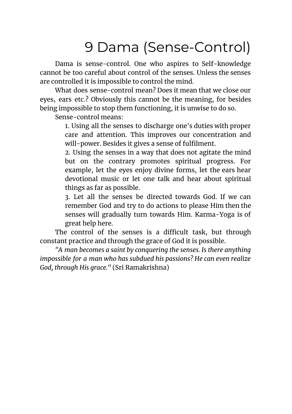# 9 Dama (Sense-Control)

<span id="page-30-0"></span>Dama is sense-control. One who aspires to Self-knowledge cannot be too careful about control of the senses. Unless the senses are controlled it is impossible to control the mind.

What does sense-control mean? Does it mean that we close our eyes, ears etc.? Obviously this cannot be the meaning, for besides being impossible to stop them functioning, it is unwise to do so.

Sense-control means:

1. Using all the senses to discharge one's duties with proper care and attention. This improves our concentration and will-power. Besides it gives a sense of fulfilment.

2. Using the senses in a way that does not agitate the mind but on the contrary promotes spiritual progress. For example, let the eyes enjoy divine forms, let the ears hear devotional music or let one talk and hear about spiritual things as far as possible.

3. Let all the senses be directed towards God. If we can remember God and try to do actions to please Him then the senses will gradually turn towards Him. Karma-Yoga is of great help here.

The control of the senses is a difficult task, but through constant practice and through the grace of God it is possible.

*"A man becomes a saint by conquering the senses. Is there anything impossible for a man who has subdued his passions? He can even realize God, through His grace."* (Sri Ramakrishna)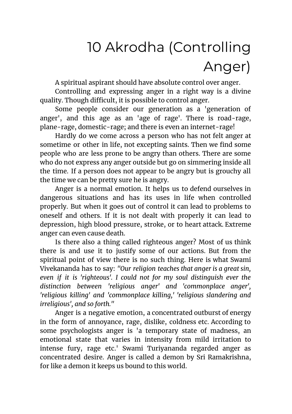# 10 Akrodha (Controlling Anger)

<span id="page-31-0"></span>A spiritual aspirant should have absolute control over anger.

Controlling and expressing anger in a right way is a divine quality. Though difficult, it is possible to control anger.

Some people consider our generation as a 'generation of anger', and this age as an 'age of rage'. There is road-rage, plane-rage, domestic-rage; and there is even an internet-rage!

Hardly do we come across a person who has not felt anger at sometime or other in life, not excepting saints. Then we find some people who are less prone to be angry than others. There are some who do not express any anger outside but go on simmering inside all the time. If a person does not appear to be angry but is grouchy all the time we can be pretty sure he is angry.

Anger is a normal emotion. It helps us to defend ourselves in dangerous situations and has its uses in life when controlled properly. But when it goes out of control it can lead to problems to oneself and others. If it is not dealt with properly it can lead to depression, high blood pressure, stroke, or to heart attack. Extreme anger can even cause death.

Is there also a thing called righteous anger? Most of us think there is and use it to justify some of our actions. But from the spiritual point of view there is no such thing. Here is what Swami Vivekananda has to say: *"Our religion teaches that anger is a great sin, even if it is 'righteous'. I could not for my soul distinguish ever the distinction between 'religious anger' and 'commonplace anger', 'religious killing' and 'commonplace killing,' 'religious slandering and irreligious', and so forth."*

Anger is a negative emotion, a concentrated outburst of energy in the form of annoyance, rage, dislike, coldness etc. According to some psychologists anger is 'a temporary state of madness, an emotional state that varies in intensity from mild irritation to intense fury, rage etc.' Swami Turiyananda regarded anger as concentrated desire. Anger is called a demon by Sri Ramakrishna, for like a demon it keeps us bound to this world.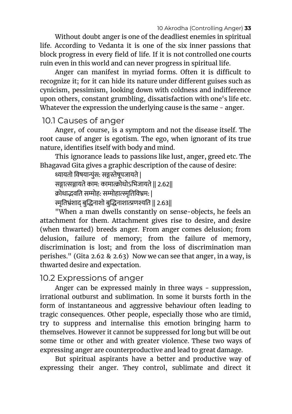Without doubt anger is one of the deadliest enemies in spiritual life. According to Vedanta it is one of the six inner passions that block progress in every field of life. If it is not controlled one courts ruin even in this world and can never progress in spiritual life.

Anger can manifest in myriad forms. Often it is difficult to recognize it; for it can hide its nature under different guises such as cynicism, pessimism, looking down with coldness and indifference upon others, constant grumbling, dissatisfaction with one's life etc. Whatever the expression the underlying cause is the same - anger.

### <span id="page-32-0"></span>10.1 Causes of anger

Anger, of course, is a symptom and not the disease itself. The root cause of anger is egotism. The ego, when ignorant of its true nature, identifies itself with body and mind.

This ignorance leads to passions like lust, anger, greed etc. The Bhagavad Gita gives a graphic description of the cause of desire:

ध्यायतो विषयान्पुंस: सङ्गस्तेषुपजायते |

सङ्गात्सञ्जायते काम: कामात्क्रोधोऽभिजायते || 2.62||

क्रोधाद्भवति सम्मोह: सम्मोहात्स्मृतिविभ्रम: |

स्मृतिभ्रंशाद् बुद्धिनाशो बुद्धिनाशात्प्रणश्यति || 2.63||

"When a man dwells constantly on sense-objects, he feels an attachment for them. Attachment gives rise to desire, and desire (when thwarted) breeds anger. From anger comes delusion; from delusion, failure of memory; from the failure of memory, discrimination is lost; and from the loss of discrimination man perishes." (Gita 2.62 & 2.63) Now we can see that anger, in a way, is thwarted desire and expectation.

### <span id="page-32-1"></span>10.2 Expressions of anger

Anger can be expressed mainly in three ways - suppression, irrational outburst and sublimation. In some it bursts forth in the form of instantaneous and aggressive behaviour often leading to tragic consequences. Other people, especially those who are timid, try to suppress and internalise this emotion bringing harm to themselves. However it cannot be suppressed for long but will be out some time or other and with greater violence. These two ways of expressing anger are counterproductive and lead to great damage.

But spiritual aspirants have a better and productive way of expressing their anger. They control, sublimate and direct it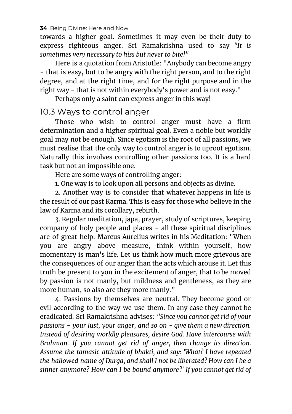towards a higher goal. Sometimes it may even be their duty to express righteous anger. Sri Ramakrishna used to say *"It is sometimes very necessary to hiss but never to bite!"*

Here is a quotation from Aristotle: "Anybody can become angry - that is easy, but to be angry with the right person, and to the right degree, and at the right time, and for the right purpose and in the right way - that is not within everybody's power and is not easy."

Perhaps only a saint can express anger in this way!

### <span id="page-33-0"></span>10.3 Ways to control anger

Those who wish to control anger must have a firm determination and a higher spiritual goal. Even a noble but worldly goal may not be enough. Since egotism is the root of all passions, we must realise that the only way to control anger is to uproot egotism. Naturally this involves controlling other passions too. It is a hard task but not an impossible one.

Here are some ways of controlling anger:

1. One way is to look upon all persons and objects as divine.

2. Another way is to consider that whatever happens in life is the result of our past Karma. This is easy for those who believe in the law of Karma and its corollary, rebirth.

3. Regular meditation, japa, prayer, study of scriptures, keeping company of holy people and places - all these spiritual disciplines are of great help. Marcus Aurelius writes in his Meditation: "When you are angry above measure, think within yourself, how momentary is man's life. Let us think how much more grievous are the consequences of our anger than the acts which arouse it. Let this truth be present to you in the excitement of anger, that to be moved by passion is not manly, but mildness and gentleness, as they are more human, so also are they more manly."

4. Passions by themselves are neutral. They become good or evil according to the way we use them. In any case they cannot be eradicated. Sri Ramakrishna advises: *"Since you cannot get rid of your passions - your lust, your anger, and so on - give them a new direction. Instead of desiring worldly pleasures, desire God. Have intercourse with Brahman. If you cannot get rid of anger, then change its direction. Assume the tamasic attitude of bhakti, and say: 'What? I have repeated the hallowed name of Durga, and shall I not be liberated? How can I be a sinner anymore? How can I be bound anymore?' If you cannot get rid of*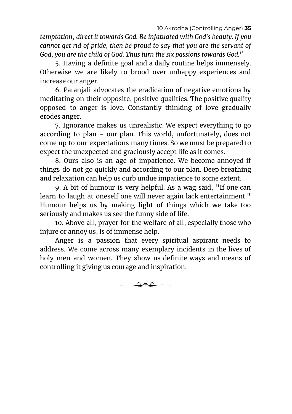10 Akrodha (Controlling Anger) **35**

*temptation, direct it towards God. Be infatuated with God's beauty. If you cannot get rid of pride, then be proud to say that you are the servant of God, you are the child of God. Thus turn the six passions towards God."*

5. Having a definite goal and a daily routine helps immensely. Otherwise we are likely to brood over unhappy experiences and increase our anger.

6. Patanjali advocates the eradication of negative emotions by meditating on their opposite, positive qualities. The positive quality opposed to anger is love. Constantly thinking of love gradually erodes anger.

7. Ignorance makes us unrealistic. We expect everything to go according to plan - our plan. This world, unfortunately, does not come up to our expectations many times. So we must be prepared to expect the unexpected and graciously accept life as it comes.

8. Ours also is an age of impatience. We become annoyed if things do not go quickly and according to our plan. Deep breathing and relaxation can help us curb undue impatience to some extent.

9. A bit of humour is very helpful. As a wag said, "If one can learn to laugh at oneself one will never again lack entertainment." Humour helps us by making light of things which we take too seriously and makes us see the funny side of life.

10. Above all, prayer for the welfare of all, especially those who injure or annoy us, is of immense help.

Anger is a passion that every spiritual aspirant needs to address. We come across many exemplary incidents in the lives of holy men and women. They show us definite ways and means of controlling it giving us courage and inspiration.

كالات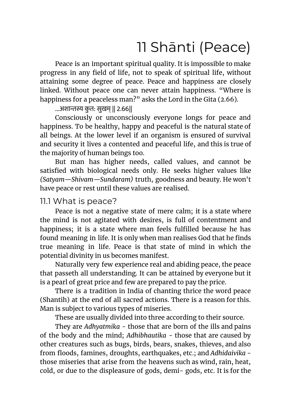# 11 Shānti (Peace)

<span id="page-35-0"></span>Peace is an important spiritual quality. It is impossible to make progress in any field of life, not to speak of spiritual life, without attaining some degree of peace. Peace and happiness are closely linked. Without peace one can never attain happiness. "Where is happiness for a peaceless man?" asks the Lord in the Gita (2.66).

#### ...अशान्तस्य कृत: सुखम् || २.६६||

Consciously or unconsciously everyone longs for peace and happiness. To be healthy, happy and peaceful is the natural state of all beings. At the lower level if an organism is ensured of survival and security it lives a contented and peaceful life, and this is true of the majority of human beings too.

But man has higher needs, called values, and cannot be satisfied with biological needs only. He seeks higher values like *(Satyam—Shivam—Sundaram)* truth, goodness and beauty. He won't have peace or rest until these values are realised.

### <span id="page-35-1"></span>11.1 What is peace?

Peace is not a negative state of mere calm; it is a state where the mind is not agitated with desires, is full of contentment and happiness; it is a state where man feels fulfilled because he has found meaning in life. It is only when man realises God that he finds true meaning in life. Peace is that state of mind in which the potential divinity in us becomes manifest.

Naturally very few experience real and abiding peace, the peace that passeth all understanding. It can be attained by everyone but it is a pearl of great price and few are prepared to pay the price.

There is a tradition in India of chanting thrice the word peace (Shantih) at the end of all sacred actions. There is a reason for this. Man is subject to various types of miseries.

These are usually divided into three according to their source.

They are *Adhyatmika* - those that are born of the ills and pains of the body and the mind; *Adhibhautika* - those that are caused by other creatures such as bugs, birds, bears, snakes, thieves, and also from floods, famines, droughts, earthquakes, etc.; and *Adhidaivika* those miseries that arise from the heavens such as wind, rain, heat, cold, or due to the displeasure of gods, demi- gods, etc. It is for the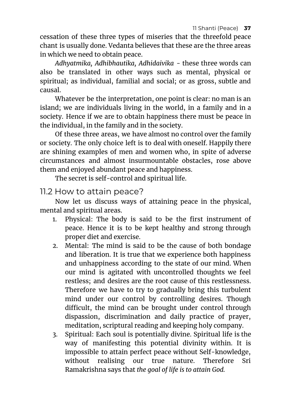11 Shanti (Peace) **37**

cessation of these three types of miseries that the threefold peace chant is usually done. Vedanta believes that these are the three areas in which we need to obtain peace.

*Adhyatmika, Adhibhautika, Adhidaivika* - these three words can also be translated in other ways such as mental, physical or spiritual; as individual, familial and social; or as gross, subtle and causal.

Whatever be the interpretation, one point is clear: no man is an island; we are individuals living in the world, in a family and in a society. Hence if we are to obtain happiness there must be peace in the individual, in the family and in the society.

Of these three areas, we have almost no control over the family or society. The only choice left is to deal with oneself. Happily there are shining examples of men and women who, in spite of adverse circumstances and almost insurmountable obstacles, rose above them and enjoyed abundant peace and happiness.

The secret is self-control and spiritual life.

11.2 How to attain peace?

Now let us discuss ways of attaining peace in the physical, mental and spiritual areas.

- 1. Physical: The body is said to be the first instrument of peace. Hence it is to be kept healthy and strong through proper diet and exercise.
- 2. Mental: The mind is said to be the cause of both bondage and liberation. It is true that we experience both happiness and unhappiness according to the state of our mind. When our mind is agitated with uncontrolled thoughts we feel restless; and desires are the root cause of this restlessness. Therefore we have to try to gradually bring this turbulent mind under our control by controlling desires. Though difficult, the mind can be brought under control through dispassion, discrimination and daily practice of prayer, meditation, scriptural reading and keeping holy company.
- 3. Spiritual: Each soul is potentially divine. Spiritual life is the way of manifesting this potential divinity within. It is impossible to attain perfect peace without Self-knowledge, without realising our true nature. Therefore Sri Ramakrishna says that *the goal of life is to attain God.*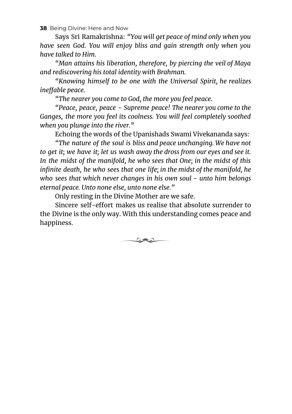Says Sri Ramakrishna: *"You will get peace of mind only when you have seen God. You will enjoy bliss and gain strength only when you have talked to Him.*

*"Man attains his liberation, therefore, by piercing the veil of Maya and rediscovering his total identity with Brahman.*

*"Knowing himself to be one with the Universal Spirit, he realizes ineffable peace.*

*"The nearer you come to God, the more you feel peace.*

*"Peace, peace, peace - Supreme peace! The nearer you come to the Ganges, the more you feel its coolness. You will feel completely soothed when you plunge into the river."*

Echoing the words of the Upanishads Swami Vivekananda says:

*"The nature of the soul is bliss and peace unchanging. We have not to get it; we have it; let us wash away the dross from our eyes and see it. In the midst of the manifold, he who sees that One; in the midst of this infinite death, he who sees that one life; in the midst of the manifold, he who sees that which never changes in his own soul - unto him belongs eternal peace. Unto none else, unto none else."*

Only resting in the Divine Mother are we safe.

Sincere self-effort makes us realise that absolute surrender to the Divine is the only way. With this understanding comes peace and happiness.

<u>ان علاد ت</u>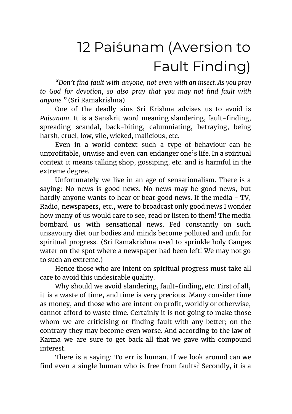# <span id="page-38-0"></span>12 Pai[śu](#page-38-0)nam (Aversion to Fault Finding)

*"Don't find fault with anyone, not even with an insect. As you pray to God for devotion, so also pray that you may not find fault with anyone."* (Sri Ramakrishna)

One of the deadly sins Sri Krishna advises us to avoid is *Paisunam*. It is a Sanskrit word meaning slandering, fault-finding, spreading scandal, back-biting, calumniating, betraying, being harsh, cruel, low, vile, wicked, malicious, etc.

Even in a world context such a type of behaviour can be unprofitable, unwise and even can endanger one's life. In a spiritual context it means talking shop, gossiping, etc. and is harmful in the extreme degree.

Unfortunately we live in an age of sensationalism. There is a saying: No news is good news. No news may be good news, but hardly anyone wants to hear or bear good news. If the media - TV, Radio, newspapers, etc., were to broadcast only good news I wonder how many of us would care to see, read or listen to them! The media bombard us with sensational news. Fed constantly on such unsavoury diet our bodies and minds become polluted and unfit for spiritual progress. (Sri Ramakrishna used to sprinkle holy Ganges water on the spot where a newspaper had been left! We may not go to such an extreme.)

Hence those who are intent on spiritual progress must take all care to avoid this undesirable quality.

Why should we avoid slandering, fault-finding, etc. First of all, it is a waste of time, and time is very precious. Many consider time as money, and those who are intent on profit, worldly or otherwise, cannot afford to waste time. Certainly it is not going to make those whom we are criticising or finding fault with any better; on the contrary they may become even worse. And according to the law of Karma we are sure to get back all that we gave with compound interest.

There is a saying: To err is human. If we look around can we find even a single human who is free from faults? Secondly, it is a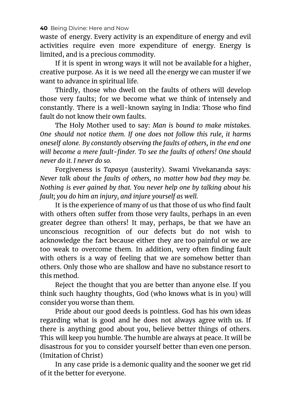waste of energy. Every activity is an expenditure of energy and evil activities require even more expenditure of energy. Energy is limited, and is a precious commodity.

If it is spent in wrong ways it will not be available for a higher, creative purpose. As it is we need all the energy we can muster if we want to advance in spiritual life.

Thirdly, those who dwell on the faults of others will develop those very faults; for we become what we think of intensely and constantly. There is a well-known saying in India: Those who find fault do not know their own faults.

The Holy Mother used to say: *Man is bound to make mistakes. One should not notice them. If one does not follow this rule, it harms oneself alone. By constantly observing the faults of others, in the end one will become a mere fault-finder. To see the faults of others! One should never do it. I never do so.*

Forgiveness is *Tapasya* (austerity). Swami Vivekananda says: *Never talk about the faults of others, no matter how bad they may be. Nothing is ever gained by that. You never help one by talking about his fault; you do him an injury, and injure yourself as well.*

It is the experience of many of us that those of us who find fault with others often suffer from those very faults, perhaps in an even greater degree than others! It may, perhaps, be that we have an unconscious recognition of our defects but do not wish to acknowledge the fact because either they are too painful or we are too weak to overcome them. In addition, very often finding fault with others is a way of feeling that we are somehow better than others. Only those who are shallow and have no substance resort to this method.

Reject the thought that you are better than anyone else. If you think such haughty thoughts, God (who knows what is in you) will consider you worse than them.

Pride about our good deeds is pointless. God has his own ideas regarding what is good and he does not always agree with us. If there is anything good about you, believe better things of others. This will keep you humble. The humble are always at peace. It will be disastrous for you to consider yourself better than even one person. (Imitation of Christ)

In any case pride is a demonic quality and the sooner we get rid of it the better for everyone.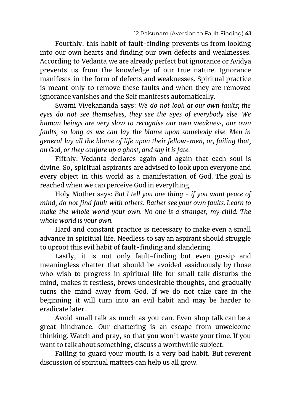Fourthly, this habit of fault-finding prevents us from looking into our own hearts and finding our own defects and weaknesses. According to Vedanta we are already perfect but ignorance or Avidya prevents us from the knowledge of our true nature. Ignorance manifests in the form of defects and weaknesses. Spiritual practice is meant only to remove these faults and when they are removed ignorance vanishes and the Self manifests automatically.

Swami Vivekananda says: *We do not look at our own faults; the eyes do not see themselves, they see the eyes of everybody else. We human beings are very slow to recognise our own weakness, our own faults, so long as we can lay the blame upon somebody else. Men in general lay all the blame of life upon their fellow-men, or, failing that, on God, or they conjure up a ghost, and say it is fate.*

Fifthly, Vedanta declares again and again that each soul is divine. So, spiritual aspirants are advised to look upon everyone and every object in this world as a manifestation of God. The goal is reached when we can perceive God in everything.

Holy Mother says: *But I tell you one thing - if you want peace of mind, do not find fault with others. Rather see your own faults. Learn to make the whole world your own. No one is a stranger, my child. The whole world is your own.*

Hard and constant practice is necessary to make even a small advance in spiritual life. Needless to say an aspirant should struggle to uproot this evil habit of fault-finding and slandering.

Lastly, it is not only fault-finding but even gossip and meaningless chatter that should be avoided assiduously by those who wish to progress in spiritual life for small talk disturbs the mind, makes it restless, brews undesirable thoughts, and gradually turns the mind away from God. If we do not take care in the beginning it will turn into an evil habit and may be harder to eradicate later.

Avoid small talk as much as you can. Even shop talk can be a great hindrance. Our chattering is an escape from unwelcome thinking. Watch and pray, so that you won't waste your time. If you want to talk about something, discuss a worthwhile subject.

Failing to guard your mouth is a very bad habit. But reverent discussion of spiritual matters can help us all grow.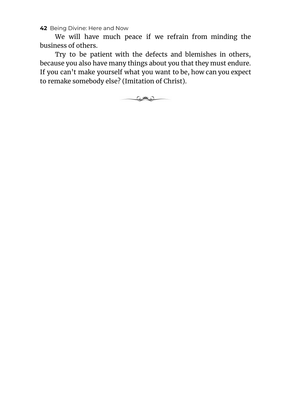We will have much peace if we refrain from minding the business of others.

Try to be patient with the defects and blemishes in others, because you also have many things about you that they must endure. If you can't make yourself what you want to be, how can you expect to remake somebody else? (Imitation of Christ).

كالات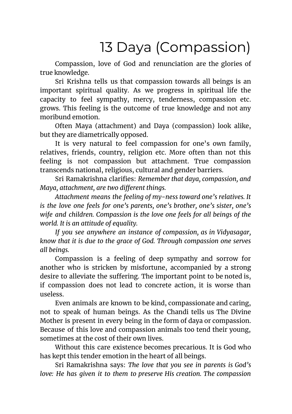## 13 Daya (Compassion)

Compassion, love of God and renunciation are the glories of true knowledge.

Sri Krishna tells us that compassion towards all beings is an important spiritual quality. As we progress in spiritual life the capacity to feel sympathy, mercy, tenderness, compassion etc. grows. This feeling is the outcome of true knowledge and not any moribund emotion.

Often Maya (attachment) and Daya (compassion) look alike, but they are diametrically opposed.

It is very natural to feel compassion for one's own family, relatives, friends, country, religion etc. More often than not this feeling is not compassion but attachment. True compassion transcends national, religious, cultural and gender barriers.

Sri Ramakrishna clarifies: *Remember that daya, compassion, and Maya, attachment, are two different things.*

*Attachment means the feeling of my-ness toward one's relatives. It is the love one feels for one's parents, one's brother, one's sister, one's wife and children. Compassion is the love one feels for all beings of the world. It is an attitude of equality.*

*If you see anywhere an instance of compassion, as in Vidyasagar, know that it is due to the grace of God. Through compassion one serves all beings.*

Compassion is a feeling of deep sympathy and sorrow for another who is stricken by misfortune, accompanied by a strong desire to alleviate the suffering. The important point to be noted is, if compassion does not lead to concrete action, it is worse than useless.

Even animals are known to be kind, compassionate and caring, not to speak of human beings. As the Chandi tells us The Divine Mother is present in every being in the form of daya or compassion. Because of this love and compassion animals too tend their young, sometimes at the cost of their own lives.

Without this care existence becomes precarious. It is God who has kept this tender emotion in the heart of all beings.

Sri Ramakrishna says: *The love that you see in parents is God's love: He has given it to them to preserve His creation. The compassion*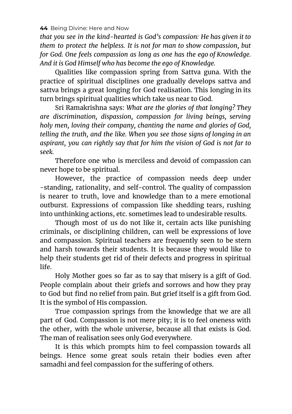*that you see in the kind-hearted is God's compassion: He has given it to them to protect the helpless. It is not for man to show compassion, but for God. One feels compassion as long as one has the ego of Knowledge. And it is God Himself who has become the ego of Knowledge.*

Qualities like compassion spring from Sattva guna. With the practice of spiritual disciplines one gradually develops sattva and sattva brings a great longing for God realisation. This longing in its turn brings spiritual qualities which take us near to God.

Sri Ramakrishna says: *What are the glories of that longing? They are discrimination, dispassion, compassion for living beings, serving holy men, loving their company, chanting the name and glories of God, telling the truth, and the like. When you see those signs of longing in an aspirant, you can rightly say that for him the vision of God is not far to seek.*

Therefore one who is merciless and devoid of compassion can never hope to be spiritual.

However, the practice of compassion needs deep under -standing, rationality, and self-control. The quality of compassion is nearer to truth, love and knowledge than to a mere emotional outburst. Expressions of compassion like shedding tears, rushing into unthinking actions, etc. sometimes lead to undesirable results.

Though most of us do not like it, certain acts like punishing criminals, or disciplining children, can well be expressions of love and compassion. Spiritual teachers are frequently seen to be stern and harsh towards their students. It is because they would like to help their students get rid of their defects and progress in spiritual life.

Holy Mother goes so far as to say that misery is a gift of God. People complain about their griefs and sorrows and how they pray to God but find no relief from pain. But grief itself is a gift from God. It is the symbol of His compassion.

True compassion springs from the knowledge that we are all part of God. Compassion is not mere pity; it is to feel oneness with the other, with the whole universe, because all that exists is God. The man of realisation sees only God everywhere.

It is this which prompts him to feel compassion towards all beings. Hence some great souls retain their bodies even after samadhi and feel compassion for the suffering of others.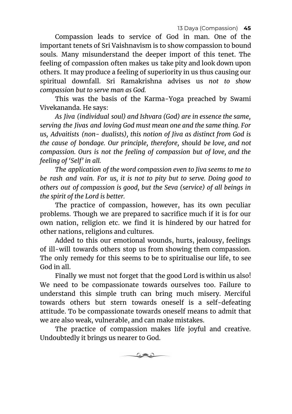Compassion leads to service of God in man. One of the important tenets of Sri Vaishnavism is to show compassion to bound souls. Many misunderstand the deeper import of this tenet. The feeling of compassion often makes us take pity and look down upon others. It may produce a feeling of superiority in us thus causing our spiritual downfall. Sri Ramakrishna advises us *not to show compassion but to serve man as God.*

This was the basis of the Karma-Yoga preached by Swami Vivekananda. He says:

*As Jiva (individual soul) and Ishvara (God) are in essence the same, serving the Jivas and loving God must mean one and the same thing. For us, Advaitists (non- dualists), this notion of Jiva as distinct from God is the cause of bondage. Our principle, therefore, should be love, and not compassion. Ours is not the feeling of compassion but of love, and the feeling of 'Self' in all.*

*The application of the word compassion even to Jiva seems to me to be rash and vain. For us, it is not to pity but to serve. Doing good to others out of compassion is good, but the Seva (service) of all beings in the spirit of the Lord is better.*

The practice of compassion, however, has its own peculiar problems. Though we are prepared to sacrifice much if it is for our own nation, religion etc. we find it is hindered by our hatred for other nations, religions and cultures.

Added to this our emotional wounds, hurts, jealousy, feelings of ill-will towards others stop us from showing them compassion. The only remedy for this seems to be to spiritualise our life, to see God in all.

Finally we must not forget that the good Lord is within us also! We need to be compassionate towards ourselves too. Failure to understand this simple truth can bring much misery. Merciful towards others but stern towards oneself is a self-defeating attitude. To be compassionate towards oneself means to admit that we are also weak, vulnerable, and can make mistakes.

The practice of compassion makes life joyful and creative. Undoubtedly it brings us nearer to God.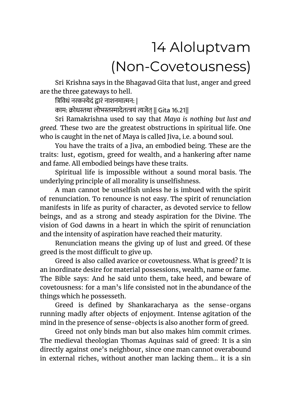# 14 Aloluptvam (Non-Covetousness)

Sri Krishna says in the Bhagavad Gita that lust, anger and greed are the three gateways to hell.

त्रिविधं नरकस्येदं द्वारं नाशनमात्मन: |

काम: क्रोधस्तथा लोभस्तस्मादेतत्त्रयं त्यजेत || Gita 16.21||

Sri Ramakrishna used to say that *Maya is nothing but lust and greed.* These two are the greatest obstructions in spiritual life. One who is caught in the net of Maya is called Jiva, i.e. a bound soul.

You have the traits of a Jiva, an embodied being. These are the traits: lust, egotism, greed for wealth, and a hankering after name and fame. All embodied beings have these traits.

Spiritual life is impossible without a sound moral basis. The underlying principle of all morality is unselfishness.

A man cannot be unselfish unless he is imbued with the spirit of renunciation. To renounce is not easy. The spirit of renunciation manifests in life as purity of character, as devoted service to fellow beings, and as a strong and steady aspiration for the Divine. The vision of God dawns in a heart in which the spirit of renunciation and the intensity of aspiration have reached their maturity.

Renunciation means the giving up of lust and greed. Of these greed is the most difficult to give up.

Greed is also called avarice or covetousness. What is greed? It is an inordinate desire for material possessions, wealth, name or fame. The Bible says: And he said unto them, take heed, and beware of covetousness: for a man's life consisted not in the abundance of the things which he possesseth.

Greed is defined by Shankaracharya as the sense-organs running madly after objects of enjoyment. Intense agitation of the mind in the presence of sense-objects is also another form of greed.

Greed not only binds man but also makes him commit crimes. The medieval theologian Thomas Aquinas said of greed: It is a sin directly against one's neighbour, since one man cannot overabound in external riches, without another man lacking them... it is a sin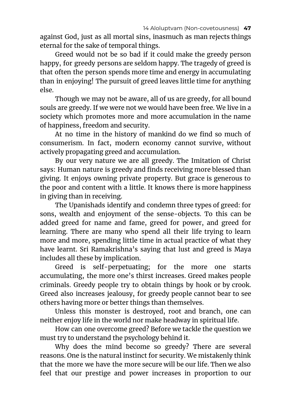against God, just as all mortal sins, inasmuch as man rejects things eternal for the sake of temporal things.

Greed would not be so bad if it could make the greedy person happy, for greedy persons are seldom happy. The tragedy of greed is that often the person spends more time and energy in accumulating than in enjoying! The pursuit of greed leaves little time for anything else.

Though we may not be aware, all of us are greedy, for all bound souls are greedy. If we were not we would have been free. We live in a society which promotes more and more accumulation in the name of happiness, freedom and security.

At no time in the history of mankind do we find so much of consumerism. In fact, modern economy cannot survive, without actively propagating greed and accumulation.

By our very nature we are all greedy. The Imitation of Christ says: Human nature is greedy and finds receiving more blessed than giving. It enjoys owning private property. But grace is generous to the poor and content with a little. It knows there is more happiness in giving than in receiving.

The Upanishads identify and condemn three types of greed: for sons, wealth and enjoyment of the sense-objects. To this can be added greed for name and fame, greed for power, and greed for learning. There are many who spend all their life trying to learn more and more, spending little time in actual practice of what they have learnt. Sri Ramakrishna's saying that lust and greed is Maya includes all these by implication.

Greed is self-perpetuating; for the more one starts accumulating, the more one's thirst increases. Greed makes people criminals. Greedy people try to obtain things by hook or by crook. Greed also increases jealousy, for greedy people cannot bear to see others having more or better things than themselves.

Unless this monster is destroyed, root and branch, one can neither enjoy life in the world nor make headway in spiritual life.

How can one overcome greed? Before we tackle the question we must try to understand the psychology behind it.

Why does the mind become so greedy? There are several reasons. One is the natural instinct for security. We mistakenly think that the more we have the more secure will be our life. Then we also feel that our prestige and power increases in proportion to our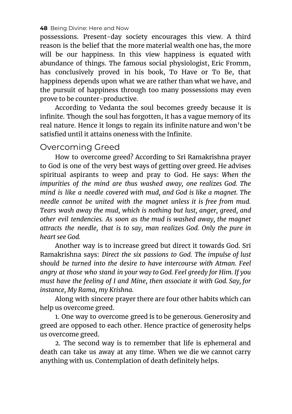possessions. Present-day society encourages this view. A third reason is the belief that the more material wealth one has, the more will be our happiness. In this view happiness is equated with abundance of things. The famous social physiologist, Eric Fromm, has conclusively proved in his book, To Have or To Be, that happiness depends upon what we are rather than what we have, and the pursuit of happiness through too many possessions may even prove to be counter-productive.

According to Vedanta the soul becomes greedy because it is infinite. Though the soul has forgotten, it has a vague memory of its real nature. Hence it longs to regain its infinite nature and won't be satisfied until it attains oneness with the Infinite.

### Overcoming Greed

How to overcome greed? According to Sri Ramakrishna prayer to God is one of the very best ways of getting over greed. He advises spiritual aspirants to weep and pray to God. He says: *When the impurities of the mind are thus washed away, one realizes God. The mind is like a needle covered with mud, and God is like a magnet. The needle cannot be united with the magnet unless it is free from mud. Tears wash away the mud, which is nothing but lust, anger, greed, and other evil tendencies. As soon as the mud is washed away, the magnet attracts the needle, that is to say, man realizes God. Only the pure in heart see God.*

Another way is to increase greed but direct it towards God. Sri Ramakrishna says: *Direct the six passions to God. The impulse of lust should be turned into the desire to have intercourse with Atman. Feel angry at those who stand in your way to God. Feel greedy for Him. If you must have the feeling of I and Mine, then associate it with God. Say, for instance, My Rama, my Krishna.*

Along with sincere prayer there are four other habits which can help us overcome greed.

1. One way to overcome greed is to be generous. Generosity and greed are opposed to each other. Hence practice of generosity helps us overcome greed.

2. The second way is to remember that life is ephemeral and death can take us away at any time. When we die we cannot carry anything with us. Contemplation of death definitely helps.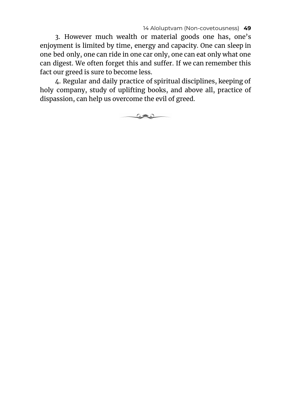14 Aloluptvam (Non-covetousness) **49**

3. However much wealth or material goods one has, one's enjoyment is limited by time, energy and capacity. One can sleep in one bed only, one can ride in one car only, one can eat only what one can digest. We often forget this and suffer. If we can remember this fact our greed is sure to become less.

4. Regular and daily practice of spiritual disciplines, keeping of holy company, study of uplifting books, and above all, practice of dispassion, can help us overcome the evil of greed.

 $\circ$  and  $\circ$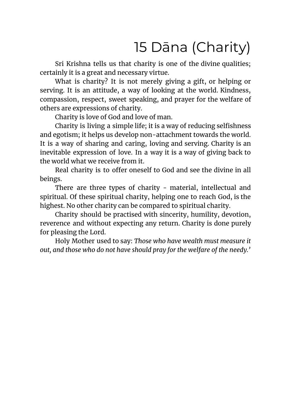## 15 Dāna (Charity)

Sri Krishna tells us that charity is one of the divine qualities; certainly it is a great and necessary virtue.

What is charity? It is not merely giving a gift, or helping or serving. It is an attitude, a way of looking at the world. Kindness, compassion, respect, sweet speaking, and prayer for the welfare of others are expressions of charity.

Charity is love of God and love of man.

Charity is living a simple life; it is a way of reducing selfishness and egotism; it helps us develop non-attachment towards the world. It is a way of sharing and caring, loving and serving. Charity is an inevitable expression of love. In a way it is a way of giving back to the world what we receive from it.

Real charity is to offer oneself to God and see the divine in all beings.

There are three types of charity - material, intellectual and spiritual. Of these spiritual charity, helping one to reach God, is the highest. No other charity can be compared to spiritual charity.

Charity should be practised with sincerity, humility, devotion, reverence and without expecting any return. Charity is done purely for pleasing the Lord.

Holy Mother used to say: *Those who have wealth must measure it out, and those who do not have should pray for the welfare of the needy.'*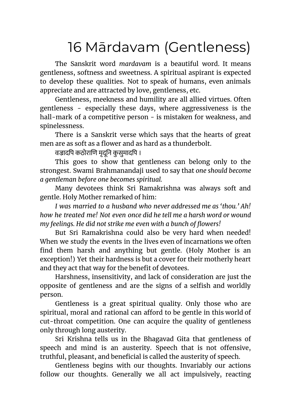### 16 Mārdavam (Gentleness)

The Sanskrit word *mardavam* is a beautiful word. It means gentleness, softness and sweetness. A spiritual aspirant is expected to develop these qualities. Not to speak of humans, even animals appreciate and are attracted by love, gentleness, etc.

Gentleness, meekness and humility are all allied virtues. Often gentleness - especially these days, where aggressiveness is the hall-mark of a competitive person - is mistaken for weakness, and spinelessness.

There is a Sanskrit verse which says that the hearts of great men are as soft as a flower and as hard as a thunderbolt.

वज्रादपि कठोराणि मृदूनि कुसुमादपि ।

This goes to show that gentleness can belong only to the strongest. Swami Brahmanandaji used to say that *one should become a gentleman before one becomes spiritual.*

Many devotees think Sri Ramakrishna was always soft and gentle. Holy Mother remarked of him:

*I was married to a husband who never addressed me as 'thou.' Ah! how he treated me! Not even once did he tell me a harsh word or wound my feelings. He did not strike me even with a bunch of flowers!*

But Sri Ramakrishna could also be very hard when needed! When we study the events in the lives even of incarnations we often find them harsh and anything but gentle. (Holy Mother is an exception!) Yet their hardness is but a cover for their motherly heart and they act that way for the benefit of devotees.

Harshness, insensitivity, and lack of consideration are just the opposite of gentleness and are the signs of a selfish and worldly person.

Gentleness is a great spiritual quality. Only those who are spiritual, moral and rational can afford to be gentle in this world of cut-throat competition. One can acquire the quality of gentleness only through long austerity.

Sri Krishna tells us in the Bhagavad Gita that gentleness of speech and mind is an austerity. Speech that is not offensive, truthful, pleasant, and beneficial is called the austerity of speech.

Gentleness begins with our thoughts. Invariably our actions follow our thoughts. Generally we all act impulsively, reacting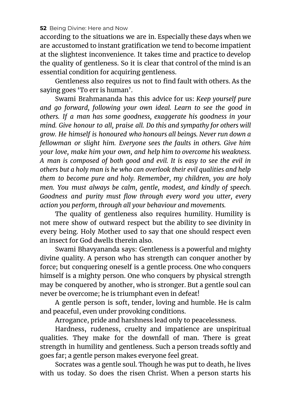according to the situations we are in. Especially these days when we are accustomed to instant gratification we tend to become impatient at the slightest inconvenience. It takes time and practice to develop the quality of gentleness. So it is clear that control of the mind is an essential condition for acquiring gentleness.

Gentleness also requires us not to find fault with others. As the saying goes 'To err is human'.

Swami Brahmananda has this advice for us: *Keep yourself pure and go forward, following your own ideal. Learn to see the good in others. If a man has some goodness, exaggerate his goodness in your mind. Give honour to all, praise all. Do this and sympathy for others will grow. He himself is honoured who honours all beings. Never run down a fellowman or slight him. Everyone sees the faults in others. Give him your love, make him your own, and help him to overcome his weakness. A man is composed of both good and evil. It is easy to see the evil in others but a holy man is he who can overlook their evil qualities and help them to become pure and holy. Remember, my children, you are holy men. You must always be calm, gentle, modest, and kindly of speech. Goodness and purity must flow through every word you utter, every action you perform, through all your behaviour and movements.*

The quality of gentleness also requires humility. Humility is not mere show of outward respect but the ability to see divinity in every being. Holy Mother used to say that one should respect even an insect for God dwells therein also.

Swami Bhavyananda says: Gentleness is a powerful and mighty divine quality. A person who has strength can conquer another by force; but conquering oneself is a gentle process. One who conquers himself is a mighty person. One who conquers by physical strength may be conquered by another, who is stronger. But a gentle soul can never be overcome; he is triumphant even in defeat!

A gentle person is soft, tender, loving and humble. He is calm and peaceful, even under provoking conditions.

Arrogance, pride and harshness lead only to peacelessness.

Hardness, rudeness, cruelty and impatience are unspiritual qualities. They make for the downfall of man. There is great strength in humility and gentleness. Such a person treads softly and goes far; a gentle person makes everyone feel great.

Socrates was a gentle soul. Though he was put to death, he lives with us today. So does the risen Christ. When a person starts his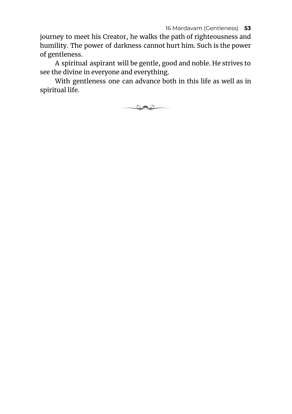journey to meet his Creator, he walks the path of righteousness and humility. The power of darkness cannot hurt him. Such is the power of gentleness.

A spiritual aspirant will be gentle, good and noble. He strives to see the divine in everyone and everything.

With gentleness one can advance both in this life as well as in spiritual life.

كالات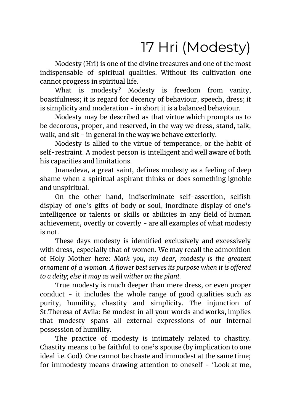# 17 Hri (Modesty)

Modesty (Hri) is one of the divine treasures and one of the most indispensable of spiritual qualities. Without its cultivation one cannot progress in spiritual life.

What is modesty? Modesty is freedom from vanity, boastfulness; it is regard for decency of behaviour, speech, dress; it is simplicity and moderation - in short it is a balanced behaviour.

Modesty may be described as that virtue which prompts us to be decorous, proper, and reserved, in the way we dress, stand, talk, walk, and sit - in general in the way we behave exteriorly.

Modesty is allied to the virtue of temperance, or the habit of self-restraint. A modest person is intelligent and well aware of both his capacities and limitations.

Jnanadeva, a great saint, defines modesty as a feeling of deep shame when a spiritual aspirant thinks or does something ignoble and unspiritual.

On the other hand, indiscriminate self-assertion, selfish display of one's gifts of body or soul, inordinate display of one's intelligence or talents or skills or abilities in any field of human achievement, overtly or covertly - are all examples of what modesty is not.

These days modesty is identified exclusively and excessively with dress, especially that of women. We may recall the admonition of Holy Mother here: *Mark you, my dear, modesty is the greatest ornament of a woman. A flower best serves its purpose when it is offered to a deity; else it may as well wither on the plant.*

True modesty is much deeper than mere dress, or even proper conduct - it includes the whole range of good qualities such as purity, humility, chastity and simplicity. The injunction of St.Theresa of Avila: Be modest in all your words and works, implies that modesty spans all external expressions of our internal possession of humility.

The practice of modesty is intimately related to chastity. Chastity means to be faithful to one's spouse (by implication to one ideal i.e. God). One cannot be chaste and immodest at the same time; for immodesty means drawing attention to oneself - 'Look at me,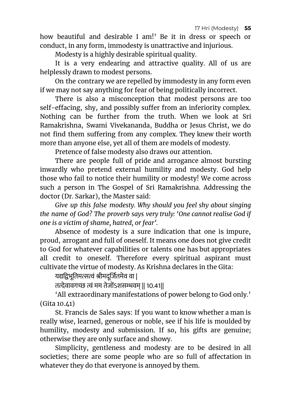how beautiful and desirable I am!' Be it in dress or speech or conduct, in any form, immodesty is unattractive and injurious.

Modesty is a highly desirable spiritual quality.

It is a very endearing and attractive quality. All of us are helplessly drawn to modest persons.

On the contrary we are repelled by immodesty in any form even if we may not say anything for fear of being politically incorrect.

There is also a misconception that modest persons are too self-effacing, shy, and possibly suffer from an inferiority complex. Nothing can be further from the truth. When we look at Sri Ramakrishna, Swami Vivekananda, Buddha or Jesus Christ, we do not find them suffering from any complex. They knew their worth more than anyone else, yet all of them are models of modesty.

Pretence of false modesty also draws our attention.

There are people full of pride and arrogance almost bursting inwardly who pretend external humility and modesty. God help those who fail to notice their humility or modesty! We come across such a person in The Gospel of Sri Ramakrishna. Addressing the doctor (Dr. Sarkar), the Master said:

*Give up this false modesty. Why should you feel shy about singing the name of God? The proverb says very truly: 'One cannot realise God if one is a victim of shame, hatred, or fear'.*

Absence of modesty is a sure indication that one is impure, proud, arrogant and full of oneself. It means one does not give credit to God for whatever capabilities or talents one has but appropriates all credit to oneself. Therefore every spiritual aspirant must cultivate the virtue of modesty. As Krishna declares in the Gita:

यद्यद्विभूतिमत्सत्वं श्रीमदूर्जितमेव वा |

तत्देवावगच्छ त्वं मम तेजोंऽशसम्भवम् || १०.४१||

'All extraordinary manifestations of power belong to God only.' (Gita 10.41)

St. Francis de Sales says: If you want to know whether a man is really wise, learned, generous or noble, see if his life is moulded by humility, modesty and submission. If so, his gifts are genuine; otherwise they are only surface and showy.

Simplicity, gentleness and modesty are to be desired in all societies; there are some people who are so full of affectation in whatever they do that everyone is annoyed by them.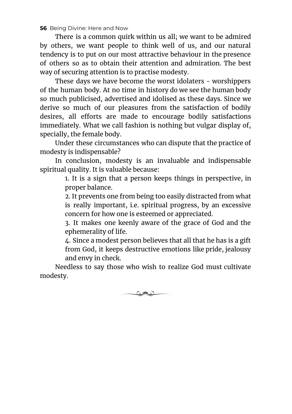There is a common quirk within us all; we want to be admired by others, we want people to think well of us, and our natural tendency is to put on our most attractive behaviour in the presence of others so as to obtain their attention and admiration. The best way of securing attention is to practise modesty.

These days we have become the worst idolaters - worshippers of the human body. At no time in history do we see the human body so much publicised, advertised and idolised as these days. Since we derive so much of our pleasures from the satisfaction of bodily desires, all efforts are made to encourage bodily satisfactions immediately. What we call fashion is nothing but vulgar display of, specially, the female body.

Under these circumstances who can dispute that the practice of modesty is indispensable?

In conclusion, modesty is an invaluable and indispensable spiritual quality. It is valuable because:

> 1. It is a sign that a person keeps things in perspective, in proper balance.

> 2. It prevents one from being too easily distracted from what is really important, i.e. spiritual progress, by an excessive concern for how one is esteemed or appreciated.

> 3. It makes one keenly aware of the grace of God and the ephemerality of life.

> 4. Since a modest person believes that all that he has is a gift from God, it keeps destructive emotions like pride, jealousy and envy in check.

Needless to say those who wish to realize God must cultivate modesty.

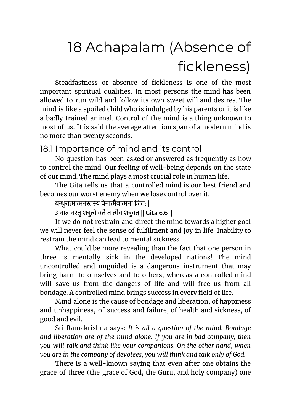# 18 Achapalam (Absence of fickleness)

Steadfastness or absence of fickleness is one of the most important spiritual qualities. In most persons the mind has been allowed to run wild and follow its own sweet will and desires. The mind is like a spoiled child who is indulged by his parents or it is like a badly trained animal. Control of the mind is a thing unknown to most of us. It is said the average attention span of a modern mind is no more than twenty seconds.

### 18.1 Importance of mind and its control

No question has been asked or answered as frequently as how to control the mind. Our feeling of well-being depends on the state of our mind. The mind plays a most crucial role in human life.

The Gita tells us that a controlled mind is our best friend and becomes our worst enemy when we lose control over it.

बन्धुरात्मात्मनस्तस्य येनात्मैवात्मना जित: |

अनात्मनस्तु शत्रुत्वे वर्ते तात्मैव शत्रुवत् || Gita 6.6 ||

If we do not restrain and direct the mind towards a higher goal we will never feel the sense of fulfilment and joy in life. Inability to restrain the mind can lead to mental sickness.

What could be more revealing than the fact that one person in three is mentally sick in the developed nations! The mind uncontrolled and unguided is a dangerous instrument that may bring harm to ourselves and to others, whereas a controlled mind will save us from the dangers of life and will free us from all bondage. A controlled mind brings success in every field of life.

Mind alone is the cause of bondage and liberation, of happiness and unhappiness, of success and failure, of health and sickness, of good and evil.

Sri Ramakrishna says: *It is all a question of the mind. Bondage and liberation are of the mind alone. If you are in bad company, then you will talk and think like your companions. On the other hand, when you are in the company of devotees, you will think and talk only of God.*

There is a well-known saying that even after one obtains the grace of three (the grace of God, the Guru, and holy company) one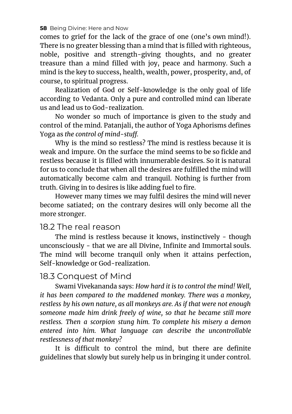comes to grief for the lack of the grace of one (one's own mind!). There is no greater blessing than a mind that is filled with righteous, noble, positive and strength-giving thoughts, and no greater treasure than a mind filled with joy, peace and harmony. Such a mind is the key to success, health, wealth, power, prosperity, and, of course, to spiritual progress.

Realization of God or Self-knowledge is the only goal of life according to Vedanta. Only a pure and controlled mind can liberate us and lead us to God-realization.

No wonder so much of importance is given to the study and control of the mind. Patanjali, the author of Yoga Aphorisms defines Yoga as *the control of mind-stuff.*

Why is the mind so restless? The mind is restless because it is weak and impure. On the surface the mind seems to be so fickle and restless because it is filled with innumerable desires. So it is natural for us to conclude that when all the desires are fulfilled the mind will automatically become calm and tranquil. Nothing is further from truth. Giving in to desires is like adding fuel to fire.

However many times we may fulfil desires the mind will never become satiated; on the contrary desires will only become all the more stronger.

#### 18.2 The real reason

The mind is restless because it knows, instinctively - though unconsciously - that we are all Divine, Infinite and Immortal souls. The mind will become tranquil only when it attains perfection, Self-knowledge or God-realization.

### 18.3 Conquest of Mind

Swami Vivekananda says: *How hard it is to control the mind! Well, it has been compared to the maddened monkey. There was a monkey, restless by his own nature, as all monkeys are. As if that were not enough someone made him drink freely of wine, so that he became still more restless. Then a scorpion stung him. To complete his misery a demon entered into him. What language can describe the uncontrollable restlessness of that monkey?*

It is difficult to control the mind, but there are definite guidelines that slowly but surely help us in bringing it under control.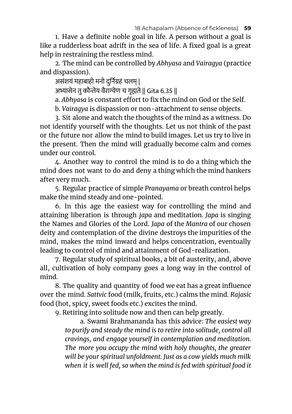1. Have a definite noble goal in life. A person without a goal is like a rudderless boat adrift in the sea of life. A fixed goal is a great help in restraining the restless mind.

2. The mind can be controlled by *Abhyasa* and *Vairagya* (practice and dispassion).

असंशयं महाबाहो मनो दुर्निग्रहं चलम् |

अभ्यासेन तु कौन्तेय वैराग्येण च गृह्यते || Gita 6.35 ||

a. *Abhyasa* is constant effort to fix the mind on God or the Self.

b. *Vairagya* is dispassion or non-attachment to sense objects.

3. Sit alone and watch the thoughts of the mind as a witness. Do not identify yourself with the thoughts. Let us not think of the past or the future nor allow the mind to build images. Let us try to live in the present. Then the mind will gradually become calm and comes under our control.

4. Another way to control the mind is to do a thing which the mind does not want to do and deny a thing which the mind hankers after very much.

5. Regular practice of simple *Pranayama* or breath control helps make the mind steady and one-pointed.

6. In this age the easiest way for controlling the mind and attaining liberation is through *japa* and meditation. *Japa* is singing the Names and Glories of the Lord. *Japa* of the *Mantra* of our chosen deity and contemplation of the divine destroys the impurities of the mind, makes the mind inward and helps concentration, eventually leading to control of mind and attainment of God-realization.

7. Regular study of spiritual books, a bit of austerity, and, above all, cultivation of holy company goes a long way in the control of mind.

8. The quality and quantity of food we eat has a great influence over the mind. *Sattvic* food (milk, fruits, etc.) calms the mind. *Rajasic* food (hot, spicy, sweet foods etc.) excites the mind.

9. Retiring into solitude now and then can help greatly.

a. Swami Brahmananda has this advice: *The easiest way to purify and steady the mind is to retire into solitude, control all cravings, and engage yourself in contemplation and meditation. The more you occupy the mind with holy thoughts, the greater will be your spiritual unfoldment. Just as a cow yields much milk when it is well fed, so when the mind is fed with spiritual food it*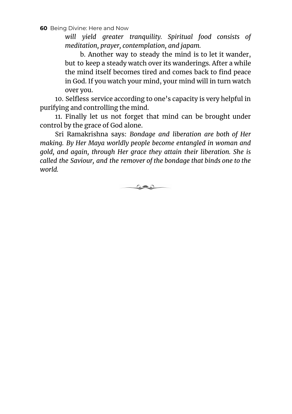*will yield greater tranquility. Spiritual food consists of meditation, prayer, contemplation, and japam.*

b. Another way to steady the mind is to let it wander, but to keep a steady watch over its wanderings. After a while the mind itself becomes tired and comes back to find peace in God. If you watch your mind, your mind will in turn watch over you.

10. Selfless service according to one's capacity is very helpful in purifying and controlling the mind.

11. Finally let us not forget that mind can be brought under control by the grace of God alone.

Sri Ramakrishna says: *Bondage and liberation are both of Her making. By Her Maya worldly people become entangled in woman and gold, and again, through Her grace they attain their liberation. She is called the Saviour, and the remover of the bondage that binds one to the world.*

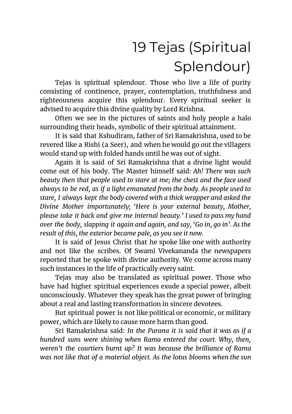# 19 Tejas (Spiritual Splendour)

Tejas is spiritual splendour. Those who live a life of purity consisting of continence, prayer, contemplation, truthfulness and righteousness acquire this splendour. Every spiritual seeker is advised to acquire this divine quality by Lord Krishna.

Often we see in the pictures of saints and holy people a halo surrounding their heads, symbolic of their spiritual attainment.

It is said that Kshudiram, father of Sri Ramakrishna, used to be revered like a Rishi (a Seer), and when he would go out the villagers would stand up with folded hands until he was out of sight.

Again it is said of Sri Ramakrishna that a divine light would come out of his body. The Master himself said: *Ah! There was such beauty then that people used to stare at me; the chest and the face used always to be red, as if a light emanated from the body. As people used to stare, I always kept the body covered with a thick wrapper and asked the Divine Mother importunately; 'Here is your external beauty, Mother, please take it back and give me internal beauty.' I used to pass my hand over the body, slapping it again and again, and say, 'Go in, go in'. As the result of this, the exterior became pale, as you see it now.*

It is said of Jesus Christ that he spoke like one with authority and not like the scribes. Of Swami Vivekananda the newspapers reported that he spoke with divine authority. We come across many such instances in the life of practically every saint.

Tejas may also be translated as spiritual power. Those who have had higher spiritual experiences exude a special power, albeit unconsciously. Whatever they speak has the great power of bringing about a real and lasting transformation in sincere devotees.

But spiritual power is not like political or economic, or military power, which are likely to cause more harm than good.

Sri Ramakrishna said: *In the Purana it is said that it was as if a hundred suns were shining when Rama entered the court. Why, then, weren't the courtiers burnt up? It was because the brilliance of Rama was not like that of a material object. As the lotus blooms when the sun*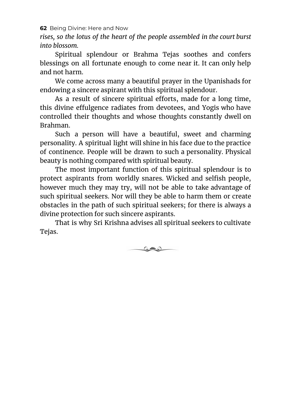*rises, so the lotus of the heart of the people assembled in the court burst into blossom.*

Spiritual splendour or Brahma Tejas soothes and confers blessings on all fortunate enough to come near it. It can only help and not harm.

We come across many a beautiful prayer in the Upanishads for endowing a sincere aspirant with this spiritual splendour.

As a result of sincere spiritual efforts, made for a long time, this divine effulgence radiates from devotees, and Yogis who have controlled their thoughts and whose thoughts constantly dwell on Brahman.

Such a person will have a beautiful, sweet and charming personality. A spiritual light will shine in his face due to the practice of continence. People will be drawn to such a personality. Physical beauty is nothing compared with spiritual beauty.

The most important function of this spiritual splendour is to protect aspirants from worldly snares. Wicked and selfish people, however much they may try, will not be able to take advantage of such spiritual seekers. Nor will they be able to harm them or create obstacles in the path of such spiritual seekers; for there is always a divine protection for such sincere aspirants.

That is why Sri Krishna advises all spiritual seekers to cultivate Tejas.

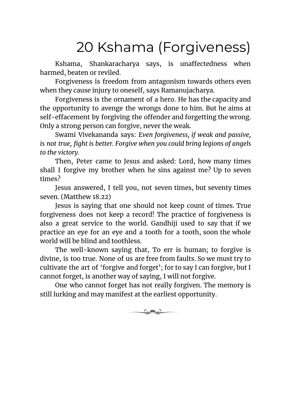### 20 Kshama (Forgiveness)

Kshama, Shankaracharya says, is unaffectedness when harmed, beaten or reviled.

Forgiveness is freedom from antagonism towards others even when they cause injury to oneself, says Ramanujacharya.

Forgiveness is the ornament of a hero. He has the capacity and the opportunity to avenge the wrongs done to him. But he aims at self-effacement by forgiving the offender and forgetting the wrong. Only a strong person can forgive, never the weak.

Swami Vivekananda says: *Even forgiveness, if weak and passive, is not true, fight is better. Forgive when you could bring legions of angels to the victory.*

Then, Peter came to Jesus and asked: Lord, how many times shall I forgive my brother when he sins against me? Up to seven times?

Jesus answered, I tell you, not seven times, but seventy times seven. (Matthew 18.22)

Jesus is saying that one should not keep count of times. True forgiveness does not keep a record! The practice of forgiveness is also a great service to the world. Gandhiji used to say that if we practice an eye for an eye and a tooth for a tooth, soon the whole world will be blind and toothless.

The well-known saying that, To err is human; to forgive is divine, is too true. None of us are free from faults. So we must try to cultivate the art of 'forgive and forget'; for to say I can forgive, but I cannot forget, is another way of saying, I will not forgive.

One who cannot forget has not really forgiven. The memory is still lurking and may manifest at the earliest opportunity.

 $\circ$  and  $\circ$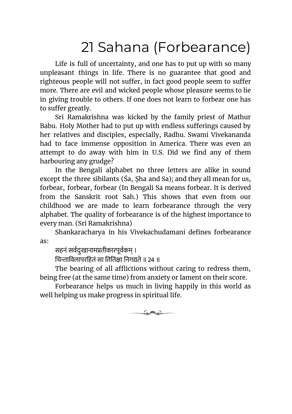### 21 Sahana (Forbearance)

Life is full of uncertainty, and one has to put up with so many unpleasant things in life. There is no guarantee that good and righteous people will not suffer, in fact good people seem to suffer more. There are evil and wicked people whose pleasure seems to lie in giving trouble to others. If one does not learn to forbear one has to suffer greatly.

Sri Ramakrishna was kicked by the family priest of Mathur Babu. Holy Mother had to put up with endless sufferings caused by her relatives and disciples, especially, Radhu. Swami Vivekananda had to face immense opposition in America. There was even an attempt to do away with him in U.S. Did we find any of them harbouring any grudge?

In the Bengali alphabet no three letters are alike in sound except the three sibilants (Śa, Şha and Sa); and they all mean for us, forbear, forbear, forbear (In Bengali Sa means forbear. It is derived from the Sanskrit root Sah.) This shows that even from our childhood we are made to learn forbearance through the very alphabet. The quality of forbearance is of the highest importance to every man. (Sri Ramakrishna)

Shankaracharya in his Vivekachudamani defines forbearance as:

सहनं सवदःुखानामतीकारपूवकम् ।

चिन्ताविलापरहितं सा तितिक्षा निगद्यते ॥ २४ ॥

The bearing of all afflictions without caring to redress them, being free (at the same time) from anxiety or lament on their score.

Forbearance helps us much in living happily in this world as well helping us make progress in spiritual life.

معلاه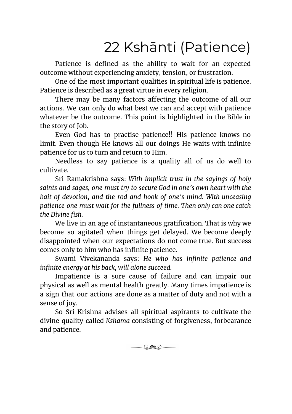### 22 Kshānti (Patience)

Patience is defined as the ability to wait for an expected outcome without experiencing anxiety, tension, or frustration.

One of the most important qualities in spiritual life is patience. Patience is described as a great virtue in every religion.

There may be many factors affecting the outcome of all our actions. We can only do what best we can and accept with patience whatever be the outcome. This point is highlighted in the Bible in the story of Job.

Even God has to practise patience!! His patience knows no limit. Even though He knows all our doings He waits with infinite patience for us to turn and return to Him.

Needless to say patience is a quality all of us do well to cultivate.

Sri Ramakrishna says: *With implicit trust in the sayings of holy saints and sages, one must try to secure God in one's own heart with the bait of devotion, and the rod and hook of one's mind. With unceasing patience one must wait for the fullness of time. Then only can one catch the Divine fish.*

We live in an age of instantaneous gratification. That is why we become so agitated when things get delayed. We become deeply disappointed when our expectations do not come true. But success comes only to him who has infinite patience.

Swami Vivekananda says: *He who has infinite patience and infinite energy at his back, will alone succeed.*

Impatience is a sure cause of failure and can impair our physical as well as mental health greatly. Many times impatience is a sign that our actions are done as a matter of duty and not with a sense of joy.

So Sri Krishna advises all spiritual aspirants to cultivate the divine quality called *Kshama* consisting of forgiveness, forbearance and patience.

 $\circ$  and  $\circ$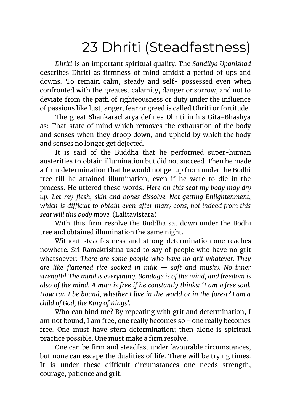### 23 Dhriti (Steadfastness)

*Dhriti* is an important spiritual quality. The *Sandilya Upanishad* describes Dhriti as firmness of mind amidst a period of ups and downs. To remain calm, steady and self- possessed even when confronted with the greatest calamity, danger or sorrow, and not to deviate from the path of righteousness or duty under the influence of passions like lust, anger, fear or greed is called Dhriti or fortitude.

The great Shankaracharya defines Dhriti in his Gita-Bhashya as: That state of mind which removes the exhaustion of the body and senses when they droop down, and upheld by which the body and senses no longer get dejected.

It is said of the Buddha that he performed super-human austerities to obtain illumination but did not succeed. Then he made a firm determination that he would not get up from under the Bodhi tree till he attained illumination, even if he were to die in the process. He uttered these words: *Here on this seat my body may dry up. Let my flesh, skin and bones dissolve. Not getting Enlightenment, which is difficult to obtain even after many eons, not indeed from this seat will this body move.* (Lalitavistara)

With this firm resolve the Buddha sat down under the Bodhi tree and obtained illumination the same night.

Without steadfastness and strong determination one reaches nowhere. Sri Ramakrishna used to say of people who have no grit whatsoever: *There are some people who have no grit whatever. They are like flattened rice soaked in milk — soft and mushy. No inner strength! The mind is everything. Bondage is of the mind, and freedom is also of the mind. A man is free if he constantly thinks: 'I am a free soul. How can I be bound, whether I live in the world or in the forest? I am a child of God, the King of Kings'.*

Who can bind me? By repeating with grit and determination, I am not bound, I am free, one really becomes so - one really becomes free. One must have stern determination; then alone is spiritual practice possible. One must make a firm resolve.

One can be firm and steadfast under favourable circumstances, but none can escape the dualities of life. There will be trying times. It is under these difficult circumstances one needs strength, courage, patience and grit.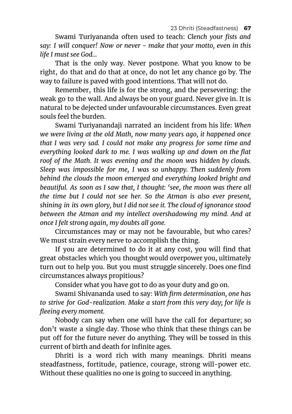Swami Turiyananda often used to teach: *Clench your fists and say: I will conquer! Now or never - make that your motto, even in this life I must see God...*

That is the only way. Never postpone. What you know to be right, do that and do that at once, do not let any chance go by. The way to failure is paved with good intentions. That will not do.

Remember, this life is for the strong, and the persevering: the weak go to the wall. And always be on your guard. Never give in. It is natural to be dejected under unfavourable circumstances. Even great souls feel the burden.

Swami Turiyanandaji narrated an incident from his life: *When we were living at the old Math, now many years ago, it happened once that I was very sad. I could not make any progress for some time and everything looked dark to me. I was walking up and down on the flat roof of the Math. It was evening and the moon was hidden by clouds. Sleep was impossible for me, I was so unhappy. Then suddenly from behind the clouds the moon emerged and everything looked bright and beautiful. As soon as I saw that, I thought: 'see, the moon was there all the time but I could not see her. So the Atman is also ever present, shining in its own glory, but I did not see it. The cloud of ignorance stood between the Atman and my intellect overshadowing my mind. And at once I felt strong again, my doubts all gone.*

Circumstances may or may not be favourable, but who cares? We must strain every nerve to accomplish the thing.

If you are determined to do it at any cost, you will find that great obstacles which you thought would overpower you, ultimately turn out to help you. But you must struggle sincerely. Does one find circumstances always propitious?

Consider what you have got to do as your duty and go on.

Swami Shivananda used to say: *With firm determination, one has to strive for God-realization. Make a start from this very day; for life is fleeing every moment.*

Nobody can say when one will have the call for departure; so don't waste a single day. Those who think that these things can be put off for the future never do anything. They will be tossed in this current of birth and death for infinite ages.

Dhriti is a word rich with many meanings. Dhriti means steadfastness, fortitude, patience, courage, strong will-power etc. Without these qualities no one is going to succeed in anything.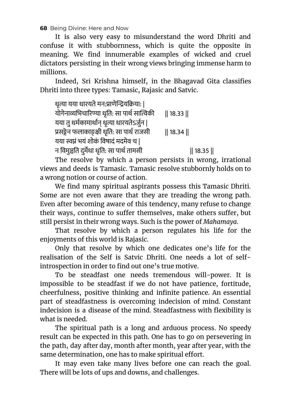It is also very easy to misunderstand the word Dhriti and confuse it with stubbornness, which is quite the opposite in meaning. We find innumerable examples of wicked and cruel dictators persisting in their wrong views bringing immense harm to millions.

Indeed, Sri Krishna himself, in the Bhagavad Gita classifies Dhriti into three types: Tamasic, Rajasic and Satvic.

| धृत्या यया धारयते मन:प्राणेन्द्रियक्रिया:   |               |
|---------------------------------------------|---------------|
| योगेनाव्यभिचारिण्या धृति: सा पार्थ सात्विकी | $\ 18.33\ $   |
| यया तु धर्मकामार्थान् धृत्या धारयतेऽर्जुन   |               |
| प्रसङ्गेन फलाकाङ्क्षी धृति: सा पार्थ राजसी  | $\ 18.34\ $   |
| यया स्वप्नं भयं शोकं विषादं मदमेव च         |               |
| न विमुञ्चति दुर्मेधा धृति: सा पार्थ तामसी   | $\  18.35 \ $ |

The resolve by which a person persists in wrong, irrational views and deeds is Tamasic. Tamasic resolve stubbornly holds on to a wrong notion or course of action.

We find many spiritual aspirants possess this Tamasic Dhriti. Some are not even aware that they are treading the wrong path. Even after becoming aware of this tendency, many refuse to change their ways, continue to suffer themselves, make others suffer, but still persist in their wrong ways. Such is the power of *Mahamaya*.

That resolve by which a person regulates his life for the enjoyments of this world is Rajasic.

Only that resolve by which one dedicates one's life for the realisation of the Self is Satvic Dhriti. One needs a lot of selfintrospection in order to find out one's true motive.

To be steadfast one needs tremendous will-power. It is impossible to be steadfast if we do not have patience, fortitude, cheerfulness, positive thinking and infinite patience. An essential part of steadfastness is overcoming indecision of mind. Constant indecision is a disease of the mind. Steadfastness with flexibility is what is needed.

The spiritual path is a long and arduous process. No speedy result can be expected in this path. One has to go on persevering in the path, day after day, month after month, year after year, with the same determination, one has to make spiritual effort.

It may even take many lives before one can reach the goal. There will be lots of ups and downs, and challenges.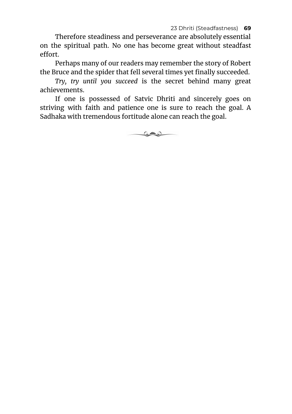Therefore steadiness and perseverance are absolutely essential on the spiritual path. No one has become great without steadfast effort.

Perhaps many of our readers may remember the story of Robert the Bruce and the spider that fell several times yet finally succeeded.

*Try, try until you succeed* is the secret behind many great achievements.

If one is possessed of Satvic Dhriti and sincerely goes on striving with faith and patience one is sure to reach the goal. A Sadhaka with tremendous fortitude alone can reach the goal.

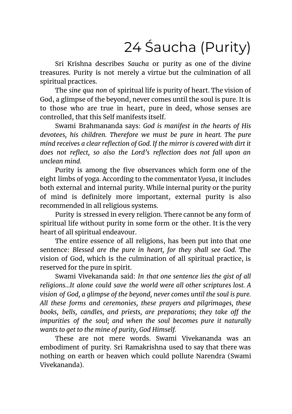# 24 Śaucha (Purity)

Sri Krishna describes *Saucha* or purity as one of the divine treasures. Purity is not merely a virtue but the culmination of all spiritual practices.

The *sine qua non* of spiritual life is purity of heart. The vision of God, a glimpse of the beyond, never comes until the soul is pure. It is to those who are true in heart, pure in deed, whose senses are controlled, that this Self manifests itself.

Swami Brahmananda says: *God is manifest in the hearts of His devotees, his children. Therefore we must be pure in heart. The pure mind receives a clear reflection of God. If the mirror is covered with dirt it does not reflect, so also the Lord's reflection does not fall upon an unclean mind.*

Purity is among the five observances which form one of the eight limbs of yoga. According to the commentator *Vyasa*, it includes both external and internal purity. While internal purity or the purity of mind is definitely more important, external purity is also recommended in all religious systems.

Purity is stressed in every religion. There cannot be any form of spiritual life without purity in some form or the other. It is the very heart of all spiritual endeavour.

The entire essence of all religions, has been put into that one sentence: *Blessed are the pure in heart, for they shall see God*. The vision of God, which is the culmination of all spiritual practice, is reserved for the pure in spirit.

Swami Vivekananda said: *In that one sentence lies the gist of all religions...It alone could save the world were all other scriptures lost. A vision of God, a glimpse of the beyond, never comes until the soul is pure. All these forms and ceremonies, these prayers and pilgrimages, these books, bells, candles, and priests, are preparations; they take off the impurities of the soul; and when the soul becomes pure it naturally wants to get to the mine of purity, God Himself.*

These are not mere words. Swami Vivekananda was an embodiment of purity. Sri Ramakrishna used to say that there was nothing on earth or heaven which could pollute Narendra (Swami Vivekananda).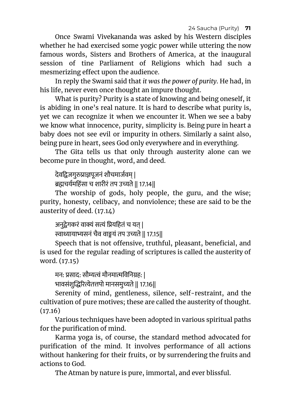24 Saucha (Purity) **71**

Once Swami Vivekananda was asked by his Western disciples whether he had exercised some yogic power while uttering the now famous words, Sisters and Brothers of America, at the inaugural session of tine Parliament of Religions which had such a mesmerizing effect upon the audience.

In reply the Swami said that *it was the power of purity*. He had, in his life, never even once thought an impure thought.

What is purity? Purity is a state of knowing and being oneself, it is abiding in one's real nature. It is hard to describe what purity is, yet we can recognize it when we encounter it. When we see a baby we know what innocence, purity, simplicity is. Being pure in heart a baby does not see evil or impurity in others. Similarly a saint also, being pure in heart, sees God only everywhere and in everything.

The Gita tells us that only through austerity alone can we become pure in thought, word, and deed.

देवद्विजगुरुप्राज्ञपूजनं शौचमार्जवम् |

ब्रह्मचर्यमहिंसा च शारीरं तप उच्यते || 17.14||

The worship of gods, holy people, the guru, and the wise; purity, honesty, celibacy, and nonviolence; these are said to be the austerity of deed. (17.14)

अनुद्वेगकरं वाक्यं सत्यं प्रियहितं च यत् |

```
ाायासनं चैव वायं तप उते || 17.15||
```
Speech that is not offensive, truthful, pleasant, beneficial, and is used for the regular reading of scriptures is called the austerity of word. (17.15)

मन: प्रसाद: सौम्यत्वं मौनमात्मविनिग्रह: |

भावसंशुरेतपो मानसमुते || 17.16||

Serenity of mind, gentleness, silence, self-restraint, and the cultivation of pure motives; these are called the austerity of thought.  $(17.16)$ 

Various techniques have been adopted in various spiritual paths for the purification of mind.

Karma yoga is, of course, the standard method advocated for purification of the mind. It involves performance of all actions without hankering for their fruits, or by surrendering the fruits and actions to God.

The Atman by nature is pure, immortal, and ever blissful.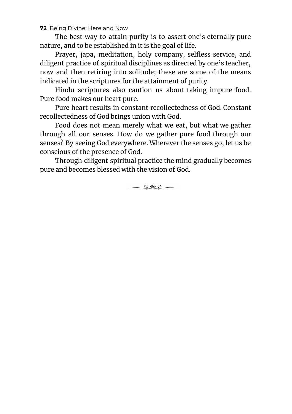The best way to attain purity is to assert one's eternally pure nature, and to be established in it is the goal of life.

Prayer, japa, meditation, holy company, selfless service, and diligent practice of spiritual disciplines as directed by one's teacher, now and then retiring into solitude; these are some of the means indicated in the scriptures for the attainment of purity.

Hindu scriptures also caution us about taking impure food. Pure food makes our heart pure.

Pure heart results in constant recollectedness of God. Constant recollectedness of God brings union with God.

Food does not mean merely what we eat, but what we gather through all our senses. How do we gather pure food through our senses? By seeing God everywhere. Wherever the senses go, let us be conscious of the presence of God.

Through diligent spiritual practice the mind gradually becomes pure and becomes blessed with the vision of God.

كعلات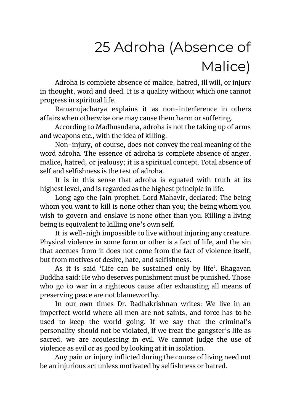# 25 Adroha (Absence of Malice)

Adroha is complete absence of malice, hatred, ill will, or injury in thought, word and deed. It is a quality without which one cannot progress in spiritual life.

Ramanujacharya explains it as non-interference in others affairs when otherwise one may cause them harm or suffering.

According to Madhusudana, adroha is not the taking up of arms and weapons etc., with the idea of killing.

Non-injury, of course, does not convey the real meaning of the word adroha. The essence of adroha is complete absence of anger, malice, hatred, or jealousy; it is a spiritual concept. Total absence of self and selfishness is the test of adroha.

It is in this sense that adroha is equated with truth at its highest level, and is regarded as the highest principle in life.

Long ago the Jain prophet, Lord Mahavir, declared: The being whom you want to kill is none other than you; the being whom you wish to govern and enslave is none other than you. Killing a living being is equivalent to killing one's own self.

It is well-nigh impossible to live without injuring any creature. Physical violence in some form or other is a fact of life, and the sin that accrues from it does not come from the fact of violence itself, but from motives of desire, hate, and selfishness.

As it is said 'Life can be sustained only by life'. Bhagavan Buddha said: He who deserves punishment must be punished. Those who go to war in a righteous cause after exhausting all means of preserving peace are not blameworthy.

In our own times Dr. Radhakrishnan writes: We live in an imperfect world where all men are not saints, and force has to be used to keep the world going. If we say that the criminal's personality should not be violated, if we treat the gangster's life as sacred, we are acquiescing in evil. We cannot judge the use of violence as evil or as good by looking at it in isolation.

Any pain or injury inflicted during the course of living need not be an injurious act unless motivated by selfishness or hatred.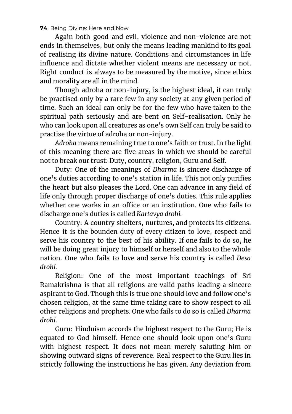Again both good and evil, violence and non-violence are not ends in themselves, but only the means leading mankind to its goal of realising its divine nature. Conditions and circumstances in life influence and dictate whether violent means are necessary or not. Right conduct is always to be measured by the motive, since ethics and morality are all in the mind.

Though adroha or non-injury, is the highest ideal, it can truly be practised only by a rare few in any society at any given period of time. Such an ideal can only be for the few who have taken to the spiritual path seriously and are bent on Self-realisation. Only he who can look upon all creatures as one's own Self can truly be said to practise the virtue of adroha or non-injury.

*Adroha* means remaining true to one's faith or trust. In the light of this meaning there are five areas in which we should be careful not to break our trust: Duty, country, religion, Guru and Self.

Duty: One of the meanings of *Dharma* is sincere discharge of one's duties according to one's station in life. This not only purifies the heart but also pleases the Lord. One can advance in any field of life only through proper discharge of one's duties. This rule applies whether one works in an office or an institution. One who fails to discharge one's duties is called *Kartavya drohi.*

Country: A country shelters, nurtures, and protects its citizens. Hence it is the bounden duty of every citizen to love, respect and serve his country to the best of his ability. If one fails to do so, he will be doing great injury to himself or herself and also to the whole nation. One who fails to love and serve his country is called *Desa drohi.*

Religion: One of the most important teachings of Sri Ramakrishna is that all religions are valid paths leading a sincere aspirant to God. Though this is true one should love and follow one's chosen religion, at the same time taking care to show respect to all other religions and prophets. One who fails to do so is called *Dharma drohi.*

Guru: Hinduism accords the highest respect to the Guru; He is equated to God himself. Hence one should look upon one's Guru with highest respect. It does not mean merely saluting him or showing outward signs of reverence. Real respect to the Guru lies in strictly following the instructions he has given. Any deviation from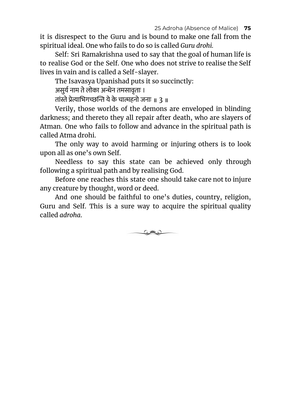it is disrespect to the Guru and is bound to make one fall from the spiritual ideal. One who fails to do so is called *Guru drohi.*

Self: Sri Ramakrishna used to say that the goal of human life is to realise God or the Self. One who does not strive to realise the Self lives in vain and is called a Self-slayer.

The Isavasya Upanishad puts it so succinctly:

असुर्य नाम ते लोका अन्धेन तमसावृताः ।

तांस्ते प्रेत्याभिगच्छन्ति ये के चात्महनो जनाः ॥ २ ॥

Verily, those worlds of the demons are enveloped in blinding darkness; and thereto they all repair after death, who are slayers of Atman. One who fails to follow and advance in the spiritual path is called Atma drohi.

The only way to avoid harming or injuring others is to look upon all as one's own Self.

Needless to say this state can be achieved only through following a spiritual path and by realising God.

Before one reaches this state one should take care not to injure any creature by thought, word or deed.

And one should be faithful to one's duties, country, religion, Guru and Self. This is a sure way to acquire the spiritual quality called *adroha*.

كالات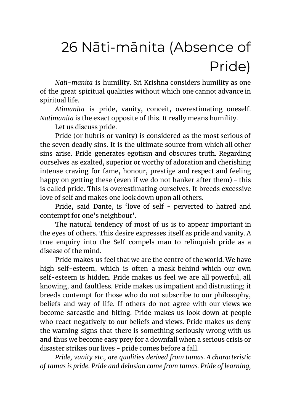# 26 Nāti-mānita (Absence of Pride)

*Nati-manita* is humility. Sri Krishna considers humility as one of the great spiritual qualities without which one cannot advance in spiritual life.

*Atimanita* is pride, vanity, conceit, overestimating oneself. *Natimanita* is the exact opposite of this. It really means humility.

Let us discuss pride.

Pride (or hubris or vanity) is considered as the most serious of the seven deadly sins. It is the ultimate source from which all other sins arise. Pride generates egotism and obscures truth. Regarding ourselves as exalted, superior or worthy of adoration and cherishing intense craving for fame, honour, prestige and respect and feeling happy on getting these (even if we do not hanker after them) - this is called pride. This is overestimating ourselves. It breeds excessive love of self and makes one look down upon all others.

Pride, said Dante, is 'love of self - perverted to hatred and contempt for one's neighbour'.

The natural tendency of most of us is to appear important in the eyes of others. This desire expresses itself as pride and vanity. A true enquiry into the Self compels man to relinquish pride as a disease of the mind.

Pride makes us feel that we are the centre of the world. We have high self-esteem, which is often a mask behind which our own self-esteem is hidden. Pride makes us feel we are all powerful, all knowing, and faultless. Pride makes us impatient and distrusting; it breeds contempt for those who do not subscribe to our philosophy, beliefs and way of life. If others do not agree with our views we become sarcastic and biting. Pride makes us look down at people who react negatively to our beliefs and views. Pride makes us deny the warning signs that there is something seriously wrong with us and thus we become easy prey for a downfall when a serious crisis or disaster strikes our lives - pride comes before a fall.

*Pride, vanity etc., are qualities derived from tamas. A characteristic of tamas is pride. Pride and delusion come from tamas. Pride of learning,*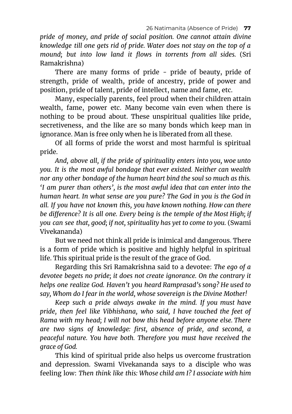*pride of money, and pride of social position. One cannot attain divine knowledge till one gets rid of pride. Water does not stay on the top of a mound; but into low land it flows in torrents from all sides.* (Sri Ramakrishna)

There are many forms of pride - pride of beauty, pride of strength, pride of wealth, pride of ancestry, pride of power and position, pride of talent, pride of intellect, name and fame, etc.

Many, especially parents, feel proud when their children attain wealth, fame, power etc. Many become vain even when there is nothing to be proud about. These unspiritual qualities like pride, secretiveness, and the like are so many bonds which keep man in ignorance. Man is free only when he is liberated from all these.

Of all forms of pride the worst and most harmful is spiritual pride.

*And, above all, if the pride of spirituality enters into you, woe unto you. It is the most awful bondage that ever existed. Neither can wealth nor any other bondage of the human heart bind the soul so much as this. 'I am purer than others', is the most awful idea that can enter into the human heart. In what sense are you pure? The God in you is the God in all. If you have not known this, you have known nothing. How can there be difference? It is all one. Every being is the temple of the Most High; if you can see that, good; if not, spirituality has yet to come to you.* (Swami Vivekananda)

But we need not think all pride is inimical and dangerous. There is a form of pride which is positive and highly helpful in spiritual life. This spiritual pride is the result of the grace of God.

Regarding this Sri Ramakrishna said to a devotee: *The ego of a devotee begets no pride; it does not create ignorance. On the contrary it helps one realize God. Haven't you heard Ramprasad's song? He used to say, Whom do I fear in the world, whose sovereign is the Divine Mother!*

*Keep such a pride always awake in the mind. If you must have pride, then feel like Vibhishana, who said, I have touched the feet of Rama with my head; I will not bow this head before anyone else. There are two signs of knowledge: first, absence of pride, and second, a peaceful nature. You have both. Therefore you must have received the grace of God.*

This kind of spiritual pride also helps us overcome frustration and depression. Swami Vivekananda says to a disciple who was feeling low: *Then think like this: Whose child am I? I associate with him*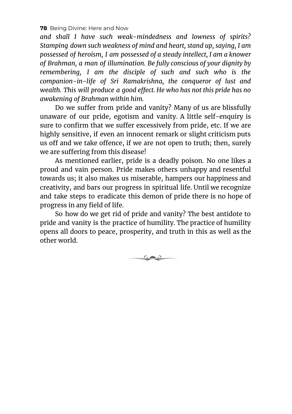*and shall I have such weak-mindedness and lowness of spirits? Stamping down such weakness of mind and heart, stand up, saying, I am possessed of heroism, I am possessed of a steady intellect, I am a knower of Brahman, a man of illumination. Be fully conscious of your dignity by remembering, I am the disciple of such and such who is the companion-in-life of Sri Ramakrishna, the conqueror of lust and wealth. This will produce a good effect. He who has not this pride has no awakening of Brahman within him.*

Do we suffer from pride and vanity? Many of us are blissfully unaware of our pride, egotism and vanity. A little self-enquiry is sure to confirm that we suffer excessively from pride, etc. If we are highly sensitive, if even an innocent remark or slight criticism puts us off and we take offence, if we are not open to truth; then, surely we are suffering from this disease!

As mentioned earlier, pride is a deadly poison. No one likes a proud and vain person. Pride makes others unhappy and resentful towards us; it also makes us miserable, hampers our happiness and creativity, and bars our progress in spiritual life. Until we recognize and take steps to eradicate this demon of pride there is no hope of progress in any field of life.

So how do we get rid of pride and vanity? The best antidote to pride and vanity is the practice of humility. The practice of humility opens all doors to peace, prosperity, and truth in this as well as the other world.

 $\circ$  and  $\circ$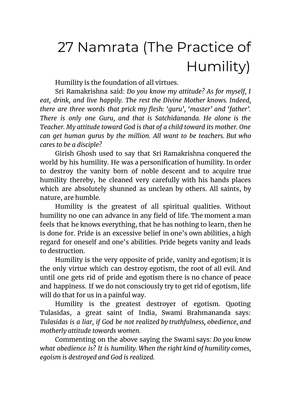# 27 Namrata (The Practice of Humility)

Humility is the foundation of all virtues.

Sri Ramakrishna said: *Do you know my attitude? As for myself, I eat, drink, and live happily. The rest the Divine Mother knows. Indeed, there are three words that prick my flesh: 'guru', 'master' and 'father'. There is only one Guru, and that is Satchidananda. He alone is the Teacher. My attitude toward God is that of a child toward its mother. One can get human gurus by the million. All want to be teachers. But who cares to be a disciple?*

Girish Ghosh used to say that Sri Ramakrishna conquered the world by his humility. He was a personification of humility. In order to destroy the vanity born of noble descent and to acquire true humility thereby, he cleaned very carefully with his hands places which are absolutely shunned as unclean by others. All saints, by nature, are humble.

Humility is the greatest of all spiritual qualities. Without humility no one can advance in any field of life. The moment a man feels that he knows everything, that he has nothing to learn, then he is done for. Pride is an excessive belief in one's own abilities, a high regard for oneself and one's abilities. Pride begets vanity and leads to destruction.

Humility is the very opposite of pride, vanity and egotism; it is the only virtue which can destroy egotism, the root of all evil. And until one gets rid of pride and egotism there is no chance of peace and happiness. If we do not consciously try to get rid of egotism, life will do that for us in a painful way.

Humility is the greatest destroyer of egotism. Quoting Tulasidas, a great saint of India, Swami Brahmananda says: *Tulasidas is a liar, if God be not realized by truthfulness, obedience, and motherly attitude towards women.*

Commenting on the above saying the Swami says: *Do you know what obedience is? It is humility. When the right kind of humility comes, egoism is destroyed and God is realized.*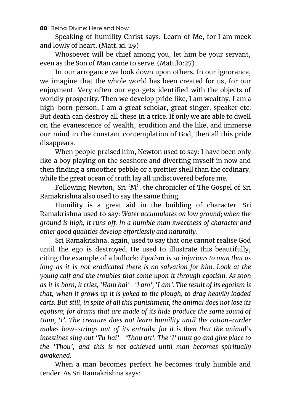Speaking of humility Christ says: Learn of Me, for I am meek and lowly of heart. (Matt. xi. 29)

Whosoever will be chief among you, let him be your servant, even as the Son of Man came to serve. (Matt.l0:27)

In our arrogance we look down upon others. In our ignorance, we imagine that the whole world has been created for us, for our enjoyment. Very often our ego gets identified with the objects of worldly prosperity. Then we develop pride like, I am wealthy, I am a high-born person, I am a great scholar, great singer, speaker etc. But death can destroy all these in a trice. If only we are able to dwell on the evanescence of wealth, erudition and the like, and immerse our mind in the constant contemplation of God, then all this pride disappears.

When people praised him, Newton used to say: I have been only like a boy playing on the seashore and diverting myself in now and then finding a smoother pebble or a prettier shell than the ordinary, while the great ocean of truth lay all undiscovered before me.

Following Newton, Sri 'M', the chronicler of The Gospel of Sri Ramakrishna also used to say the same thing.

Humility is a great aid in the building of character. Sri Ramakrishna used to say: *Water accumulates on low ground; when the ground is high, it runs off. In a humble man sweetness of character and other good qualities develop effortlessly and naturally.*

Sri Ramakrishna, again, used to say that one cannot realise God until the ego is destroyed. He used to illustrate this beautifully, citing the example of a bullock: *Egotism is so injurious to man that as long as it is not eradicated there is no salvation for him. Look at the young calf and the troubles that come upon it through egotism. As soon as it is born, it cries, 'Ham hai'- 'I am', 'I am'. The result of its egotism is that, when it grows up it is yoked to the plough, to drag heavily loaded carts. But still, in spite of all this punishment, the animal does not lose its egotism; for drums that are made of its hide produce the same sound of Ham, 'I'. The creature does not learn humility until the cotton-carder makes bow-strings out of its entrails: for it is then that the animal's intestines sing out 'Tu hai'- 'Thou art'. The 'I' must go and give place to the 'Thou', and this is not achieved until man becomes spiritually awakened.*

When a man becomes perfect he becomes truly humble and tender. As Sri Ramakrishna says: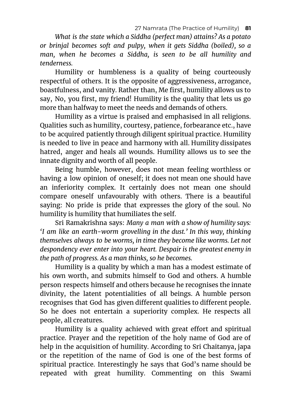*What is the state which a Siddha (perfect man) attains? As a potato or brinjal becomes soft and pulpy, when it gets Siddha (boiled), so a man, when he becomes a Siddha, is seen to be all humility and tenderness.*

Humility or humbleness is a quality of being courteously respectful of others. It is the opposite of aggressiveness, arrogance, boastfulness, and vanity. Rather than, Me first, humility allows us to say, No, you first, my friend! Humility is the quality that lets us go more than halfway to meet the needs and demands of others.

Humility as a virtue is praised and emphasised in all religions. Qualities such as humility, courtesy, patience, forbearance etc., have to be acquired patiently through diligent spiritual practice. Humility is needed to live in peace and harmony with all. Humility dissipates hatred, anger and heals all wounds. Humility allows us to see the innate dignity and worth of all people.

Being humble, however, does not mean feeling worthless or having a low opinion of oneself; it does not mean one should have an inferiority complex. It certainly does not mean one should compare oneself unfavourably with others. There is a beautiful saying: No pride is pride that expresses the glory of the soul. No humility is humility that humiliates the self.

Sri Ramakrishna says: *Many a man with a show of humility says: 'I am like an earth-worm grovelling in the dust.' In this way, thinking themselves always to be worms, in time they become like worms. Let not despondency ever enter into your heart. Despair is the greatest enemy in the path of progress. As a man thinks, so he becomes.*

Humility is a quality by which a man has a modest estimate of his own worth, and submits himself to God and others. A humble person respects himself and others because he recognises the innate divinity, the latent potentialities of all beings. A humble person recognises that God has given different qualities to different people. So he does not entertain a superiority complex. He respects all people, all creatures.

Humility is a quality achieved with great effort and spiritual practice. Prayer and the repetition of the holy name of God are of help in the acquisition of humility. According to Sri Chaitanya, japa or the repetition of the name of God is one of the best forms of spiritual practice. Interestingly he says that God's name should be repeated with great humility. Commenting on this Swami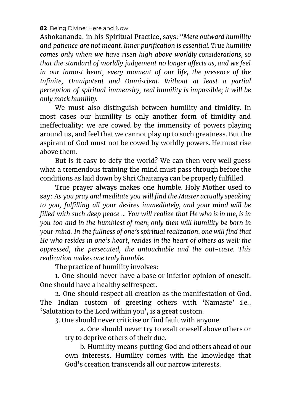Ashokananda, in his Spiritual Practice, says: *"Mere outward humility and patience are not meant. Inner purification is essential. True humility comes only when we have risen high above worldly considerations, so that the standard of worldly judgement no longer affects us, and we feel in our inmost heart, every moment of our life, the presence of the Infinite, Omnipotent and Omniscient. Without at least a partial perception of spiritual immensity, real humility is impossible; it will be only mock humility.*

We must also distinguish between humility and timidity. In most cases our humility is only another form of timidity and ineffectuality: we are cowed by the immensity of powers playing around us, and feel that we cannot play up to such greatness. But the aspirant of God must not be cowed by worldly powers. He must rise above them.

But is it easy to defy the world? We can then very well guess what a tremendous training the mind must pass through before the conditions as laid down by Shri Chaitanya can be properly fulfilled.

True prayer always makes one humble. Holy Mother used to say: *As you pray and meditate you will find the Master actually speaking to you, fulfilling all your desires immediately, and your mind will be filled with such deep peace ... You will realize that He who is in me, is in you too and in the humblest of men; only then will humility be born in your mind. In the fullness of one's spiritual realization, one will find that He who resides in one's heart, resides in the heart of others as well: the oppressed, the persecuted, the untouchable and the out-caste. This realization makes one truly humble.*

The practice of humility involves:

1. One should never have a base or inferior opinion of oneself. One should have a healthy selfrespect.

2. One should respect all creation as the manifestation of God. The Indian custom of greeting others with 'Namaste' i.e., 'Salutation to the Lord within you', is a great custom.

3. One should never criticise or find fault with anyone.

a. One should never try to exalt oneself above others or try to deprive others of their due.

b. Humility means putting God and others ahead of our own interests. Humility comes with the knowledge that God's creation transcends all our narrow interests.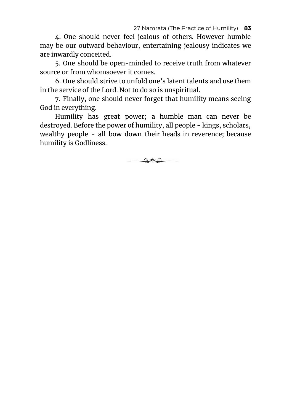#### 27 Namrata (The Practice of Humility) **83**

4. One should never feel jealous of others. However humble may be our outward behaviour, entertaining jealousy indicates we are inwardly conceited.

5. One should be open-minded to receive truth from whatever source or from whomsoever it comes.

6. One should strive to unfold one's latent talents and use them in the service of the Lord. Not to do so is unspiritual.

7. Finally, one should never forget that humility means seeing God in everything.

Humility has great power; a humble man can never be destroyed. Before the power of humility, all people - kings, scholars, wealthy people - all bow down their heads in reverence; because humility is Godliness.

 $\circ$  and  $\circ$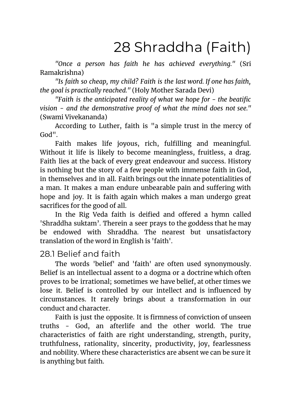# 28 Shraddha (Faith)

*"Once a person has faith he has achieved everything."* (Sri Ramakrishna)

*"Is faith so cheap, my child? Faith is the last word. If one has faith, the goal is practically reached."* (Holy Mother Sarada Devi)

*"Faith is the anticipated reality of what we hope for - the beatific vision - and the demonstrative proof of what the mind does not see."* (Swami Vivekananda)

According to Luther, faith is "a simple trust in the mercy of God".

Faith makes life joyous, rich, fulfilling and meaningful. Without it life is likely to become meaningless, fruitless, a drag. Faith lies at the back of every great endeavour and success. History is nothing but the story of a few people with immense faith in God, in themselves and in all. Faith brings out the innate potentialities of a man. It makes a man endure unbearable pain and suffering with hope and joy. It is faith again which makes a man undergo great sacrifices for the good of all.

In the Rig Veda faith is deified and offered a hymn called 'Shraddha suktam'. Therein a seer prays to the goddess that he may be endowed with Shraddha. The nearest but unsatisfactory translation of the word in English is 'faith'.

### 28.1 Belief and faith

The words 'belief' and 'faith' are often used synonymously. Belief is an intellectual assent to a dogma or a doctrine which often proves to be irrational; sometimes we have belief, at other times we lose it. Belief is controlled by our intellect and is influenced by circumstances. It rarely brings about a transformation in our conduct and character.

Faith is just the opposite. It is firmness of conviction of unseen truths - God, an afterlife and the other world. The true characteristics of faith are right understanding, strength, purity, truthfulness, rationality, sincerity, productivity, joy, fearlessness and nobility. Where these characteristics are absent we can be sure it is anything but faith.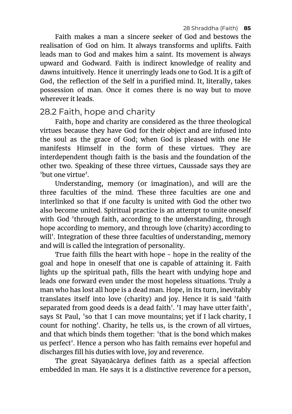Faith makes a man a sincere seeker of God and bestows the realisation of God on him. It always transforms and uplifts. Faith leads man to God and makes him a saint. Its movement is always upward and Godward. Faith is indirect knowledge of reality and dawns intuitively. Hence it unerringly leads one to God. It is a gift of God, the reflection of the Self in a purified mind. It, literally, takes possession of man. Once it comes there is no way but to move wherever it leads.

## 28.2 Faith, hope and charity

Faith, hope and charity are considered as the three theological virtues because they have God for their object and are infused into the soul as the grace of God; when God is pleased with one He manifests Himself in the form of these virtues. They are interdependent though faith is the basis and the foundation of the other two. Speaking of these three virtues, Caussade says they are 'but one virtue'.

Understanding, memory (or imagination), and will are the three faculties of the mind. These three faculties are one and interlinked so that if one faculty is united with God the other two also become united. Spiritual practice is an attempt to unite oneself with God 'through faith, according to the understanding, through hope according to memory, and through love (charity) according to will'. Integration of these three faculties of understanding, memory and will is called the integration of personality.

True faith fills the heart with hope - hope in the reality of the goal and hope in oneself that one is capable of attaining it. Faith lights up the spiritual path, fills the heart with undying hope and leads one forward even under the most hopeless situations. Truly a man who has lost all hope is a dead man. Hope, in its turn, inevitably translates itself into love (charity) and joy. Hence it is said 'faith separated from good deeds is a dead faith'. 'I may have utter faith', says St Paul, 'so that I can move mountains; yet if I lack charity, I count for nothing'. Charity, he tells us, is the crown of all virtues, and that which binds them together: 'that is the bond which makes us perfect'. Hence a person who has faith remains ever hopeful and discharges fill his duties with love, joy and reverence.

The great Sāyaṇācārya defines faith as a special affection embedded in man. He says it is a distinctive reverence for a person,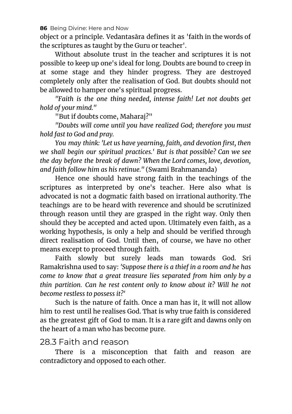object or a principle. Vedantasāra defines it as 'faith in the words of the scriptures as taught by the Guru or teacher'.

Without absolute trust in the teacher and scriptures it is not possible to keep up one's ideal for long. Doubts are bound to creep in at some stage and they hinder progress. They are destroyed completely only after the realisation of God. But doubts should not be allowed to hamper one's spiritual progress.

*"Faith is the one thing needed, intense faith! Let not doubts get hold of your mind."*

"But if doubts come, Maharaj?"

*"Doubts will come until you have realized God; therefore you must hold fast to God and pray.*

*You may think: 'Let us have yearning, faith, and devotion first, then we shall begin our spiritual practices.' But is that possible? Can we see the day before the break of dawn? When the Lord comes, love, devotion, and faith follow him as his retinue."* (Swami Brahmananda)

Hence one should have strong faith in the teachings of the scriptures as interpreted by one's teacher. Here also what is advocated is not a dogmatic faith based on irrational authority. The teachings are to be heard with reverence and should be scrutinized through reason until they are grasped in the right way. Only then should they be accepted and acted upon. Ultimately even faith, as a working hypothesis, is only a help and should be verified through direct realisation of God. Until then, of course, we have no other means except to proceed through faith.

Faith slowly but surely leads man towards God. Sri Ramakrishna used to say: *'Suppose there is a thief in a room and he has come to know that a great treasure lies separated from him only by a thin partition. Can he rest content only to know about it? Will he not become restless to possess it?'*

Such is the nature of faith. Once a man has it, it will not allow him to rest until he realises God. That is why true faith is considered as the greatest gift of God to man. It is a rare gift and dawns only on the heart of a man who has become pure.

## 28.3 Faith and reason

There is a misconception that faith and reason are contradictory and opposed to each other.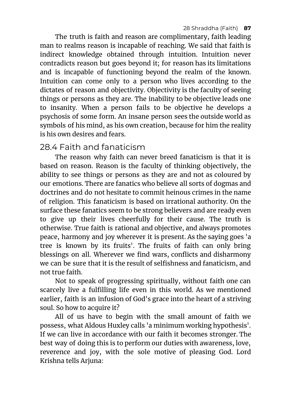The truth is faith and reason are complimentary, faith leading man to realms reason is incapable of reaching. We said that faith is indirect knowledge obtained through intuition. Intuition never contradicts reason but goes beyond it; for reason has its limitations and is incapable of functioning beyond the realm of the known. Intuition can come only to a person who lives according to the dictates of reason and objectivity. Objectivity is the faculty of seeing things or persons as they are. The inability to be objective leads one to insanity. When a person fails to be objective he develops a psychosis of some form. An insane person sees the outside world as symbols of his mind, as his own creation, because for him the reality is his own desires and fears.

## 28.4 Faith and fanaticism

The reason why faith can never breed fanaticism is that it is based on reason. Reason is the faculty of thinking objectively, the ability to see things or persons as they are and not as coloured by our emotions. There are fanatics who believe all sorts of dogmas and doctrines and do not hesitate to commit heinous crimes in the name of religion. This fanaticism is based on irrational authority. On the surface these fanatics seem to be strong believers and are ready even to give up their lives cheerfully for their cause. The truth is otherwise. True faith is rational and objective, and always promotes peace, harmony and joy wherever it is present. As the saying goes 'a tree is known by its fruits'. The fruits of faith can only bring blessings on all. Wherever we find wars, conflicts and disharmony we can be sure that it is the result of selfishness and fanaticism, and not true faith.

Not to speak of progressing spiritually, without faith one can scarcely live a fulfilling life even in this world. As we mentioned earlier, faith is an infusion of God's grace into the heart of a striving soul. So how to acquire it?

All of us have to begin with the small amount of faith we possess, what Aldous Huxley calls 'a minimum working hypothesis'. If we can live in accordance with our faith it becomes stronger. The best way of doing this is to perform our duties with awareness, love, reverence and joy, with the sole motive of pleasing God. Lord Krishna tells Arjuna: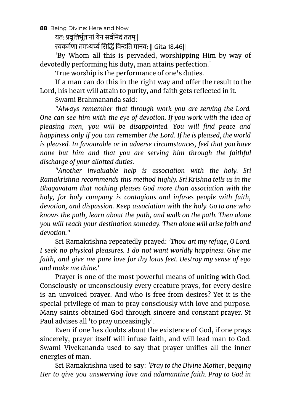यत: प्रवृत्तिर्भूतानां येन सर्वमिदं ततम |

स्वकर्मणा तमभ्यर्च्य सिद्धिं विन्दति मानव: || Gita 18.46||

'By Whom all this is pervaded, worshipping Him by way of devotedly performing his duty, man attains perfection.'

True worship is the performance of one's duties.

If a man can do this in the right way and offer the result to the Lord, his heart will attain to purity, and faith gets reflected in it.

Swami Brahmananda said:

*"Always remember that through work you are serving the Lord. One can see him with the eye of devotion. If you work with the idea of pleasing men, you will be disappointed. You will find peace and happiness only if you can remember the Lord. If he is pleased, the world is pleased. In favourable or in adverse circumstances, feel that you have none but him and that you are serving him through the faithful discharge of your allotted duties.*

*"Another invaluable help is association with the holy. Sri Ramakrishna recommends this method highly. Sri Krishna tells us in the Bhagavatam that nothing pleases God more than association with the holy, for holy company is contagious and infuses people with faith, devotion, and dispassion. Keep association with the holy. Go to one who knows the path, learn about the path, and walk on the path. Then alone you will reach your destination someday. Then alone will arise faith and devotion."*

Sri Ramakrishna repeatedly prayed: *'Thou art my refuge, O Lord. I seek no physical pleasures. I do not want worldly happiness. Give me faith, and give me pure love for thy lotus feet. Destroy my sense of ego and make me thine.'*

Prayer is one of the most powerful means of uniting with God. Consciously or unconsciously every creature prays, for every desire is an unvoiced prayer. And who is free from desires? Yet it is the special privilege of man to pray consciously with love and purpose. Many saints obtained God through sincere and constant prayer. St Paul advises all 'to pray unceasingly'.

Even if one has doubts about the existence of God, if one prays sincerely, prayer itself will infuse faith, and will lead man to God. Swami Vivekananda used to say that prayer unifies all the inner energies of man.

Sri Ramakrishna used to say: *'Pray to the Divine Mother, begging Her to give you unswerving love and adamantine faith. Pray to God in*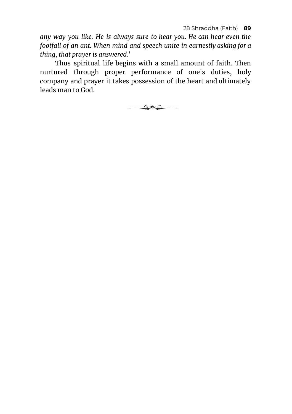*any way you like. He is always sure to hear you. He can hear even the footfall of an ant. When mind and speech unite in earnestly asking for a thing, that prayer is answered.'*

Thus spiritual life begins with a small amount of faith. Then nurtured through proper performance of one's duties, holy company and prayer it takes possession of the heart and ultimately leads man to God.

 $\circ$  and  $\circ$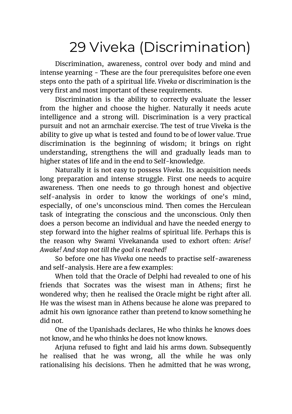# 29 Viveka (Discrimination)

Discrimination, awareness, control over body and mind and intense yearning - These are the four prerequisites before one even steps onto the path of a spiritual life. *Viveka* or discrimination is the very first and most important of these requirements.

Discrimination is the ability to correctly evaluate the lesser from the higher and choose the higher. Naturally it needs acute intelligence and a strong will. Discrimination is a very practical pursuit and not an armchair exercise. The test of true Viveka is the ability to give up what is tested and found to be of lower value. True discrimination is the beginning of wisdom; it brings on right understanding, strengthens the will and gradually leads man to higher states of life and in the end to Self-knowledge.

Naturally it is not easy to possess *Viveka*. Its acquisition needs long preparation and intense struggle. First one needs to acquire awareness. Then one needs to go through honest and objective self-analysis in order to know the workings of one's mind, especially, of one's unconscious mind. Then comes the Herculean task of integrating the conscious and the unconscious. Only then does a person become an individual and have the needed energy to step forward into the higher realms of spiritual life. Perhaps this is the reason why Swami Vivekananda used to exhort often: *Arise! Awake! And stop not till the goal is reached!*

So before one has *Viveka* one needs to practise self-awareness and self-analysis. Here are a few examples:

When told that the Oracle of Delphi had revealed to one of his friends that Socrates was the wisest man in Athens; first he wondered why; then he realised the Oracle might be right after all. He was the wisest man in Athens because he alone was prepared to admit his own ignorance rather than pretend to know something he did not.

One of the Upanishads declares, He who thinks he knows does not know, and he who thinks he does not know knows.

Ariuna refused to fight and laid his arms down. Subsequently he realised that he was wrong, all the while he was only rationalising his decisions. Then he admitted that he was wrong,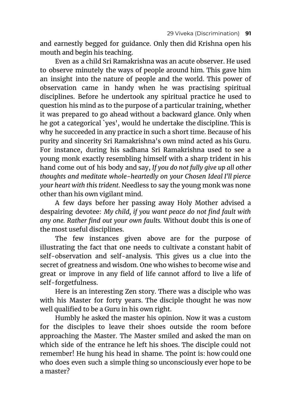and earnestly begged for guidance. Only then did Krishna open his mouth and begin his teaching.

Even as a child Sri Ramakrishna was an acute observer. He used to observe minutely the ways of people around him. This gave him an insight into the nature of people and the world. This power of observation came in handy when he was practising spiritual disciplines. Before he undertook any spiritual practice he used to question his mind as to the purpose of a particular training, whether it was prepared to go ahead without a backward glance. Only when he got a categorical `yes', would he undertake the discipline. This is why he succeeded in any practice in such a short time. Because of his purity and sincerity Sri Ramakrishna's own mind acted as his Guru. For instance, during his sadhana Sri Ramakrishna used to see a young monk exactly resembling himself with a sharp trident in his hand come out of his body and say, *If you do not fully give up all other thoughts and meditate whole-heartedly on your Chosen Ideal I'll pierce your heart with this trident*. Needless to say the young monk was none other than his own vigilant mind.

A few days before her passing away Holy Mother advised a despairing devotee: *My child, if you want peace do not find fault with any one. Rather find out your own faults.* Without doubt this is one of the most useful disciplines.

The few instances given above are for the purpose of illustrating the fact that one needs to cultivate a constant habit of self-observation and self-analysis. This gives us a clue into the secret of greatness and wisdom. One who wishes to become wise and great or improve in any field of life cannot afford to live a life of self-forgetfulness.

Here is an interesting Zen story. There was a disciple who was with his Master for forty years. The disciple thought he was now well qualified to be a Guru in his own right.

Humbly he asked the master his opinion. Now it was a custom for the disciples to leave their shoes outside the room before approaching the Master. The Master smiled and asked the man on which side of the entrance he left his shoes. The disciple could not remember! He hung his head in shame. The point is: how could one who does even such a simple thing so unconsciously ever hope to be a master?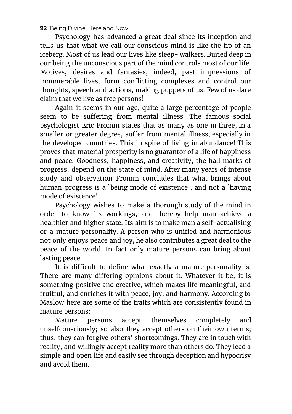Psychology has advanced a great deal since its inception and tells us that what we call our conscious mind is like the tip of an iceberg. Most of us lead our lives like sleep- walkers. Buried deep in our being the unconscious part of the mind controls most of our life. Motives, desires and fantasies, indeed, past impressions of innumerable lives, form conflicting complexes and control our thoughts, speech and actions, making puppets of us. Few of us dare claim that we live as free persons!

Again it seems in our age, quite a large percentage of people seem to be suffering from mental illness. The famous social psychologist Eric Fromm states that as many as one in three, in a smaller or greater degree, suffer from mental illness, especially in the developed countries. This in spite of living in abundance! This proves that material prosperity is no guarantor of a life of happiness and peace. Goodness, happiness, and creativity, the hall marks of progress, depend on the state of mind. After many years of intense study and observation Fromm concludes that what brings about human progress is a `being mode of existence', and not a `having mode of existence'.

Psychology wishes to make a thorough study of the mind in order to know its workings, and thereby help man achieve a healthier and higher state. Its aim is to make man a self-actualising or a mature personality. A person who is unified and harmonious not only enjoys peace and joy, he also contributes a great deal to the peace of the world. In fact only mature persons can bring about lasting peace.

It is difficult to define what exactly a mature personality is. There are many differing opinions about it. Whatever it be, it is something positive and creative, which makes life meaningful, and fruitful, and enriches it with peace, joy, and harmony. According to Maslow here are some of the traits which are consistently found in mature persons:

Mature persons accept themselves completely and unselfconsciously; so also they accept others on their own terms; thus, they can forgive others' shortcomings. They are in touch with reality, and willingly accept reality more than others do. They lead a simple and open life and easily see through deception and hypocrisy and avoid them.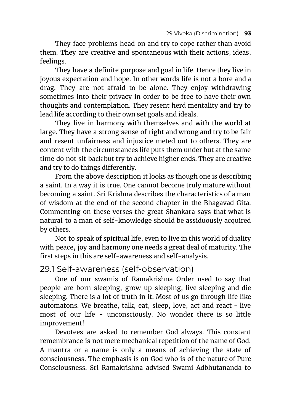They face problems head on and try to cope rather than avoid them. They are creative and spontaneous with their actions, ideas, feelings.

They have a definite purpose and goal in life. Hence they live in joyous expectation and hope. In other words life is not a bore and a drag. They are not afraid to be alone. They enjoy withdrawing sometimes into their privacy in order to be free to have their own thoughts and contemplation. They resent herd mentality and try to lead life according to their own set goals and ideals.

They live in harmony with themselves and with the world at large. They have a strong sense of right and wrong and try to be fair and resent unfairness and injustice meted out to others. They are content with the circumstances life puts them under but at the same time do not sit back but try to achieve higher ends. They are creative and try to do things differently.

From the above description it looks as though one is describing a saint. In a way it is true. One cannot become truly mature without becoming a saint. Sri Krishna describes the characteristics of a man of wisdom at the end of the second chapter in the Bhagavad Gita. Commenting on these verses the great Shankara says that what is natural to a man of self-knowledge should be assiduously acquired by others.

Not to speak of spiritual life, even to live in this world of duality with peace, joy and harmony one needs a great deal of maturity. The first steps in this are self-awareness and self-analysis.

### 29.1 Self-awareness (self-observation)

One of our swamis of Ramakrishna Order used to say that people are born sleeping, grow up sleeping, live sleeping and die sleeping. There is a lot of truth in it. Most of us go through life like automatons. We breathe, talk, eat, sleep, love, act and react - live most of our life - unconsciously. No wonder there is so little improvement!

Devotees are asked to remember God always. This constant remembrance is not mere mechanical repetition of the name of God. A mantra or a name is only a means of achieving the state of consciousness. The emphasis is on God who is of the nature of Pure Consciousness. Sri Ramakrishna advised Swami Adbhutananda to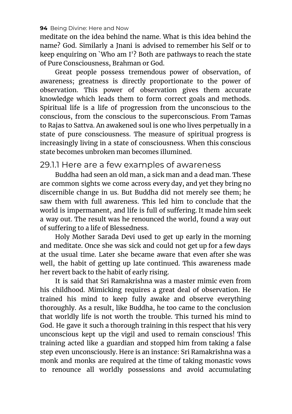meditate on the idea behind the name. What is this idea behind the name? God. Similarly a Jnani is advised to remember his Self or to keep enquiring on `Who am I'? Both are pathways to reach the state of Pure Consciousness, Brahman or God.

Great people possess tremendous power of observation, of awareness; greatness is directly proportionate to the power of observation. This power of observation gives them accurate knowledge which leads them to form correct goals and methods. Spiritual life is a life of progression from the unconscious to the conscious, from the conscious to the superconscious. From Tamas to Rajas to Sattva. An awakened soul is one who lives perpetually in a state of pure consciousness. The measure of spiritual progress is increasingly living in a state of consciousness. When this conscious state becomes unbroken man becomes illumined.

### 29.1.1 Here are a few examples of awareness

Buddha had seen an old man, a sick man and a dead man. These are common sights we come across every day, and yet they bring no discernible change in us. But Buddha did not merely see them; he saw them with full awareness. This led him to conclude that the world is impermanent, and life is full of suffering. It made him seek a way out. The result was he renounced the world, found a way out of suffering to a life of Blessedness.

Holy Mother Sarada Devi used to get up early in the morning and meditate. Once she was sick and could not get up for a few days at the usual time. Later she became aware that even after she was well, the habit of getting up late continued. This awareness made her revert back to the habit of early rising.

It is said that Sri Ramakrishna was a master mimic even from his childhood. Mimicking requires a great deal of observation. He trained his mind to keep fully awake and observe everything thoroughly. As a result, like Buddha, he too came to the conclusion that worldly life is not worth the trouble. This turned his mind to God. He gave it such a thorough training in this respect that his very unconscious kept up the vigil and used to remain conscious! This training acted like a guardian and stopped him from taking a false step even unconsciously. Here is an instance: Sri Ramakrishna was a monk and monks are required at the time of taking monastic vows to renounce all worldly possessions and avoid accumulating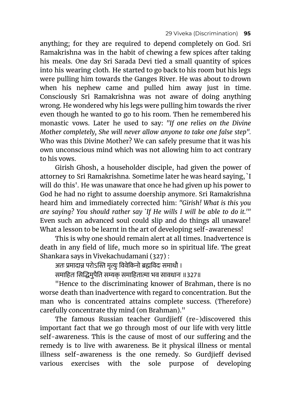anything; for they are required to depend completely on God. Sri Ramakrishna was in the habit of chewing a few spices after taking his meals. One day Sri Sarada Devi tied a small quantity of spices into his wearing cloth. He started to go back to his room but his legs were pulling him towards the Ganges River. He was about to drown when his nephew came and pulled him away just in time. Consciously Sri Ramakrishna was not aware of doing anything wrong. He wondered why his legs were pulling him towards the river even though he wanted to go to his room. Then he remembered his monastic vows. Later he used to say: *"If one relies on the Divine Mother completely, She will never allow anyone to take one false step".* Who was this Divine Mother? We can safely presume that it was his own unconscious mind which was not allowing him to act contrary to his vows.

Girish Ghosh, a householder disciple, had given the power of attorney to Sri Ramakrishna. Sometime later he was heard saying, `I will do this'. He was unaware that once he had given up his power to God he had no right to assume doership anymore. Sri Ramakrishna heard him and immediately corrected him: *"Girish! What is this you are saying? You should rather say `If He wills I will be able to do it.'"* Even such an advanced soul could slip and do things all unaware! What a lesson to be learnt in the art of developing self-awareness!

This is why one should remain alert at all times. Inadvertence is death in any field of life, much more so in spiritual life. The great Shankara says in Vivekachudamani (327) :

अतः प्रमादान्न परोऽस्ति मृत्युः विवेकिनो ब्रह्मविदः समाधौ ।

समाहितः सिद्धिमुपैति सम्यक समाहितात्मा भव सावधानः ॥327॥

"Hence to the discriminating knower of Brahman, there is no worse death than inadvertence with regard to concentration. But the man who is concentrated attains complete success. (Therefore) carefully concentrate thy mind (on Brahman)."

The famous Russian teacher Gurdjieff (re-)discovered this important fact that we go through most of our life with very little self-awareness. This is the cause of most of our suffering and the remedy is to live with awareness. Be it physical illness or mental illness self-awareness is the one remedy. So Gurdjieff devised various exercises with the sole purpose of developing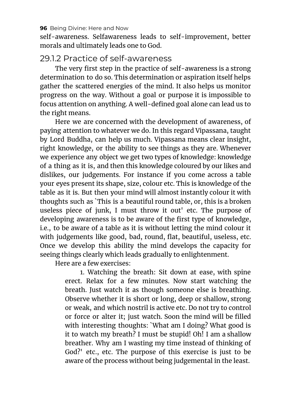self-awareness. Selfawareness leads to self-improvement, better morals and ultimately leads one to God.

## 29.1.2 Practice of self-awareness

The very first step in the practice of self-awareness is a strong determination to do so. This determination or aspiration itself helps gather the scattered energies of the mind. It also helps us monitor progress on the way. Without a goal or purpose it is impossible to focus attention on anything. A well-defined goal alone can lead us to the right means.

Here we are concerned with the development of awareness, of paying attention to whatever we do. In this regard Vipassana, taught by Lord Buddha, can help us much. Vipassana means clear insight, right knowledge, or the ability to see things as they are. Whenever we experience any object we get two types of knowledge: knowledge of a thing as it is, and then this knowledge coloured by our likes and dislikes, our judgements. For instance if you come across a table your eyes present its shape, size, colour etc. This is knowledge of the table as it is. But then your mind will almost instantly colour it with thoughts such as `This is a beautiful round table, or, this is a broken useless piece of junk, I must throw it out' etc. The purpose of developing awareness is to be aware of the first type of knowledge, i.e., to be aware of a table as it is without letting the mind colour it with judgements like good, bad, round, flat, beautiful, useless, etc. Once we develop this ability the mind develops the capacity for seeing things clearly which leads gradually to enlightenment.

Here are a few exercises:

1. Watching the breath: Sit down at ease, with spine erect. Relax for a few minutes. Now start watching the breath. Just watch it as though someone else is breathing. Observe whether it is short or long, deep or shallow, strong or weak, and which nostril is active etc. Do not try to control or force or alter it; just watch. Soon the mind will be filled with interesting thoughts: `What am I doing? What good is it to watch my breath? I must be stupid! Oh! I am a shallow breather. Why am I wasting my time instead of thinking of God?' etc., etc. The purpose of this exercise is just to be aware of the process without being judgemental in the least.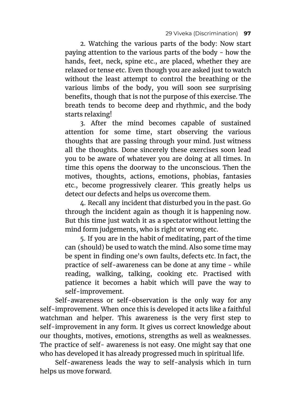2. Watching the various parts of the body: Now start paying attention to the various parts of the body - how the hands, feet, neck, spine etc., are placed, whether they are relaxed or tense etc. Even though you are asked just to watch without the least attempt to control the breathing or the various limbs of the body, you will soon see surprising benefits, though that is not the purpose of this exercise. The breath tends to become deep and rhythmic, and the body starts relaxing!

3. After the mind becomes capable of sustained attention for some time, start observing the various thoughts that are passing through your mind. Just witness all the thoughts. Done sincerely these exercises soon lead you to be aware of whatever you are doing at all times. In time this opens the doorway to the unconscious. Then the motives, thoughts, actions, emotions, phobias, fantasies etc., become progressively clearer. This greatly helps us detect our defects and helps us overcome them.

4. Recall any incident that disturbed you in the past. Go through the incident again as though it is happening now. But this time just watch it as a spectator without letting the mind form judgements, who is right or wrong etc.

5. If you are in the habit of meditating, part of the time can (should) be used to watch the mind. Also some time may be spent in finding one's own faults, defects etc. In fact, the practice of self-awareness can be done at any time - while reading, walking, talking, cooking etc. Practised with patience it becomes a habit which will pave the way to self-improvement.

Self-awareness or self-observation is the only way for any self-improvement. When once this is developed it acts like a faithful watchman and helper. This awareness is the very first step to self-improvement in any form. It gives us correct knowledge about our thoughts, motives, emotions, strengths as well as weaknesses. The practice of self- awareness is not easy. One might say that one who has developed it has already progressed much in spiritual life.

Self-awareness leads the way to self-analysis which in turn helps us move forward.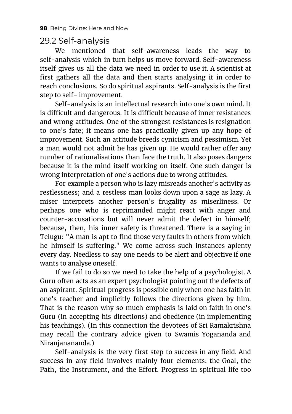## 29.2 Self-analysis

We mentioned that self-awareness leads the way to self-analysis which in turn helps us move forward. Self-awareness itself gives us all the data we need in order to use it. A scientist at first gathers all the data and then starts analysing it in order to reach conclusions. So do spiritual aspirants. Self-analysis is the first step to self- improvement.

Self-analysis is an intellectual research into one's own mind. It is difficult and dangerous. It is difficult because of inner resistances and wrong attitudes. One of the strongest resistances is resignation to one's fate; it means one has practically given up any hope of improvement. Such an attitude breeds cynicism and pessimism. Yet a man would not admit he has given up. He would rather offer any number of rationalisations than face the truth. It also poses dangers because it is the mind itself working on itself. One such danger is wrong interpretation of one's actions due to wrong attitudes.

For example a person who is lazy misreads another's activity as restlessness; and a restless man looks down upon a sage as lazy. A miser interprets another person's frugality as miserliness. Or perhaps one who is reprimanded might react with anger and counter-accusations but will never admit the defect in himself; because, then, his inner safety is threatened. There is a saying in Telugu: "A man is apt to find those very faults in others from which he himself is suffering." We come across such instances aplenty every day. Needless to say one needs to be alert and objective if one wants to analyse oneself.

If we fail to do so we need to take the help of a psychologist. A Guru often acts as an expert psychologist pointing out the defects of an aspirant. Spiritual progress is possible only when one has faith in one's teacher and implicitly follows the directions given by him. That is the reason why so much emphasis is laid on faith in one's Guru (in accepting his directions) and obedience (in implementing his teachings). (In this connection the devotees of Sri Ramakrishna may recall the contrary advice given to Swamis Yogananda and Niranjanananda.)

Self-analysis is the very first step to success in any field. And success in any field involves mainly four elements: the Goal, the Path, the Instrument, and the Effort. Progress in spiritual life too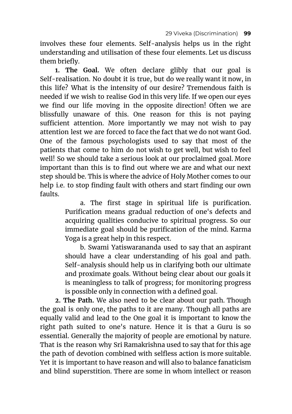involves these four elements. Self-analysis helps us in the right understanding and utilisation of these four elements. Let us discuss them briefly.

**1. The Goal.** We often declare glibly that our goal is Self-realisation. No doubt it is true, but do we really want it now, in this life? What is the intensity of our desire? Tremendous faith is needed if we wish to realise God in this very life. If we open our eyes we find our life moving in the opposite direction! Often we are blissfully unaware of this. One reason for this is not paying sufficient attention. More importantly we may not wish to pay attention lest we are forced to face the fact that we do not want God. One of the famous psychologists used to say that most of the patients that come to him do not wish to get well, but wish to feel well! So we should take a serious look at our proclaimed goal. More important than this is to find out where we are and what our next step should be. This is where the advice of Holy Mother comes to our help i.e. to stop finding fault with others and start finding our own faults.

> a. The first stage in spiritual life is purification. Purification means gradual reduction of one's defects and acquiring qualities conducive to spiritual progress. So our immediate goal should be purification of the mind. Karma Yoga is a great help in this respect.

> b. Swami Yatiswarananda used to say that an aspirant should have a clear understanding of his goal and path. Self-analysis should help us in clarifying both our ultimate and proximate goals. Without being clear about our goals it is meaningless to talk of progress; for monitoring progress is possible only in connection with a defined goal.

**2. The Path.** We also need to be clear about our path. Though the goal is only one, the paths to it are many. Though all paths are equally valid and lead to the One goal it is important to know the right path suited to one's nature. Hence it is that a Guru is so essential. Generally the majority of people are emotional by nature. That is the reason why Sri Ramakrishna used to say that for this age the path of devotion combined with selfless action is more suitable. Yet it is important to have reason and will also to balance fanaticism and blind superstition. There are some in whom intellect or reason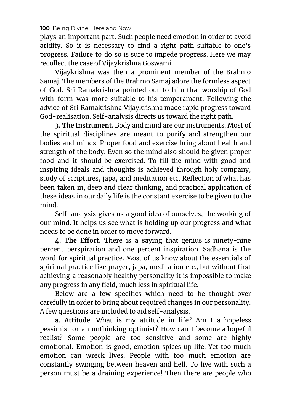plays an important part. Such people need emotion in order to avoid aridity. So it is necessary to find a right path suitable to one's progress. Failure to do so is sure to impede progress. Here we may recollect the case of Vijaykrishna Goswami.

Vijaykrishna was then a prominent member of the Brahmo Samaj. The members of the Brahmo Samaj adore the formless aspect of God. Sri Ramakrishna pointed out to him that worship of God with form was more suitable to his temperament. Following the advice of Sri Ramakrishna Vijaykrishna made rapid progress toward God-realisation. Self-analysis directs us toward the right path.

**3. The Instrument.** Body and mind are our instruments. Most of the spiritual disciplines are meant to purify and strengthen our bodies and minds. Proper food and exercise bring about health and strength of the body. Even so the mind also should be given proper food and it should be exercised. To fill the mind with good and inspiring ideals and thoughts is achieved through holy company, study of scriptures, japa, and meditation etc. Reflection of what has been taken in, deep and clear thinking, and practical application of these ideas in our daily life is the constant exercise to be given to the mind.

Self-analysis gives us a good idea of ourselves, the working of our mind. It helps us see what is holding up our progress and what needs to be done in order to move forward.

**4. The Effort.** There is a saying that genius is ninety-nine percent perspiration and one percent inspiration. Sadhana is the word for spiritual practice. Most of us know about the essentials of spiritual practice like prayer, japa, meditation etc., but without first achieving a reasonably healthy personality it is impossible to make any progress in any field, much less in spiritual life.

Below are a few specifics which need to be thought over carefully in order to bring about required changes in our personality. A few questions are included to aid self-analysis.

**a. Attitude.** What is my attitude in life? Am I a hopeless pessimist or an unthinking optimist? How can I become a hopeful realist? Some people are too sensitive and some are highly emotional. Emotion is good; emotion spices up life. Yet too much emotion can wreck lives. People with too much emotion are constantly swinging between heaven and hell. To live with such a person must be a draining experience! Then there are people who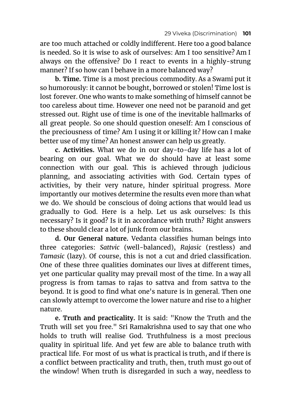are too much attached or coldly indifferent. Here too a good balance is needed. So it is wise to ask of ourselves: Am I too sensitive? Am I always on the offensive? Do I react to events in a highly-strung manner? If so how can I behave in a more balanced way?

**b. Time.** Time is a most precious commodity. As a Swami put it so humorously: it cannot be bought, borrowed or stolen! Time lost is lost forever. One who wants to make something of himself cannot be too careless about time. However one need not be paranoid and get stressed out. Right use of time is one of the inevitable hallmarks of all great people. So one should question oneself: Am I conscious of the preciousness of time? Am I using it or killing it? How can I make better use of my time? An honest answer can help us greatly.

**c. Activities.** What we do in our day-to-day life has a lot of bearing on our goal. What we do should have at least some connection with our goal. This is achieved through judicious planning, and associating activities with God. Certain types of activities, by their very nature, hinder spiritual progress. More importantly our motives determine the results even more than what we do. We should be conscious of doing actions that would lead us gradually to God. Here is a help. Let us ask ourselves: Is this necessary? Is it good? Is it in accordance with truth? Right answers to these should clear a lot of junk from our brains.

**d. Our General nature.** Vedanta classifies human beings into three categories: *Sattvic* (well-balanced), *Rajasic* (restless) and *Tamasic* (lazy). Of course, this is not a cut and dried classification. One of these three qualities dominates our lives at different times, yet one particular quality may prevail most of the time. In a way all progress is from tamas to rajas to sattva and from sattva to the beyond. It is good to find what one's nature is in general. Then one can slowly attempt to overcome the lower nature and rise to a higher nature.

**e. Truth and practicality.** It is said: "Know the Truth and the Truth will set you free." Sri Ramakrishna used to say that one who holds to truth will realise God. Truthfulness is a most precious quality in spiritual life. And yet few are able to balance truth with practical life. For most of us what is practical is truth, and if there is a conflict between practicality and truth, then, truth must go out of the window! When truth is disregarded in such a way, needless to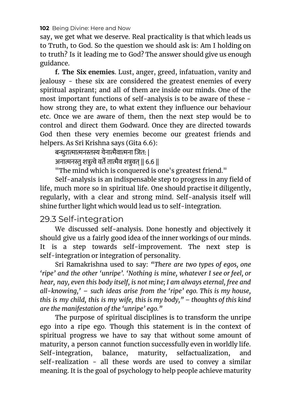say, we get what we deserve. Real practicality is that which leads us to Truth, to God. So the question we should ask is: Am I holding on to truth? Is it leading me to God? The answer should give us enough guidance.

**f. The Six enemies**. Lust, anger, greed, infatuation, vanity and jealousy - these six are considered the greatest enemies of every spiritual aspirant; and all of them are inside our minds. One of the most important functions of self-analysis is to be aware of these how strong they are, to what extent they influence our behaviour etc. Once we are aware of them, then the next step would be to control and direct them Godward. Once they are directed towards God then these very enemies become our greatest friends and helpers. As Sri Krishna says (Gita 6.6):

बन्धुरात्मात्मनस्तस्य येनात्मैवात्मना जित: |

अनात्मनस्तु शत्रुत्वे वर्ते तात्मैव शत्रुवत् || 6.6 ||

"The mind which is conquered is one's greatest friend."

Self-analysis is an indispensable step to progress in any field of life, much more so in spiritual life. One should practise it diligently, regularly, with a clear and strong mind. Self-analysis itself will shine further light which would lead us to self-integration.

### 29.3 Self-integration

We discussed self-analysis. Done honestly and objectively it should give us a fairly good idea of the inner workings of our minds. It is a step towards self-improvement. The next step is self-integration or integration of personality.

Sri Ramakrishna used to say: *"There are two types of egos, one 'ripe' and the other 'unripe'. 'Nothing is mine, whatever I see or feel, or hear, nay, even this body itself, is not mine; I am always eternal, free and all-knowing,' – such ideas arise from the 'ripe' ego. This is my house, this is my child, this is my wife, this is my body," – thoughts of this kind are the manifestation of the 'unripe' ego."*

The purpose of spiritual disciplines is to transform the unripe ego into a ripe ego. Though this statement is in the context of spiritual progress we have to say that without some amount of maturity, a person cannot function successfully even in worldly life. Self-integration, balance, maturity, selfactualization, and self-realization - all these words are used to convey a similar meaning. It is the goal of psychology to help people achieve maturity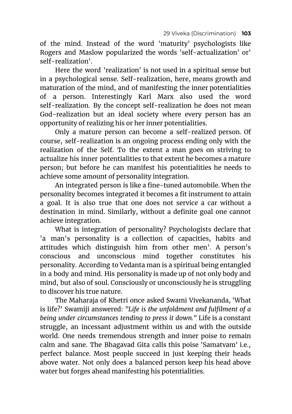of the mind. Instead of the word 'maturity' psychologists like Rogers and Maslow popularized the words 'self-actualization' or' self-realization'.

Here the word 'realization' is not used in a spiritual sense but in a psychological sense. Self-realization, here, means growth and maturation of the mind, and of manifesting the inner potentialities of a person. Interestingly Karl Marx also used the word self-realization. By the concept self-realization he does not mean God-realization but an ideal society where every person has an opportunity of realizing his or her inner potentialities.

Only a mature person can become a self-realized person. Of course, self-realization is an ongoing process ending only with the realization of the Self. To the extent a man goes on striving to actualize his inner potentialities to that extent he becomes a mature person; but before he can manifest his potentialities he needs to achieve some amount of personality integration.

An integrated person is like a fine-tuned automobile. When the personality becomes integrated it becomes a fit instrument to attain a goal. It is also true that one does not service a car without a destination in mind. Similarly, without a definite goal one cannot achieve integration.

What is integration of personality? Psychologists declare that 'a man's personality is a collection of capacities, habits and attitudes which distinguish him from other men'. A person's conscious and unconscious mind together constitutes his personality. According to Vedanta man is a spiritual being entangled in a body and mind. His personality is made up of not only body and mind, but also of soul. Consciously or unconsciously he is struggling to discover his true nature.

The Maharaja of Khetri once asked Swami Vivekananda, 'What is life?' Swamiji answered: *"Life is the unfoldment and fulfilment of a being under circumstances tending to press it down."* Life is a constant struggle, an incessant adjustment within us and with the outside world. One needs tremendous strength and inner poise to remain calm and sane. The Bhagavad Gita calls this poise 'Samatvam' i.e., perfect balance. Most people succeed in just keeping their heads above water. Not only does a balanced person keep his head above water but forges ahead manifesting his potentialities.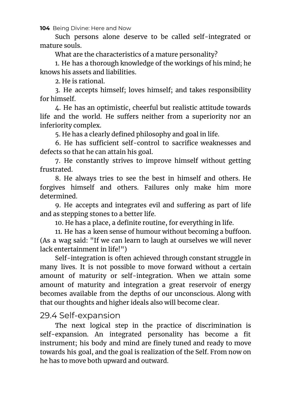Such persons alone deserve to be called self-integrated or mature souls.

What are the characteristics of a mature personality?

1. He has a thorough knowledge of the workings of his mind; he knows his assets and liabilities.

2. He is rational.

3. He accepts himself; loves himself; and takes responsibility for himself.

4. He has an optimistic, cheerful but realistic attitude towards life and the world. He suffers neither from a superiority nor an inferiority complex.

5. He has a clearly defined philosophy and goal in life.

6. He has sufficient self-control to sacrifice weaknesses and defects so that he can attain his goal.

7. He constantly strives to improve himself without getting frustrated.

8. He always tries to see the best in himself and others. He forgives himself and others. Failures only make him more determined.

9. He accepts and integrates evil and suffering as part of life and as stepping stones to a better life.

10. He has a place, a definite routine, for everything in life.

11. He has a keen sense of humour without becoming a buffoon. (As a wag said: "If we can learn to laugh at ourselves we will never lack entertainment in life!")

Self-integration is often achieved through constant struggle in many lives. It is not possible to move forward without a certain amount of maturity or self-integration. When we attain some amount of maturity and integration a great reservoir of energy becomes available from the depths of our unconscious. Along with that our thoughts and higher ideals also will become clear.

## 29.4 Self-expansion

The next logical step in the practice of discrimination is self-expansion. An integrated personality has become a fit instrument; his body and mind are finely tuned and ready to move towards his goal, and the goal is realization of the Self. From now on he has to move both upward and outward.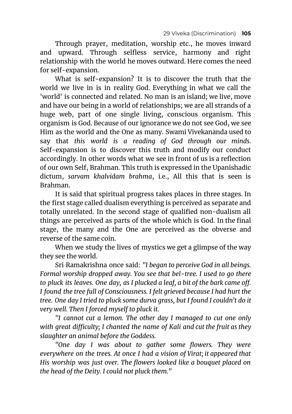Through prayer, meditation, worship etc., he moves inward and upward. Through selfless service, harmony and right relationship with the world he moves outward. Here comes the need for self-expansion.

What is self-expansion? It is to discover the truth that the world we live in is in reality God. Everything in what we call the 'world' is connected and related. No man is an island; we live, move and have our being in a world of relationships; we are all strands of a huge web, part of one single living, conscious organism. This organism is God. Because of our ignorance we do not see God, we see Him as the world and the One as many. Swami Vivekananda used to say that *this world is a reading of God through our minds.* Self-expansion is to discover this truth and modify our conduct accordingly. In other words what we see in front of us is a reflection of our own Self, Brahman. This truth is expressed in the Upanishadic dictum, *sarvam khalvidam brahma*, i.e., All this that is seen is Brahman.

It is said that spiritual progress takes places in three stages. In the first stage called dualism everything is perceived as separate and totally unrelated. In the second stage of qualified non-dualism all things are perceived as parts of the whole which is God. In the final stage, the many and the One are perceived as the obverse and reverse of the same coin.

When we study the lives of mystics we get a glimpse of the way they see the world.

Sri Ramakrishna once said: *"I began to perceive God in all beings. Formal worship dropped away. You see that bel-tree. I used to go there to pluck its leaves. One day, as I plucked a leaf, a bit of the bark came off. I found the tree full of Consciousness. I felt grieved because I had hurt the tree. One day I tried to pluck some durva grass, but I found I couldn't do it very well. Then I forced myself to pluck it.*

*"I cannot cut a lemon. The other day I managed to cut one only with great difficulty; I chanted the name of Kali and cut the fruit as they slaughter an animal before the Goddess.*

*"One day I was about to gather some flowers. They were everywhere on the trees. At once I had a vision of Virat; it appeared that His worship was just over. The flowers looked like a bouquet placed on the head of the Deity. I could not pluck them."*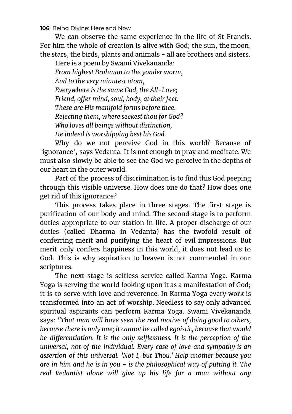We can observe the same experience in the life of St Francis. For him the whole of creation is alive with God; the sun, the moon, the stars, the birds, plants and animals - all are brothers and sisters.

Here is a poem by Swami Vivekananda: *From highest Brahman to the yonder worm, And to the very minutest atom, Everywhere is the same God, the All-Love; Friend, offer mind, soul, body, at their feet. These are His manifold forms before thee, Rejecting them, where seekest thou for God? Who loves all beings without distinction, He indeed is worshipping best his God.*

Why do we not perceive God in this world? Because of 'ignorance', says Vedanta. It is not enough to pray and meditate. We must also slowly be able to see the God we perceive in the depths of our heart in the outer world.

Part of the process of discrimination is to find this God peeping through this visible universe. How does one do that? How does one get rid of this ignorance?

This process takes place in three stages. The first stage is purification of our body and mind. The second stage is to perform duties appropriate to our station in life. A proper discharge of our duties (called Dharma in Vedanta) has the twofold result of conferring merit and purifying the heart of evil impressions. But merit only confers happiness in this world, it does not lead us to God. This is why aspiration to heaven is not commended in our scriptures.

The next stage is selfless service called Karma Yoga. Karma Yoga is serving the world looking upon it as a manifestation of God; it is to serve with love and reverence. In Karma Yoga every work is transformed into an act of worship. Needless to say only advanced spiritual aspirants can perform Karma Yoga. Swami Vivekananda says: *"That man will have seen the real motive of doing good to others, because there is only one; it cannot be called egoistic, because that would be differentiation. It is the only selflessness. It is the perception of the universal, not of the individual. Every case of love and sympathy is an assertion of this universal. 'Not I, but Thou.' Help another because you are in him and he is in you - is the philosophical way of putting it. The real Vedantist alone will give up his life for a man without any*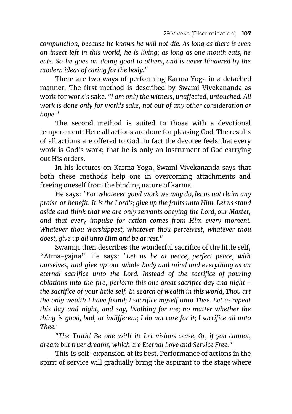*compunction, because he knows he will not die. As long as there is even an insect left in this world, he is living; as long as one mouth eats, he eats. So he goes on doing good to others, and is never hindered by the modern ideas of caring for the body."*

There are two ways of performing Karma Yoga in a detached manner. The first method is described by Swami Vivekananda as work for work's sake. *"I am only the witness, unaffected, untouched. All work is done only for work's sake, not out of any other consideration or hope."*

The second method is suited to those with a devotional temperament. Here all actions are done for pleasing God. The results of all actions are offered to God. In fact the devotee feels that every work is God's work; that he is only an instrument of God carrying out His orders.

In his lectures on Karma Yoga, Swami Vivekananda says that both these methods help one in overcoming attachments and freeing oneself from the binding nature of karma.

He says: *"For whatever good work we may do, let us not claim any praise or benefit. It is the Lord's; give up the fruits unto Him. Let us stand aside and think that we are only servants obeying the Lord, our Master, and that every impulse for action comes from Him every moment. Whatever thou worshippest, whatever thou perceivest, whatever thou doest, give up all unto Him and be at rest."*

Swamiji then describes the wonderful sacrifice of the little self, "Atma-yajna". He says: *"Let us be at peace, perfect peace, with ourselves, and give up our whole body and mind and everything as an eternal sacrifice unto the Lord. Instead of the sacrifice of pouring oblations into the fire, perform this one great sacrifice day and night the sacrifice of your little self. In search of wealth in this world, Thou art the only wealth I have found; I sacrifice myself unto Thee. Let us repeat this day and night, and say, 'Nothing for me; no matter whether the thing is good, bad, or indifferent; I do not care for it; I sacrifice all unto Thee.'*

*"The Truth! Be one with it! Let visions cease, Or, if you cannot, dream but truer dreams, which are Eternal Love and Service Free."*

This is self-expansion at its best. Performance of actions in the spirit of service will gradually bring the aspirant to the stage where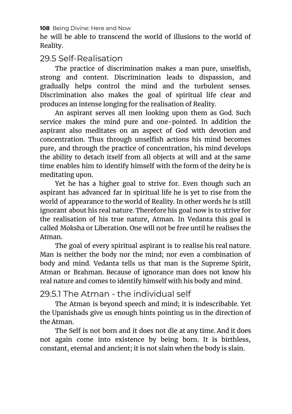he will be able to transcend the world of illusions to the world of Reality.

## 29.5 Self-Realisation

The practice of discrimination makes a man pure, unselfish, strong and content. Discrimination leads to dispassion, and gradually helps control the mind and the turbulent senses. Discrimination also makes the goal of spiritual life clear and produces an intense longing for the realisation of Reality.

An aspirant serves all men looking upon them as God. Such service makes the mind pure and one-pointed. In addition the aspirant also meditates on an aspect of God with devotion and concentration. Thus through unselfish actions his mind becomes pure, and through the practice of concentration, his mind develops the ability to detach itself from all objects at will and at the same time enables him to identify himself with the form of the deity he is meditating upon.

Yet he has a higher goal to strive for. Even though such an aspirant has advanced far in spiritual life he is yet to rise from the world of appearance to the world of Reality. In other words he is still ignorant about his real nature. Therefore his goal now is to strive for the realisation of his true nature, Atman. In Vedanta this goal is called Moksha or Liberation. One will not be free until he realises the Atman.

The goal of every spiritual aspirant is to realise his real nature. Man is neither the body nor the mind; nor even a combination of body and mind. Vedanta tells us that man is the Supreme Spirit, Atman or Brahman. Because of ignorance man does not know his real nature and comes to identify himself with his body and mind.

## 29.5.1 The Atman - the individual self

The Atman is beyond speech and mind; it is indescribable. Yet the Upanishads give us enough hints pointing us in the direction of the Atman.

The Self is not born and it does not die at any time. And it does not again come into existence by being born. It is birthless, constant, eternal and ancient; it is not slain when the body is slain.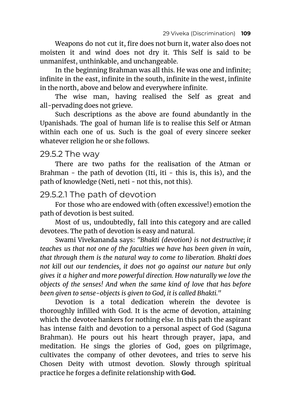Weapons do not cut it, fire does not burn it, water also does not moisten it and wind does not dry it. This Self is said to be unmanifest, unthinkable, and unchangeable.

In the beginning Brahman was all this. He was one and infinite; infinite in the east, infinite in the south, infinite in the west, infinite in the north, above and below and everywhere infinite.

The wise man, having realised the Self as great and all-pervading does not grieve.

Such descriptions as the above are found abundantly in the Upanishads. The goal of human life is to realise this Self or Atman within each one of us. Such is the goal of every sincere seeker whatever religion he or she follows.

## 29.5.2 The way

There are two paths for the realisation of the Atman or Brahman - the path of devotion (Iti, iti - this is, this is), and the path of knowledge (Neti, neti - not this, not this).

## 29.5.2.1 The path of devotion

For those who are endowed with (often excessive!) emotion the path of devotion is best suited.

Most of us, undoubtedly, fall into this category and are called devotees. The path of devotion is easy and natural.

Swami Vivekananda says: *"Bhakti (devotion) is not destructive; it teaches us that not one of the faculties we have has been given in vain, that through them is the natural way to come to liberation. Bhakti does not kill out our tendencies, it does not go against our nature but only gives it a higher and more powerful direction. How naturally we love the objects of the senses! And when the same kind of love that has before been given to sense-objects is given to God, it is called Bhakti."*

Devotion is a total dedication wherein the devotee is thoroughly infilled with God. It is the acme of devotion, attaining which the devotee hankers for nothing else. In this path the aspirant has intense faith and devotion to a personal aspect of God (Saguna Brahman). He pours out his heart through prayer, japa, and meditation. He sings the glories of God, goes on pilgrimage, cultivates the company of other devotees, and tries to serve his Chosen Deity with utmost devotion. Slowly through spiritual practice he forges a definite relationship with **God.**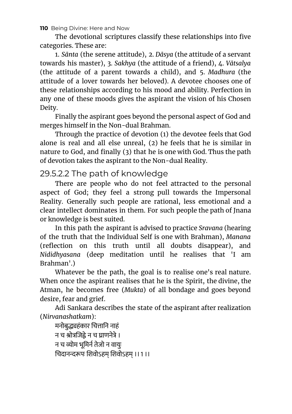**110** Being Divine: Here and Now

The devotional scriptures classify these relationships into five categories. These are:

1. *Sānta* (the serene attitude), 2. *Dāsya* (the attitude of a servant towards his master), 3. *Sakhya* (the attitude of a friend), 4. *Vātsalya* (the attitude of a parent towards a child), and 5. *Madhura* (the attitude of a lover towards her beloved). A devotee chooses one of these relationships according to his mood and ability. Perfection in any one of these moods gives the aspirant the vision of his Chosen Deity.

Finally the aspirant goes beyond the personal aspect of God and merges himself in the Non-dual Brahman.

Through the practice of devotion (1) the devotee feels that God alone is real and all else unreal, (2) he feels that he is similar in nature to God, and finally (3) that he is one with God. Thus the path of devotion takes the aspirant to the Non-dual Reality.

29.5.2.2 The path of knowledge

There are people who do not feel attracted to the personal aspect of God; they feel a strong pull towards the Impersonal Reality. Generally such people are rational, less emotional and a clear intellect dominates in them. For such people the path of Jnana or knowledge is best suited.

In this path the aspirant is advised to practice *Sravana* (hearing of the truth that the Individual Self is one with Brahman), *Manana* (reflection on this truth until all doubts disappear), and *Nididhyasana* (deep meditation until he realises that 'I am Brahman'.)

Whatever be the path, the goal is to realise one's real nature. When once the aspirant realises that he is the Spirit, the divine, the Atman, he becomes free (*Mukta*) of all bondage and goes beyond desire, fear and grief.

Adi Sankara describes the state of the aspirant after realization (*Nirvanashatkam*):

मनोबद्ध्यहंकार चित्तानि नाहं न च श्रोत्रजिद्वे न च घाणनेत्रे । न च व्योम भमिर्न तेजो न वायः चदानपः शवोऽहम् शवोऽहम् ।।1 ।।